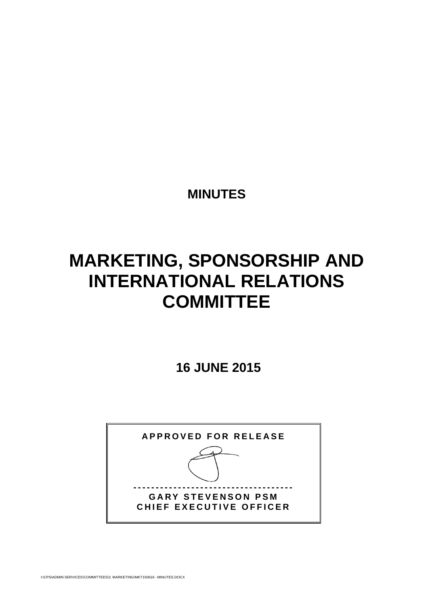**MINUTES** 

# **MARKETING, SPONSORSHIP AND INTERNATIONAL RELATIONS COMMITTEE**

 **16 JUNE 2015** 

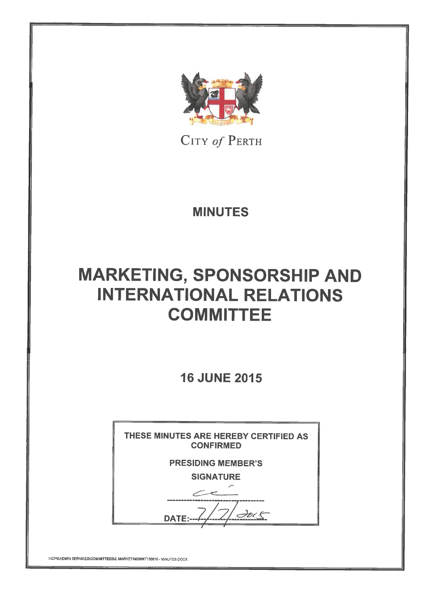

CITY of PERTH

**MINUTES** 

# **MARKETING, SPONSORSHIP AND INTERNATIONAL RELATIONS COMMITTEE**

**16 JUNE 2015** 

| THESE MINUTES ARE HEREBY CERTIFIED AS<br><b>CONFIRMED</b> |
|-----------------------------------------------------------|
| <b>PRESIDING MEMBER'S</b>                                 |
| <b>SIGNATURE</b>                                          |
|                                                           |
| DATE:                                                     |
|                                                           |

**INCPSVADMIN SERVICES\COMMITTEES\2. MARKETING\MKT150616 - MINUTES.DOCX**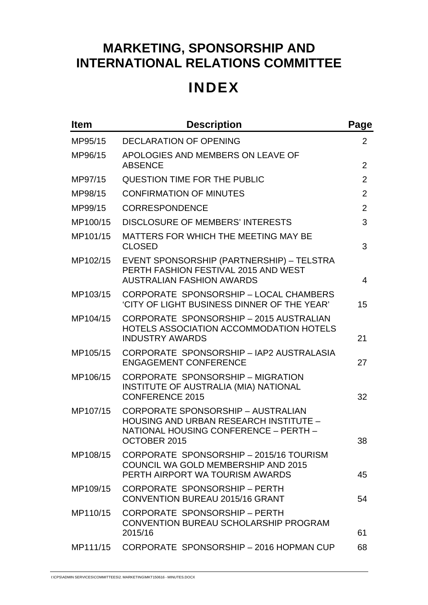## **INDEX**

| <b>Item</b> | <b>Description</b>                                                                                                                                  | Page           |
|-------------|-----------------------------------------------------------------------------------------------------------------------------------------------------|----------------|
| MP95/15     | <b>DECLARATION OF OPENING</b>                                                                                                                       | $\overline{2}$ |
| MP96/15     | APOLOGIES AND MEMBERS ON LEAVE OF<br><b>ABSENCE</b>                                                                                                 | $\overline{2}$ |
| MP97/15     | QUESTION TIME FOR THE PUBLIC                                                                                                                        | $\overline{2}$ |
| MP98/15     | <b>CONFIRMATION OF MINUTES</b>                                                                                                                      | $\overline{2}$ |
| MP99/15     | <b>CORRESPONDENCE</b>                                                                                                                               | $\overline{2}$ |
| MP100/15    | <b>DISCLOSURE OF MEMBERS' INTERESTS</b>                                                                                                             | 3              |
| MP101/15    | MATTERS FOR WHICH THE MEETING MAY BE<br><b>CLOSED</b>                                                                                               | 3              |
| MP102/15    | EVENT SPONSORSHIP (PARTNERSHIP) - TELSTRA<br>PERTH FASHION FESTIVAL 2015 AND WEST<br><b>AUSTRALIAN FASHION AWARDS</b>                               | 4              |
| MP103/15    | CORPORATE SPONSORSHIP - LOCAL CHAMBERS<br>'CITY OF LIGHT BUSINESS DINNER OF THE YEAR'                                                               | 15             |
| MP104/15    | CORPORATE SPONSORSHIP - 2015 AUSTRALIAN<br>HOTELS ASSOCIATION ACCOMMODATION HOTELS<br><b>INDUSTRY AWARDS</b>                                        | 21             |
| MP105/15    | CORPORATE SPONSORSHIP - IAP2 AUSTRALASIA<br><b>ENGAGEMENT CONFERENCE</b>                                                                            | 27             |
| MP106/15    | CORPORATE SPONSORSHIP - MIGRATION<br>INSTITUTE OF AUSTRALIA (MIA) NATIONAL<br><b>CONFERENCE 2015</b>                                                | 32             |
| MP107/15    | <b>CORPORATE SPONSORSHIP - AUSTRALIAN</b><br><b>HOUSING AND URBAN RESEARCH INSTITUTE -</b><br>NATIONAL HOUSING CONFERENCE - PERTH -<br>OCTOBER 2015 | 38             |
| MP108/15    | CORPORATE SPONSORSHIP - 2015/16 TOURISM<br><b>COUNCIL WA GOLD MEMBERSHIP AND 2015</b><br>PERTH AIRPORT WA TOURISM AWARDS                            | 45             |
| MP109/15    | CORPORATE SPONSORSHIP - PERTH<br><b>CONVENTION BUREAU 2015/16 GRANT</b>                                                                             | 54             |
| MP110/15    | CORPORATE SPONSORSHIP - PERTH<br>CONVENTION BUREAU SCHOLARSHIP PROGRAM<br>2015/16                                                                   | 61             |
| MP111/15    | CORPORATE SPONSORSHIP - 2016 HOPMAN CUP                                                                                                             | 68             |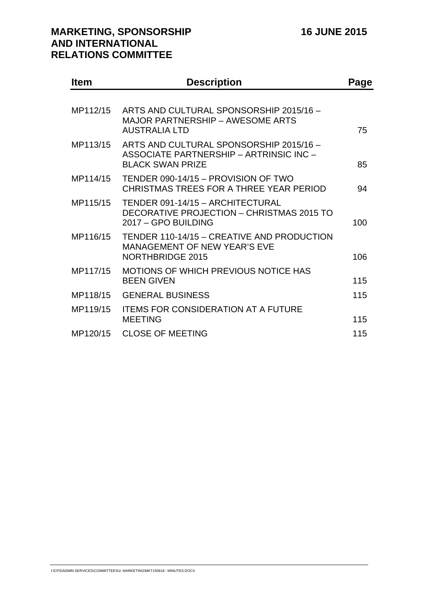| <b>Item</b> | <b>Description</b>                                                                                            | Page |
|-------------|---------------------------------------------------------------------------------------------------------------|------|
|             |                                                                                                               |      |
| MP112/15    | ARTS AND CULTURAL SPONSORSHIP 2015/16 -<br><b>MAJOR PARTNERSHIP - AWESOME ARTS</b><br><b>AUSTRALIA LTD</b>    | 75   |
| MP113/15    | ARTS AND CULTURAL SPONSORSHIP 2015/16 -<br>ASSOCIATE PARTNERSHIP - ARTRINSIC INC -<br><b>BLACK SWAN PRIZE</b> | 85   |
| MP114/15    | TENDER 090-14/15 - PROVISION OF TWO<br>CHRISTMAS TREES FOR A THREE YEAR PERIOD                                | 94   |
| MP115/15    | TENDER 091-14/15 - ARCHITECTURAL<br>DECORATIVE PROJECTION - CHRISTMAS 2015 TO<br>2017 - GPO BUILDING          | 100  |
| MP116/15    | TENDER 110-14/15 - CREATIVE AND PRODUCTION<br><b>MANAGEMENT OF NEW YEAR'S EVE</b><br>NORTHBRIDGE 2015         | 106  |
| MP117/15    | MOTIONS OF WHICH PREVIOUS NOTICE HAS<br><b>BEEN GIVEN</b>                                                     | 115  |
| MP118/15    | <b>GENERAL BUSINESS</b>                                                                                       | 115  |
| MP119/15    | <b>ITEMS FOR CONSIDERATION AT A FUTURE</b><br><b>MEETING</b>                                                  | 115  |
| MP120/15    | <b>CLOSE OF MEETING</b>                                                                                       | 115  |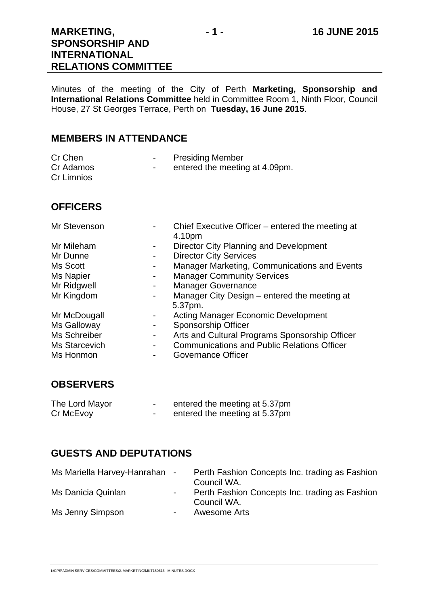Minutes of the meeting of the City of Perth **Marketing, Sponsorship and International Relations Committee** held in Committee Room 1, Ninth Floor, Council House, 27 St Georges Terrace, Perth on **Tuesday, 16 June 2015**.

## **MEMBERS IN ATTENDANCE**

| Cr Chen<br>Cr Adamos<br>Cr Limnios | <b>Presiding Member</b><br>entered the meeting at 4.09pm. |
|------------------------------------|-----------------------------------------------------------|
| <b>OFFICERS</b>                    |                                                           |
| Mr Stavaneon                       | Chief Executive Officer - entered the meeting at          |

| ווטכווסעסוניו    |                              | Criter Executive Officer – entered the integrity at<br>4.10pm |
|------------------|------------------------------|---------------------------------------------------------------|
| Mr Mileham       | -                            | Director City Planning and Development                        |
| Mr Dunne         | -                            | <b>Director City Services</b>                                 |
| Ms Scott         | -                            | Manager Marketing, Communications and Events                  |
| <b>Ms Napier</b> | -                            | <b>Manager Community Services</b>                             |
| Mr Ridgwell      | -                            | <b>Manager Governance</b>                                     |
| Mr Kingdom       | $\qquad \qquad \blacksquare$ | Manager City Design - entered the meeting at                  |
|                  |                              | 5.37pm.                                                       |
| Mr McDougall     | ۰                            | <b>Acting Manager Economic Development</b>                    |
| Ms Galloway      | -                            | <b>Sponsorship Officer</b>                                    |
| Ms Schreiber     | -                            | Arts and Cultural Programs Sponsorship Officer                |
| Ms Starcevich    | -                            | <b>Communications and Public Relations Officer</b>            |
| Ms Honmon        |                              | Governance Officer                                            |

## **OBSERVERS**

| The Lord Mayor | entered the meeting at 5.37pm |
|----------------|-------------------------------|
| Cr McEvoy      | entered the meeting at 5.37pm |

## **GUESTS AND DEPUTATIONS**

| Ms Mariella Harvey-Hanrahan - |                          | Perth Fashion Concepts Inc. trading as Fashion<br>Council WA. |
|-------------------------------|--------------------------|---------------------------------------------------------------|
| Ms Danicia Quinlan            | $\blacksquare$           | Perth Fashion Concepts Inc. trading as Fashion<br>Council WA. |
| Ms Jenny Simpson              | $\overline{\phantom{a}}$ | Awesome Arts                                                  |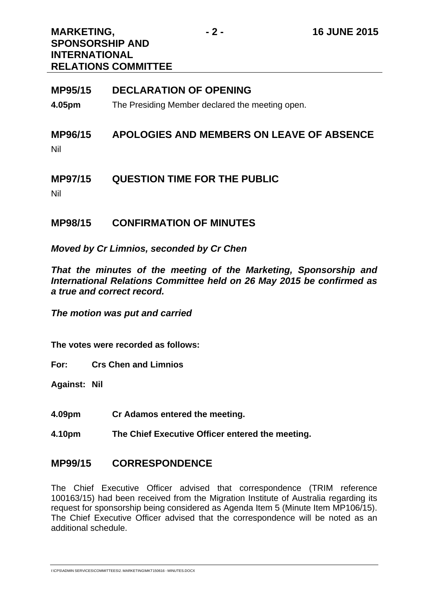| <b>MP95/15</b>        | <b>DECLARATION OF OPENING</b>                   |
|-----------------------|-------------------------------------------------|
| 4.05pm                | The Presiding Member declared the meeting open. |
| <b>MP96/15</b><br>Nil | APOLOGIES AND MEMBERS ON LEAVE OF ABSENCE       |
| <b>MP97/15</b><br>.   | <b>QUESTION TIME FOR THE PUBLIC</b>             |

Nil

## **MP98/15 CONFIRMATION OF MINUTES**

*Moved by Cr Limnios, seconded by Cr Chen* 

*That the minutes of the meeting of the Marketing, Sponsorship and International Relations Committee held on 26 May 2015 be confirmed as a true and correct record.* 

*The motion was put and carried* 

**The votes were recorded as follows:** 

**For: Crs Chen and Limnios** 

**Against: Nil** 

- **4.09pm Cr Adamos entered the meeting.**
- **4.10pm The Chief Executive Officer entered the meeting.**

## **MP99/15 CORRESPONDENCE**

The Chief Executive Officer advised that correspondence (TRIM reference 100163/15) had been received from the Migration Institute of Australia regarding its request for sponsorship being considered as Agenda Item 5 (Minute Item MP106/15). The Chief Executive Officer advised that the correspondence will be noted as an additional schedule.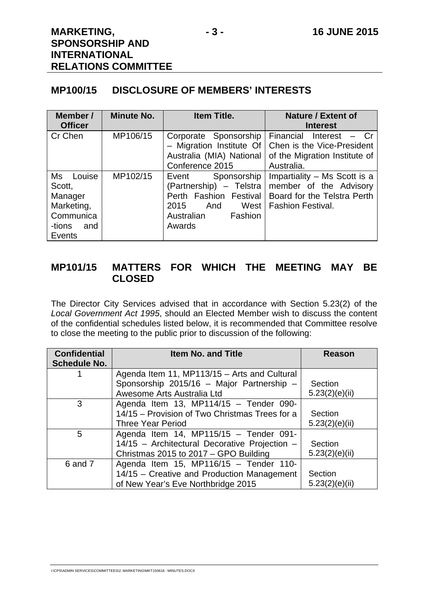## **MP100/15 DISCLOSURE OF MEMBERS' INTERESTS**

| Member /<br><b>Officer</b>                                                              | <b>Minute No.</b> | Item Title.                                                                                                                         | <b>Nature / Extent of</b><br><b>Interest</b>                                                                      |
|-----------------------------------------------------------------------------------------|-------------------|-------------------------------------------------------------------------------------------------------------------------------------|-------------------------------------------------------------------------------------------------------------------|
| Cr Chen                                                                                 | MP106/15          | Corporate Sponsorship<br>- Migration Institute Of<br>Australia (MIA) National<br>Conference 2015                                    | Financial Interest<br>– Cr<br>Chen is the Vice-President<br>of the Migration Institute of<br>Australia.           |
| Louise<br>Ms<br>Scott,<br>Manager<br>Marketing,<br>Communica<br>-tions<br>and<br>Events | MP102/15          | Sponsorship<br>Event<br>(Partnership) - Telstra<br>Perth Fashion Festival<br>West<br>2015<br>And<br>Fashion<br>Australian<br>Awards | Impartiality – Ms Scott is a<br>member of the Advisory<br>Board for the Telstra Perth<br><b>Fashion Festival.</b> |

## **MP101/15 MATTERS FOR WHICH THE MEETING MAY BE CLOSED**

The Director City Services advised that in accordance with Section 5.23(2) of the *Local Government Act 1995*, should an Elected Member wish to discuss the content of the confidential schedules listed below, it is recommended that Committee resolve to close the meeting to the public prior to discussion of the following:

| <b>Confidential</b> | <b>Item No. and Title</b>                      | <b>Reason</b>  |
|---------------------|------------------------------------------------|----------------|
| <b>Schedule No.</b> |                                                |                |
|                     | Agenda Item 11, MP113/15 - Arts and Cultural   |                |
|                     | Sponsorship 2015/16 - Major Partnership -      | Section        |
|                     | Awesome Arts Australia Ltd                     | 5.23(2)(e)(ii) |
| 3                   | Agenda Item 13, MP114/15 - Tender 090-         |                |
|                     | 14/15 – Provision of Two Christmas Trees for a | Section        |
|                     | <b>Three Year Period</b>                       | 5.23(2)(e)(ii) |
| 5                   | Agenda Item 14, MP115/15 - Tender 091-         |                |
|                     | 14/15 - Architectural Decorative Projection -  | Section        |
|                     | Christmas 2015 to 2017 - GPO Building          | 5.23(2)(e)(ii) |
| 6 and 7             | Agenda Item 15, MP116/15 - Tender 110-         |                |
|                     | 14/15 – Creative and Production Management     | Section        |
|                     | of New Year's Eve Northbridge 2015             | 5.23(2)(e)(ii) |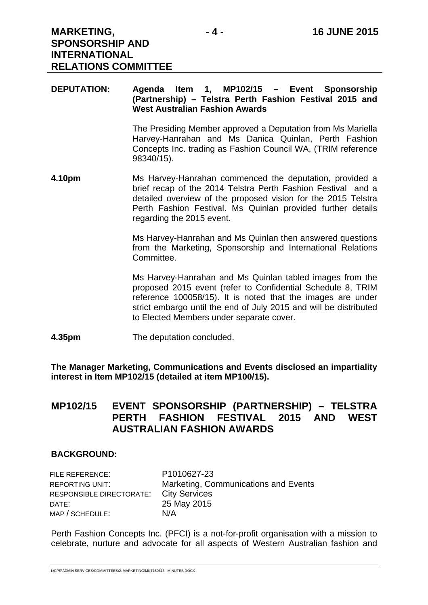#### **DEPUTATION: Agenda Item 1, MP102/15 – Event Sponsorship (Partnership) – Telstra Perth Fashion Festival 2015 and West Australian Fashion Awards**

The Presiding Member approved a Deputation from Ms Mariella Harvey-Hanrahan and Ms Danica Quinlan, Perth Fashion Concepts Inc. trading as Fashion Council WA, (TRIM reference 98340/15).

**4.10pm** Ms Harvey-Hanrahan commenced the deputation, provided a brief recap of the 2014 Telstra Perth Fashion Festival and a detailed overview of the proposed vision for the 2015 Telstra Perth Fashion Festival. Ms Quinlan provided further details regarding the 2015 event.

> Ms Harvey-Hanrahan and Ms Quinlan then answered questions from the Marketing, Sponsorship and International Relations Committee.

> Ms Harvey-Hanrahan and Ms Quinlan tabled images from the proposed 2015 event (refer to Confidential Schedule 8, TRIM reference 100058/15). It is noted that the images are under strict embargo until the end of July 2015 and will be distributed to Elected Members under separate cover.

**4.35pm** The deputation concluded.

**The Manager Marketing, Communications and Events disclosed an impartiality interest in Item MP102/15 (detailed at item MP100/15).** 

## **MP102/15 EVENT SPONSORSHIP (PARTNERSHIP) – TELSTRA PERTH FASHION FESTIVAL 2015 AND WEST AUSTRALIAN FASHION AWARDS**

#### **BACKGROUND:**

| FILE REFERENCE:          | P1010627-23                          |
|--------------------------|--------------------------------------|
| REPORTING UNIT:          | Marketing, Communications and Events |
| RESPONSIBLE DIRECTORATE: | <b>City Services</b>                 |
| DATE:                    | 25 May 2015                          |
| MAP / SCHEDULE:          | N/A                                  |

Perth Fashion Concepts Inc. (PFCI) is a not-for-profit organisation with a mission to celebrate, nurture and advocate for all aspects of Western Australian fashion and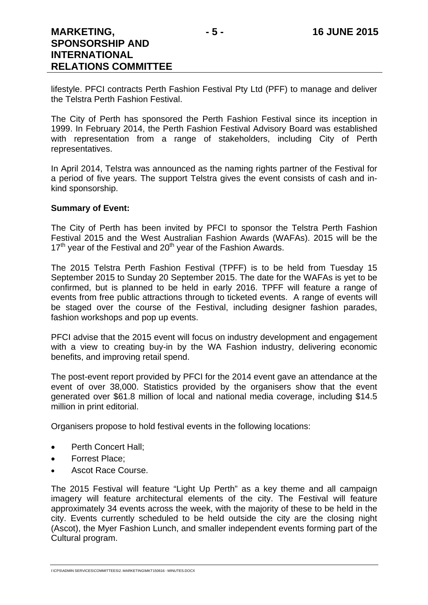lifestyle. PFCI contracts Perth Fashion Festival Pty Ltd (PFF) to manage and deliver the Telstra Perth Fashion Festival.

The City of Perth has sponsored the Perth Fashion Festival since its inception in 1999. In February 2014, the Perth Fashion Festival Advisory Board was established with representation from a range of stakeholders, including City of Perth representatives.

In April 2014, Telstra was announced as the naming rights partner of the Festival for a period of five years. The support Telstra gives the event consists of cash and inkind sponsorship.

#### **Summary of Event:**

The City of Perth has been invited by PFCI to sponsor the Telstra Perth Fashion Festival 2015 and the West Australian Fashion Awards (WAFAs). 2015 will be the  $17<sup>th</sup>$  vear of the Festival and  $20<sup>th</sup>$  vear of the Fashion Awards.

The 2015 Telstra Perth Fashion Festival (TPFF) is to be held from Tuesday 15 September 2015 to Sunday 20 September 2015. The date for the WAFAs is yet to be confirmed, but is planned to be held in early 2016. TPFF will feature a range of events from free public attractions through to ticketed events. A range of events will be staged over the course of the Festival, including designer fashion parades, fashion workshops and pop up events.

PFCI advise that the 2015 event will focus on industry development and engagement with a view to creating buy-in by the WA Fashion industry, delivering economic benefits, and improving retail spend.

The post-event report provided by PFCI for the 2014 event gave an attendance at the event of over 38,000. Statistics provided by the organisers show that the event generated over \$61.8 million of local and national media coverage, including \$14.5 million in print editorial.

Organisers propose to hold festival events in the following locations:

- Perth Concert Hall;
- Forrest Place;
- Ascot Race Course.

The 2015 Festival will feature "Light Up Perth" as a key theme and all campaign imagery will feature architectural elements of the city. The Festival will feature approximately 34 events across the week, with the majority of these to be held in the city. Events currently scheduled to be held outside the city are the closing night (Ascot), the Myer Fashion Lunch, and smaller independent events forming part of the Cultural program.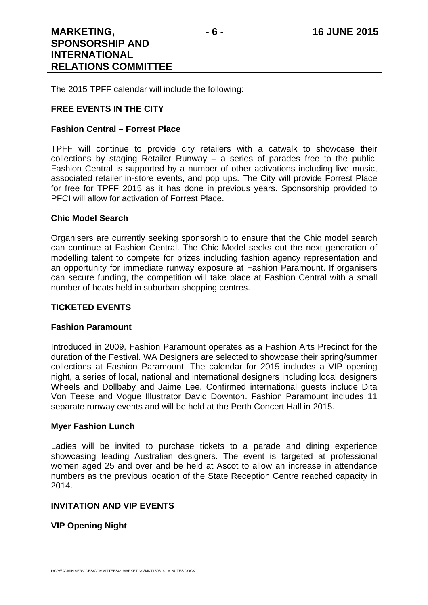The 2015 TPFF calendar will include the following:

#### **FREE EVENTS IN THE CITY**

#### **Fashion Central – Forrest Place**

TPFF will continue to provide city retailers with a catwalk to showcase their collections by staging Retailer Runway – a series of parades free to the public. Fashion Central is supported by a number of other activations including live music, associated retailer in-store events, and pop ups. The City will provide Forrest Place for free for TPFF 2015 as it has done in previous years. Sponsorship provided to PFCI will allow for activation of Forrest Place.

#### **Chic Model Search**

Organisers are currently seeking sponsorship to ensure that the Chic model search can continue at Fashion Central. The Chic Model seeks out the next generation of modelling talent to compete for prizes including fashion agency representation and an opportunity for immediate runway exposure at Fashion Paramount. If organisers can secure funding, the competition will take place at Fashion Central with a small number of heats held in suburban shopping centres.

#### **TICKETED EVENTS**

#### **Fashion Paramount**

Introduced in 2009, Fashion Paramount operates as a Fashion Arts Precinct for the duration of the Festival. WA Designers are selected to showcase their spring/summer collections at Fashion Paramount. The calendar for 2015 includes a VIP opening night, a series of local, national and international designers including local designers Wheels and Dollbaby and Jaime Lee. Confirmed international guests include Dita Von Teese and Vogue Illustrator David Downton. Fashion Paramount includes 11 separate runway events and will be held at the Perth Concert Hall in 2015.

#### **Myer Fashion Lunch**

Ladies will be invited to purchase tickets to a parade and dining experience showcasing leading Australian designers. The event is targeted at professional women aged 25 and over and be held at Ascot to allow an increase in attendance numbers as the previous location of the State Reception Centre reached capacity in 2014.

#### **INVITATION AND VIP EVENTS**

**VIP Opening Night**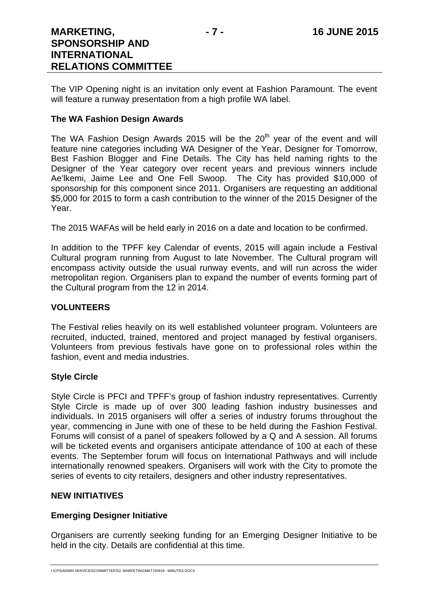The VIP Opening night is an invitation only event at Fashion Paramount. The event will feature a runway presentation from a high profile WA label.

#### **The WA Fashion Design Awards**

The WA Fashion Design Awards 2015 will be the  $20<sup>th</sup>$  year of the event and will feature nine categories including WA Designer of the Year, Designer for Tomorrow, Best Fashion Blogger and Fine Details. The City has held naming rights to the Designer of the Year category over recent years and previous winners include Ae'lkemi, Jaime Lee and One Fell Swoop. The City has provided \$10,000 of sponsorship for this component since 2011. Organisers are requesting an additional \$5,000 for 2015 to form a cash contribution to the winner of the 2015 Designer of the Year.

The 2015 WAFAs will be held early in 2016 on a date and location to be confirmed.

In addition to the TPFF key Calendar of events, 2015 will again include a Festival Cultural program running from August to late November. The Cultural program will encompass activity outside the usual runway events, and will run across the wider metropolitan region. Organisers plan to expand the number of events forming part of the Cultural program from the 12 in 2014.

#### **VOLUNTEERS**

The Festival relies heavily on its well established volunteer program. Volunteers are recruited, inducted, trained, mentored and project managed by festival organisers. Volunteers from previous festivals have gone on to professional roles within the fashion, event and media industries.

#### **Style Circle**

Style Circle is PFCI and TPFF's group of fashion industry representatives. Currently Style Circle is made up of over 300 leading fashion industry businesses and individuals. In 2015 organisers will offer a series of industry forums throughout the year, commencing in June with one of these to be held during the Fashion Festival. Forums will consist of a panel of speakers followed by a Q and A session. All forums will be ticketed events and organisers anticipate attendance of 100 at each of these events. The September forum will focus on International Pathways and will include internationally renowned speakers. Organisers will work with the City to promote the series of events to city retailers, designers and other industry representatives.

#### **NEW INITIATIVES**

#### **Emerging Designer Initiative**

Organisers are currently seeking funding for an Emerging Designer Initiative to be held in the city. Details are confidential at this time.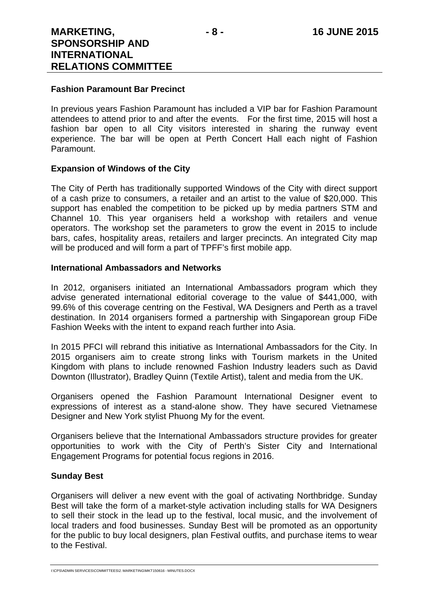#### **Fashion Paramount Bar Precinct**

In previous years Fashion Paramount has included a VIP bar for Fashion Paramount attendees to attend prior to and after the events. For the first time, 2015 will host a fashion bar open to all City visitors interested in sharing the runway event experience. The bar will be open at Perth Concert Hall each night of Fashion Paramount.

#### **Expansion of Windows of the City**

The City of Perth has traditionally supported Windows of the City with direct support of a cash prize to consumers, a retailer and an artist to the value of \$20,000. This support has enabled the competition to be picked up by media partners STM and Channel 10. This year organisers held a workshop with retailers and venue operators. The workshop set the parameters to grow the event in 2015 to include bars, cafes, hospitality areas, retailers and larger precincts. An integrated City map will be produced and will form a part of TPFF's first mobile app.

#### **International Ambassadors and Networks**

In 2012, organisers initiated an International Ambassadors program which they advise generated international editorial coverage to the value of \$441,000, with 99.6% of this coverage centring on the Festival, WA Designers and Perth as a travel destination. In 2014 organisers formed a partnership with Singaporean group FiDe Fashion Weeks with the intent to expand reach further into Asia.

In 2015 PFCI will rebrand this initiative as International Ambassadors for the City. In 2015 organisers aim to create strong links with Tourism markets in the United Kingdom with plans to include renowned Fashion Industry leaders such as David Downton (Illustrator), Bradley Quinn (Textile Artist), talent and media from the UK.

Organisers opened the Fashion Paramount International Designer event to expressions of interest as a stand-alone show. They have secured Vietnamese Designer and New York stylist Phuong My for the event.

Organisers believe that the International Ambassadors structure provides for greater opportunities to work with the City of Perth's Sister City and International Engagement Programs for potential focus regions in 2016.

#### **Sunday Best**

Organisers will deliver a new event with the goal of activating Northbridge. Sunday Best will take the form of a market-style activation including stalls for WA Designers to sell their stock in the lead up to the festival, local music, and the involvement of local traders and food businesses. Sunday Best will be promoted as an opportunity for the public to buy local designers, plan Festival outfits, and purchase items to wear to the Festival.

I:\CPS\ADMIN SERVICES\COMMITTEES\2. MARKETING\MKT150616 - MINUTES.DOCX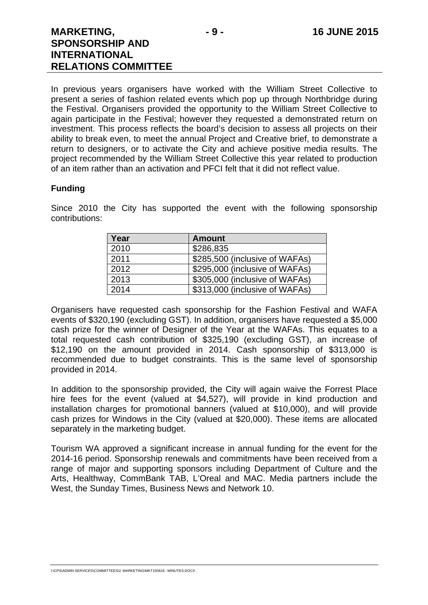In previous years organisers have worked with the William Street Collective to present a series of fashion related events which pop up through Northbridge during the Festival. Organisers provided the opportunity to the William Street Collective to again participate in the Festival; however they requested a demonstrated return on investment. This process reflects the board's decision to assess all projects on their ability to break even, to meet the annual Project and Creative brief, to demonstrate a return to designers, or to activate the City and achieve positive media results. The project recommended by the William Street Collective this year related to production of an item rather than an activation and PFCI felt that it did not reflect value.

#### **Funding**

Since 2010 the City has supported the event with the following sponsorship contributions:

| Year | <b>Amount</b>                  |
|------|--------------------------------|
| 2010 | \$286,835                      |
| 2011 | \$285,500 (inclusive of WAFAs) |
| 2012 | \$295,000 (inclusive of WAFAs) |
| 2013 | \$305,000 (inclusive of WAFAs) |
| 2014 | \$313,000 (inclusive of WAFAs) |

Organisers have requested cash sponsorship for the Fashion Festival and WAFA events of \$320,190 (excluding GST). In addition, organisers have requested a \$5,000 cash prize for the winner of Designer of the Year at the WAFAs. This equates to a total requested cash contribution of \$325,190 (excluding GST), an increase of \$12,190 on the amount provided in 2014. Cash sponsorship of \$313,000 is recommended due to budget constraints. This is the same level of sponsorship provided in 2014.

In addition to the sponsorship provided, the City will again waive the Forrest Place hire fees for the event (valued at \$4,527), will provide in kind production and installation charges for promotional banners (valued at \$10,000), and will provide cash prizes for Windows in the City (valued at \$20,000). These items are allocated separately in the marketing budget.

Tourism WA approved a significant increase in annual funding for the event for the 2014-16 period. Sponsorship renewals and commitments have been received from a range of major and supporting sponsors including Department of Culture and the Arts, Healthway, CommBank TAB, L'Oreal and MAC. Media partners include the West, the Sunday Times, Business News and Network 10.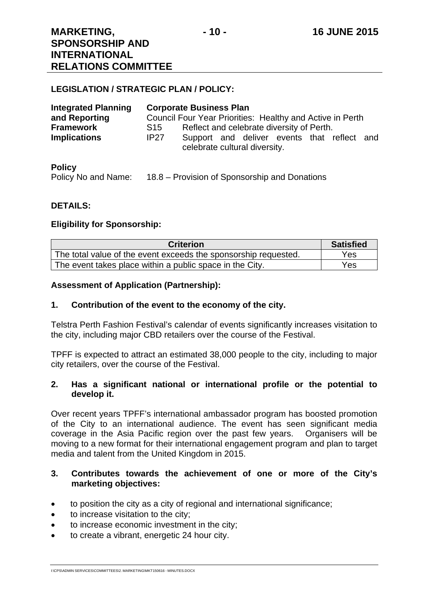#### **LEGISLATION / STRATEGIC PLAN / POLICY:**

| <b>Integrated Planning</b>              |             | <b>Corporate Business Plan</b>                                                                                            |  |  |  |
|-----------------------------------------|-------------|---------------------------------------------------------------------------------------------------------------------------|--|--|--|
| and Reporting                           |             | Council Four Year Priorities: Healthy and Active in Perth                                                                 |  |  |  |
| <b>Framework</b><br><b>Implications</b> | S15<br>IP27 | Reflect and celebrate diversity of Perth.<br>Support and deliver events that reflect and<br>celebrate cultural diversity. |  |  |  |

#### **Policy**

Policy No and Name: 18.8 – Provision of Sponsorship and Donations

#### **DETAILS:**

#### **Eligibility for Sponsorship:**

| <b>Criterion</b>                                                | <b>Satisfied</b> |
|-----------------------------------------------------------------|------------------|
| The total value of the event exceeds the sponsorship requested. | Yes              |
| The event takes place within a public space in the City.        | Yes              |

#### **Assessment of Application (Partnership):**

#### **1. Contribution of the event to the economy of the city.**

Telstra Perth Fashion Festival's calendar of events significantly increases visitation to the city, including major CBD retailers over the course of the Festival.

TPFF is expected to attract an estimated 38,000 people to the city, including to major city retailers, over the course of the Festival.

#### **2. Has a significant national or international profile or the potential to develop it.**

Over recent years TPFF's international ambassador program has boosted promotion of the City to an international audience. The event has seen significant media coverage in the Asia Pacific region over the past few years. Organisers will be moving to a new format for their international engagement program and plan to target media and talent from the United Kingdom in 2015.

#### **3. Contributes towards the achievement of one or more of the City's marketing objectives:**

- to position the city as a city of regional and international significance;
- to increase visitation to the city;
- to increase economic investment in the city;
- to create a vibrant, energetic 24 hour city.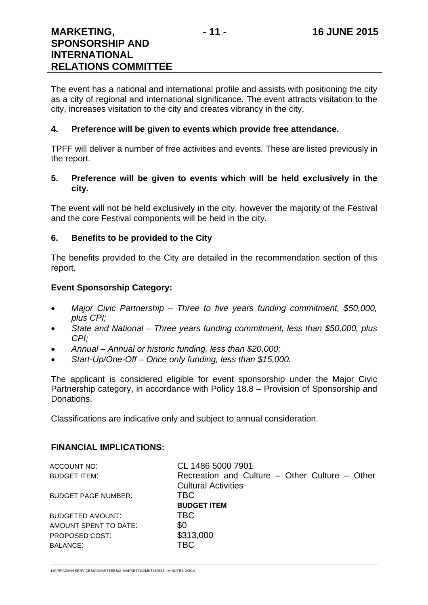The event has a national and international profile and assists with positioning the city as a city of regional and international significance. The event attracts visitation to the city, increases visitation to the city and creates vibrancy in the city.

#### **4. Preference will be given to events which provide free attendance.**

TPFF will deliver a number of free activities and events. These are listed previously in the report.

#### **5. Preference will be given to events which will be held exclusively in the city.**

The event will not be held exclusively in the city, however the majority of the Festival and the core Festival components will be held in the city.

#### **6. Benefits to be provided to the City**

The benefits provided to the City are detailed in the recommendation section of this report.

#### **Event Sponsorship Category:**

- *Major Civic Partnership Three to five years funding commitment, \$50,000, plus CPI;*
- *State and National Three years funding commitment, less than \$50,000, plus CPI;*
- *Annual Annual or historic funding, less than \$20,000;*
- *Start-Up/One-Off Once only funding, less than \$15,000.*

The applicant is considered eligible for event sponsorship under the Major Civic Partnership category, in accordance with Policy 18.8 – Provision of Sponsorship and Donations.

Classifications are indicative only and subject to annual consideration.

#### **FINANCIAL IMPLICATIONS:**

| CL 1486 5000 7901                              |
|------------------------------------------------|
| Recreation and Culture – Other Culture – Other |
| <b>Cultural Activities</b>                     |
| <b>TBC</b>                                     |
| <b>BUDGET ITEM</b>                             |
| <b>TBC</b>                                     |
| \$0                                            |
| \$313,000                                      |
| TBC                                            |
|                                                |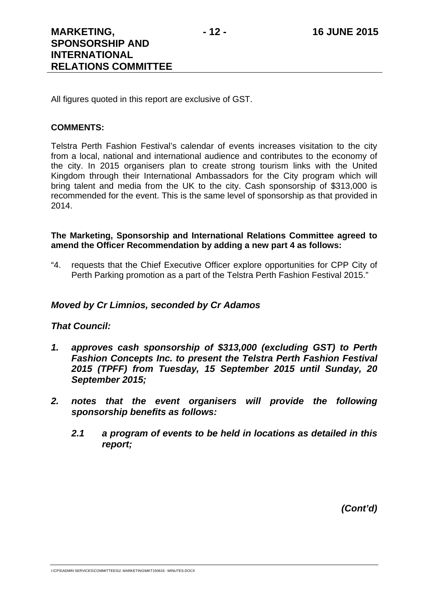All figures quoted in this report are exclusive of GST.

#### **COMMENTS:**

Telstra Perth Fashion Festival's calendar of events increases visitation to the city from a local, national and international audience and contributes to the economy of the city. In 2015 organisers plan to create strong tourism links with the United Kingdom through their International Ambassadors for the City program which will bring talent and media from the UK to the city. Cash sponsorship of \$313,000 is recommended for the event. This is the same level of sponsorship as that provided in 2014.

#### **The Marketing, Sponsorship and International Relations Committee agreed to amend the Officer Recommendation by adding a new part 4 as follows:**

"4. requests that the Chief Executive Officer explore opportunities for CPP City of Perth Parking promotion as a part of the Telstra Perth Fashion Festival 2015."

#### *Moved by Cr Limnios, seconded by Cr Adamos*

#### *That Council:*

- *1. approves cash sponsorship of \$313,000 (excluding GST) to Perth Fashion Concepts Inc. to present the Telstra Perth Fashion Festival 2015 (TPFF) from Tuesday, 15 September 2015 until Sunday, 20 September 2015;*
- *2. notes that the event organisers will provide the following sponsorship benefits as follows:* 
	- *2.1 a program of events to be held in locations as detailed in this report;*

*(Cont'd)*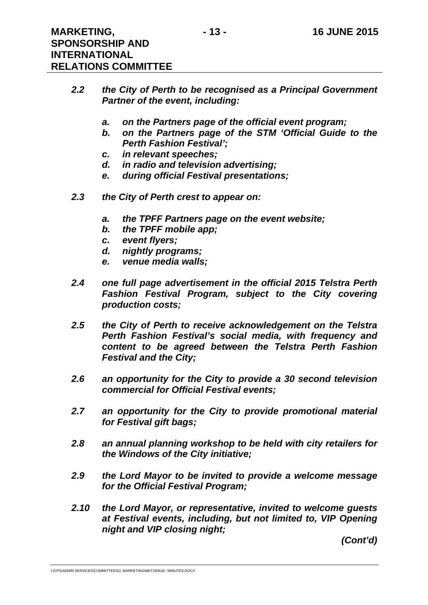- *2.2 the City of Perth to be recognised as a Principal Government Partner of the event, including:* 
	- *a. on the Partners page of the official event program;*
	- *b. on the Partners page of the STM 'Official Guide to the Perth Fashion Festival';*
	- *c. in relevant speeches;*
	- *d. in radio and television advertising;*
	- *e. during official Festival presentations;*
- *2.3 the City of Perth crest to appear on:* 
	- *a. the TPFF Partners page on the event website;*
	- *b. the TPFF mobile app;*
	- *c. event flyers;*
	- *d. nightly programs;*
	- *e. venue media walls;*
- *2.4 one full page advertisement in the official 2015 Telstra Perth Fashion Festival Program, subject to the City covering production costs;*
- *2.5 the City of Perth to receive acknowledgement on the Telstra Perth Fashion Festival's social media, with frequency and content to be agreed between the Telstra Perth Fashion Festival and the City;*
- *2.6 an opportunity for the City to provide a 30 second television commercial for Official Festival events;*
- *2.7 an opportunity for the City to provide promotional material for Festival gift bags;*
- *2.8 an annual planning workshop to be held with city retailers for the Windows of the City initiative;*
- *2.9 the Lord Mayor to be invited to provide a welcome message for the Official Festival Program;*
- *2.10 the Lord Mayor, or representative, invited to welcome guests at Festival events, including, but not limited to, VIP Opening night and VIP closing night;*

*(Cont'd)* 

I:\CPS\ADMIN SERVICES\COMMITTEES\2. MARKETING\MKT150616 - MINUTES.DOCX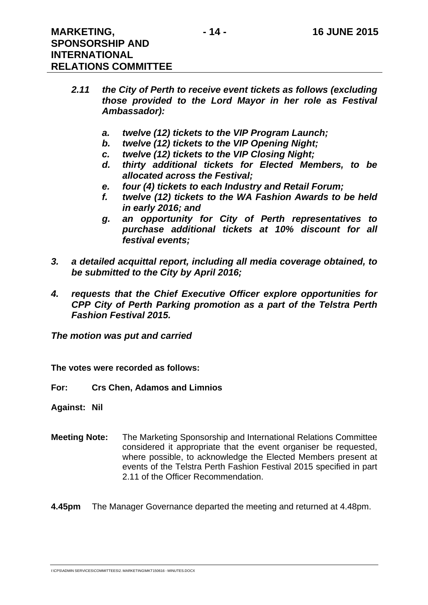**RELATIONS COMMITTEE** 

- *2.11 the City of Perth to receive event tickets as follows (excluding those provided to the Lord Mayor in her role as Festival Ambassador):* 
	- *a. twelve (12) tickets to the VIP Program Launch;*
	- *b. twelve (12) tickets to the VIP Opening Night;*
	- *c. twelve (12) tickets to the VIP Closing Night;*
	- *d. thirty additional tickets for Elected Members, to be allocated across the Festival;*
	- *e. four (4) tickets to each Industry and Retail Forum;*
	- *f. twelve (12) tickets to the WA Fashion Awards to be held in early 2016; and*
	- *g. an opportunity for City of Perth representatives to purchase additional tickets at 10% discount for all festival events;*
- *3. a detailed acquittal report, including all media coverage obtained, to be submitted to the City by April 2016;*
- *4. requests that the Chief Executive Officer explore opportunities for CPP City of Perth Parking promotion as a part of the Telstra Perth Fashion Festival 2015.*

*The motion was put and carried* 

**The votes were recorded as follows:** 

**For: Crs Chen, Adamos and Limnios** 

**Against: Nil** 

**Meeting Note:** The Marketing Sponsorship and International Relations Committee considered it appropriate that the event organiser be requested, where possible, to acknowledge the Elected Members present at events of the Telstra Perth Fashion Festival 2015 specified in part 2.11 of the Officer Recommendation.

**4.45pm** The Manager Governance departed the meeting and returned at 4.48pm.

I:\CPS\ADMIN SERVICES\COMMITTEES\2. MARKETING\MKT150616 - MINUTES.DOCX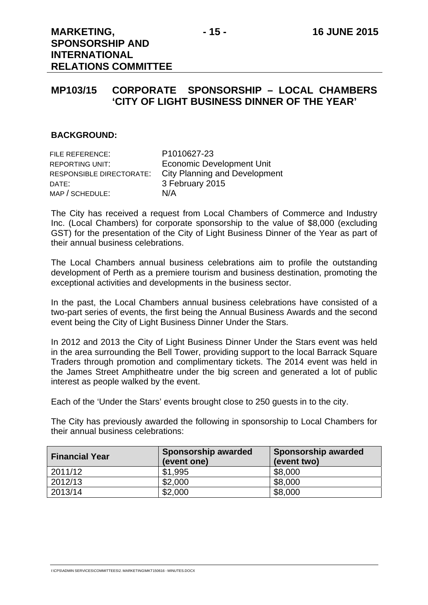## **MP103/15 CORPORATE SPONSORSHIP – LOCAL CHAMBERS 'CITY OF LIGHT BUSINESS DINNER OF THE YEAR'**

#### **BACKGROUND:**

| FILE REFERENCE:          | P1010627-23                          |
|--------------------------|--------------------------------------|
| <b>REPORTING UNIT:</b>   | <b>Economic Development Unit</b>     |
| RESPONSIBLE DIRECTORATE: | <b>City Planning and Development</b> |
| DATE:                    | 3 February 2015                      |
| MAP / SCHEDULE:          | N/A                                  |

The City has received a request from Local Chambers of Commerce and Industry Inc. (Local Chambers) for corporate sponsorship to the value of \$8,000 (excluding GST) for the presentation of the City of Light Business Dinner of the Year as part of their annual business celebrations.

The Local Chambers annual business celebrations aim to profile the outstanding development of Perth as a premiere tourism and business destination, promoting the exceptional activities and developments in the business sector.

In the past, the Local Chambers annual business celebrations have consisted of a two-part series of events, the first being the Annual Business Awards and the second event being the City of Light Business Dinner Under the Stars.

In 2012 and 2013 the City of Light Business Dinner Under the Stars event was held in the area surrounding the Bell Tower, providing support to the local Barrack Square Traders through promotion and complimentary tickets. The 2014 event was held in the James Street Amphitheatre under the big screen and generated a lot of public interest as people walked by the event.

Each of the 'Under the Stars' events brought close to 250 guests in to the city.

The City has previously awarded the following in sponsorship to Local Chambers for their annual business celebrations:

| <b>Financial Year</b> | <b>Sponsorship awarded</b><br>(event one) | <b>Sponsorship awarded</b><br>(event two) |
|-----------------------|-------------------------------------------|-------------------------------------------|
| 2011/12               | \$1,995                                   | \$8,000                                   |
| 2012/13               | \$2,000                                   | \$8,000                                   |
| 2013/14               | \$2,000                                   | \$8,000                                   |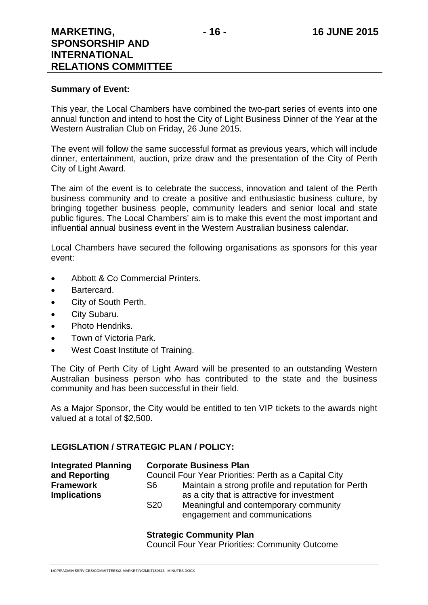#### **Summary of Event:**

This year, the Local Chambers have combined the two-part series of events into one annual function and intend to host the City of Light Business Dinner of the Year at the Western Australian Club on Friday, 26 June 2015.

The event will follow the same successful format as previous years, which will include dinner, entertainment, auction, prize draw and the presentation of the City of Perth City of Light Award.

The aim of the event is to celebrate the success, innovation and talent of the Perth business community and to create a positive and enthusiastic business culture, by bringing together business people, community leaders and senior local and state public figures. The Local Chambers' aim is to make this event the most important and influential annual business event in the Western Australian business calendar.

Local Chambers have secured the following organisations as sponsors for this year event:

- Abbott & Co Commercial Printers.
- Bartercard.
- City of South Perth.
- City Subaru.
- Photo Hendriks.
- Town of Victoria Park.
- West Coast Institute of Training.

The City of Perth City of Light Award will be presented to an outstanding Western Australian business person who has contributed to the state and the business community and has been successful in their field.

As a Major Sponsor, the City would be entitled to ten VIP tickets to the awards night valued at a total of \$2,500.

#### **LEGISLATION / STRATEGIC PLAN / POLICY:**

| <b>Integrated Planning</b> |                                                       | <b>Corporate Business Plan</b>                                         |  |
|----------------------------|-------------------------------------------------------|------------------------------------------------------------------------|--|
| and Reporting              | Council Four Year Priorities: Perth as a Capital City |                                                                        |  |
| <b>Framework</b>           | S6                                                    | Maintain a strong profile and reputation for Perth                     |  |
| <b>Implications</b>        |                                                       | as a city that is attractive for investment                            |  |
|                            | S <sub>20</sub>                                       | Meaningful and contemporary community<br>engagement and communications |  |

#### **Strategic Community Plan**

Council Four Year Priorities: Community Outcome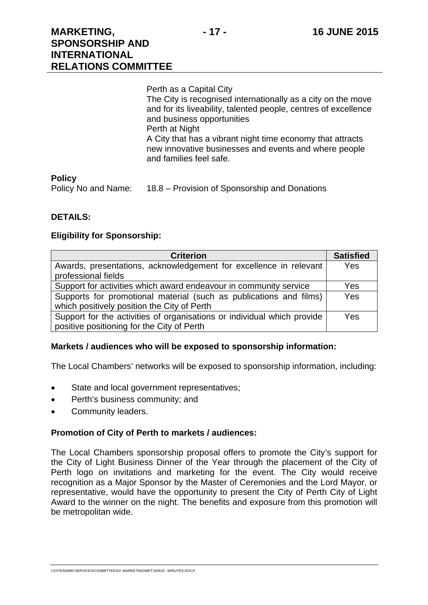Perth as a Capital City The City is recognised internationally as a city on the move and for its liveability, talented people, centres of excellence and business opportunities Perth at Night A City that has a vibrant night time economy that attracts new innovative businesses and events and where people and families feel safe.

#### **Policy**

Policy No and Name: 18.8 – Provision of Sponsorship and Donations

#### **DETAILS:**

#### **Eligibility for Sponsorship:**

| <b>Criterion</b>                                                        | <b>Satisfied</b> |
|-------------------------------------------------------------------------|------------------|
| Awards, presentations, acknowledgement for excellence in relevant       | <b>Yes</b>       |
| professional fields                                                     |                  |
| Support for activities which award endeavour in community service       | Yes              |
| Supports for promotional material (such as publications and films)      | <b>Yes</b>       |
| which positively position the City of Perth                             |                  |
| Support for the activities of organisations or individual which provide | <b>Yes</b>       |
| positive positioning for the City of Perth                              |                  |

#### **Markets / audiences who will be exposed to sponsorship information:**

The Local Chambers' networks will be exposed to sponsorship information, including:

- State and local government representatives;
- Perth's business community; and
- Community leaders.

#### **Promotion of City of Perth to markets / audiences:**

The Local Chambers sponsorship proposal offers to promote the City's support for the City of Light Business Dinner of the Year through the placement of the City of Perth logo on invitations and marketing for the event. The City would receive recognition as a Major Sponsor by the Master of Ceremonies and the Lord Mayor, or representative, would have the opportunity to present the City of Perth City of Light Award to the winner on the night. The benefits and exposure from this promotion will be metropolitan wide.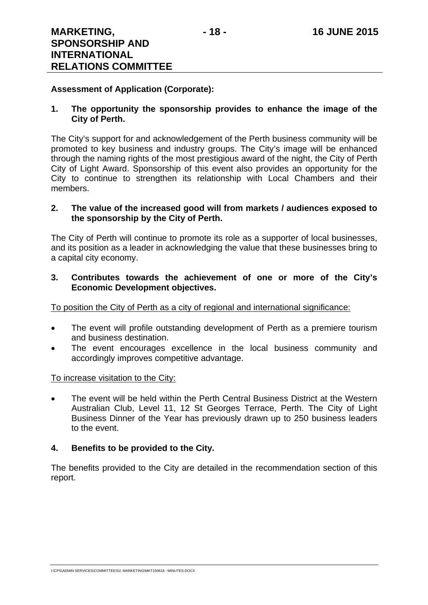#### **Assessment of Application (Corporate):**

#### **1. The opportunity the sponsorship provides to enhance the image of the City of Perth.**

The City's support for and acknowledgement of the Perth business community will be promoted to key business and industry groups. The City's image will be enhanced through the naming rights of the most prestigious award of the night, the City of Perth City of Light Award. Sponsorship of this event also provides an opportunity for the City to continue to strengthen its relationship with Local Chambers and their members.

#### **2. The value of the increased good will from markets / audiences exposed to the sponsorship by the City of Perth.**

The City of Perth will continue to promote its role as a supporter of local businesses, and its position as a leader in acknowledging the value that these businesses bring to a capital city economy.

#### **3. Contributes towards the achievement of one or more of the City's Economic Development objectives.**

To position the City of Perth as a city of regional and international significance:

- The event will profile outstanding development of Perth as a premiere tourism and business destination.
- The event encourages excellence in the local business community and accordingly improves competitive advantage.

#### To increase visitation to the City:

 The event will be held within the Perth Central Business District at the Western Australian Club, Level 11, 12 St Georges Terrace, Perth. The City of Light Business Dinner of the Year has previously drawn up to 250 business leaders to the event.

#### **4. Benefits to be provided to the City.**

The benefits provided to the City are detailed in the recommendation section of this report.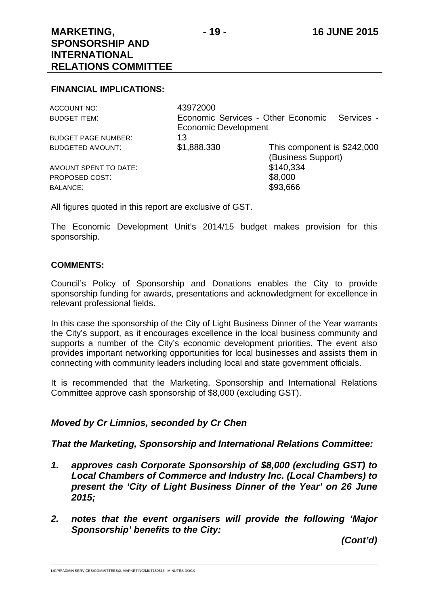#### **FINANCIAL IMPLICATIONS:**

| ACCOUNT NO:                | 43972000                    |                                                  |
|----------------------------|-----------------------------|--------------------------------------------------|
| <b>BUDGET ITEM:</b>        |                             | Economic Services - Other Economic<br>Services - |
|                            | <b>Economic Development</b> |                                                  |
| <b>BUDGET PAGE NUMBER:</b> | 13                          |                                                  |
| <b>BUDGETED AMOUNT:</b>    | \$1,888,330                 | This component is \$242,000                      |
|                            |                             | (Business Support)                               |
| AMOUNT SPENT TO DATE:      |                             | \$140,334                                        |
| PROPOSED COST:             |                             | \$8,000                                          |
| <b>BALANCE:</b>            |                             | \$93,666                                         |
|                            |                             |                                                  |

All figures quoted in this report are exclusive of GST.

The Economic Development Unit's 2014/15 budget makes provision for this sponsorship.

#### **COMMENTS:**

Council's Policy of Sponsorship and Donations enables the City to provide sponsorship funding for awards, presentations and acknowledgment for excellence in relevant professional fields.

In this case the sponsorship of the City of Light Business Dinner of the Year warrants the City's support, as it encourages excellence in the local business community and supports a number of the City's economic development priorities. The event also provides important networking opportunities for local businesses and assists them in connecting with community leaders including local and state government officials.

It is recommended that the Marketing, Sponsorship and International Relations Committee approve cash sponsorship of \$8,000 (excluding GST).

#### *Moved by Cr Limnios, seconded by Cr Chen*

#### *That the Marketing, Sponsorship and International Relations Committee:*

- *1. approves cash Corporate Sponsorship of \$8,000 (excluding GST) to Local Chambers of Commerce and Industry Inc. (Local Chambers) to present the 'City of Light Business Dinner of the Year' on 26 June 2015;*
- *2. notes that the event organisers will provide the following 'Major Sponsorship' benefits to the City:*

*(Cont'd)*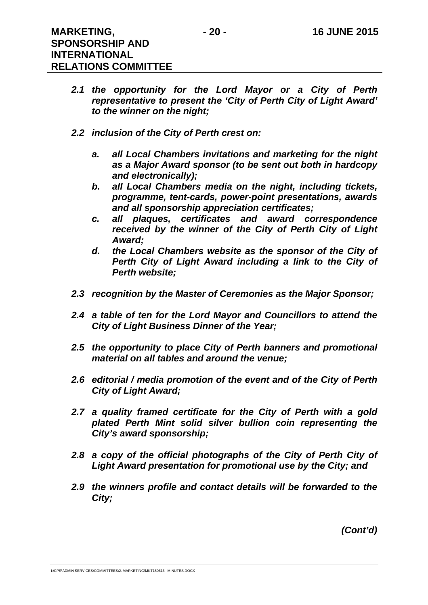- *2.1 the opportunity for the Lord Mayor or a City of Perth representative to present the 'City of Perth City of Light Award' to the winner on the night;*
- *2.2 inclusion of the City of Perth crest on:* 
	- *a. all Local Chambers invitations and marketing for the night as a Major Award sponsor (to be sent out both in hardcopy and electronically);*
	- *b. all Local Chambers media on the night, including tickets, programme, tent-cards, power-point presentations, awards and all sponsorship appreciation certificates;*
	- *c. all plaques, certificates and award correspondence received by the winner of the City of Perth City of Light Award;*
	- *d. the Local Chambers website as the sponsor of the City of Perth City of Light Award including a link to the City of Perth website;*
- *2.3 recognition by the Master of Ceremonies as the Major Sponsor;*
- *2.4 a table of ten for the Lord Mayor and Councillors to attend the City of Light Business Dinner of the Year;*
- *2.5 the opportunity to place City of Perth banners and promotional material on all tables and around the venue;*
- *2.6 editorial / media promotion of the event and of the City of Perth City of Light Award;*
- *2.7 a quality framed certificate for the City of Perth with a gold plated Perth Mint solid silver bullion coin representing the City's award sponsorship;*
- *2.8 a copy of the official photographs of the City of Perth City of Light Award presentation for promotional use by the City; and*
- *2.9 the winners profile and contact details will be forwarded to the City;*

*(Cont'd)* 

I:\CPS\ADMIN SERVICES\COMMITTEES\2. MARKETING\MKT150616 - MINUTES.DOCX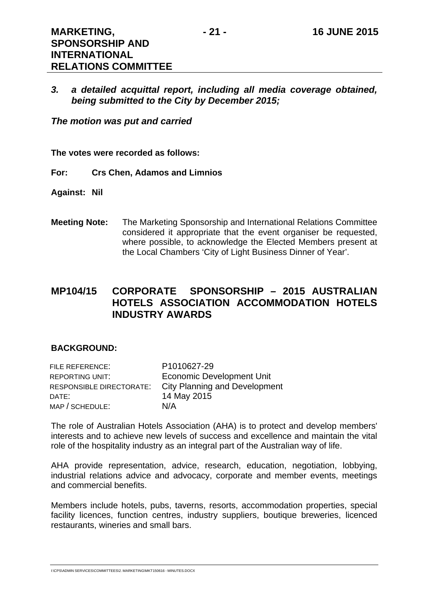*3. a detailed acquittal report, including all media coverage obtained, being submitted to the City by December 2015;* 

*The motion was put and carried* 

**RELATIONS COMMITTEE** 

**The votes were recorded as follows:** 

**For: Crs Chen, Adamos and Limnios** 

**Against: Nil** 

**Meeting Note:** The Marketing Sponsorship and International Relations Committee considered it appropriate that the event organiser be requested, where possible, to acknowledge the Elected Members present at the Local Chambers 'City of Light Business Dinner of Year'.

## **MP104/15 CORPORATE SPONSORSHIP – 2015 AUSTRALIAN HOTELS ASSOCIATION ACCOMMODATION HOTELS INDUSTRY AWARDS**

#### **BACKGROUND:**

| FILE REFERENCE:          | P1010627-29                          |
|--------------------------|--------------------------------------|
| REPORTING UNIT:          | <b>Economic Development Unit</b>     |
| RESPONSIBLE DIRECTORATE: | <b>City Planning and Development</b> |
| DATE:                    | 14 May 2015                          |
| MAP / SCHEDULE:          | N/A                                  |

The role of Australian Hotels Association (AHA) is to protect and develop members' interests and to achieve new levels of success and excellence and maintain the vital role of the hospitality industry as an integral part of the Australian way of life.

AHA provide representation, advice, research, education, negotiation, lobbying, industrial relations advice and advocacy, corporate and member events, meetings and commercial benefits.

Members include hotels, pubs, taverns, resorts, accommodation properties, special facility licences, function centres, industry suppliers, boutique breweries, licenced restaurants, wineries and small bars.

I:\CPS\ADMIN SERVICES\COMMITTEES\2. MARKETING\MKT150616 - MINUTES.DOCX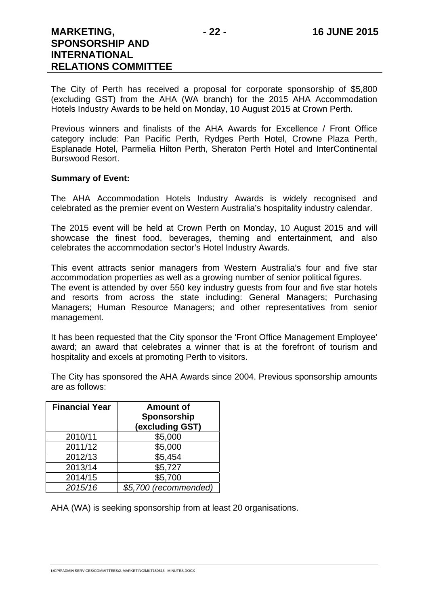The City of Perth has received a proposal for corporate sponsorship of \$5,800 (excluding GST) from the AHA (WA branch) for the 2015 AHA Accommodation Hotels Industry Awards to be held on Monday, 10 August 2015 at Crown Perth.

Previous winners and finalists of the AHA Awards for Excellence / Front Office category include: Pan Pacific Perth, Rydges Perth Hotel, Crowne Plaza Perth, Esplanade Hotel, Parmelia Hilton Perth, Sheraton Perth Hotel and InterContinental Burswood Resort.

#### **Summary of Event:**

The AHA Accommodation Hotels Industry Awards is widely recognised and celebrated as the premier event on Western Australia's hospitality industry calendar.

The 2015 event will be held at Crown Perth on Monday, 10 August 2015 and will showcase the finest food, beverages, theming and entertainment, and also celebrates the accommodation sector's Hotel Industry Awards.

This event attracts senior managers from Western Australia's four and five star accommodation properties as well as a growing number of senior political figures. The event is attended by over 550 key industry guests from four and five star hotels and resorts from across the state including: General Managers; Purchasing Managers; Human Resource Managers; and other representatives from senior management.

It has been requested that the City sponsor the 'Front Office Management Employee' award; an award that celebrates a winner that is at the forefront of tourism and hospitality and excels at promoting Perth to visitors.

The City has sponsored the AHA Awards since 2004. Previous sponsorship amounts are as follows:

| <b>Financial Year</b> | <b>Amount of</b><br>Sponsorship<br>(excluding GST) |
|-----------------------|----------------------------------------------------|
| 2010/11               | \$5,000                                            |
| 2011/12               | \$5,000                                            |
| 2012/13               | \$5,454                                            |
| 2013/14               | \$5,727                                            |
| 2014/15               | \$5,700                                            |
| 2015/16               | \$5,700 (recommended)                              |

AHA (WA) is seeking sponsorship from at least 20 organisations.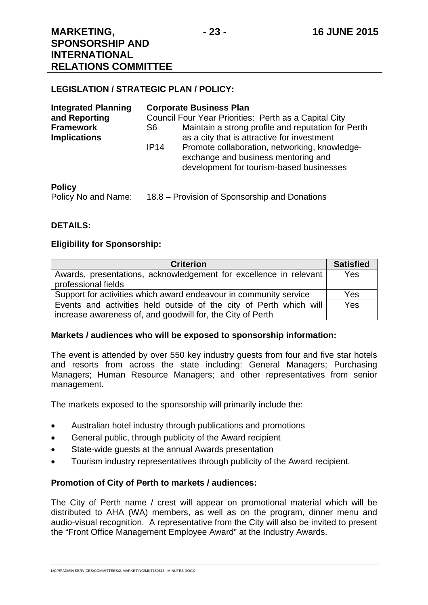#### **LEGISLATION / STRATEGIC PLAN / POLICY:**

| <b>Integrated Planning</b>              | <b>Corporate Business Plan</b>                                                                                                           |
|-----------------------------------------|------------------------------------------------------------------------------------------------------------------------------------------|
| and Reporting                           | Council Four Year Priorities: Perth as a Capital City                                                                                    |
| <b>Framework</b><br><b>Implications</b> | Maintain a strong profile and reputation for Perth<br>S6<br>as a city that is attractive for investment                                  |
|                                         | Promote collaboration, networking, knowledge-<br>IP14<br>exchange and business mentoring and<br>development for tourism-based businesses |
| <b>Policy</b>                           |                                                                                                                                          |

#### **Policy**

Policy No and Name: 18.8 – Provision of Sponsorship and Donations

#### **DETAILS:**

#### **Eligibility for Sponsorship:**

| <b>Criterion</b>                                                   | <b>Satisfied</b> |
|--------------------------------------------------------------------|------------------|
| Awards, presentations, acknowledgement for excellence in relevant  | <b>Yes</b>       |
| professional fields                                                |                  |
| Support for activities which award endeavour in community service  | Yes              |
| Events and activities held outside of the city of Perth which will | Yes              |
| increase awareness of, and goodwill for, the City of Perth         |                  |

#### **Markets / audiences who will be exposed to sponsorship information:**

The event is attended by over 550 key industry guests from four and five star hotels and resorts from across the state including: General Managers; Purchasing Managers; Human Resource Managers; and other representatives from senior management.

The markets exposed to the sponsorship will primarily include the:

- Australian hotel industry through publications and promotions
- General public, through publicity of the Award recipient
- State-wide guests at the annual Awards presentation
- Tourism industry representatives through publicity of the Award recipient.

#### **Promotion of City of Perth to markets / audiences:**

The City of Perth name / crest will appear on promotional material which will be distributed to AHA (WA) members, as well as on the program, dinner menu and audio-visual recognition. A representative from the City will also be invited to present the "Front Office Management Employee Award" at the Industry Awards.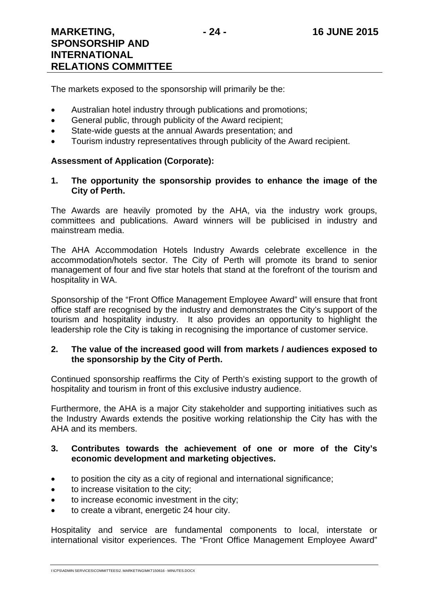The markets exposed to the sponsorship will primarily be the:

- Australian hotel industry through publications and promotions;
- General public, through publicity of the Award recipient;
- State-wide guests at the annual Awards presentation; and
- Tourism industry representatives through publicity of the Award recipient.

#### **Assessment of Application (Corporate):**

**1. The opportunity the sponsorship provides to enhance the image of the City of Perth.** 

The Awards are heavily promoted by the AHA, via the industry work groups, committees and publications. Award winners will be publicised in industry and mainstream media.

The AHA Accommodation Hotels Industry Awards celebrate excellence in the accommodation/hotels sector. The City of Perth will promote its brand to senior management of four and five star hotels that stand at the forefront of the tourism and hospitality in WA.

Sponsorship of the "Front Office Management Employee Award" will ensure that front office staff are recognised by the industry and demonstrates the City's support of the tourism and hospitality industry. It also provides an opportunity to highlight the leadership role the City is taking in recognising the importance of customer service.

#### **2. The value of the increased good will from markets / audiences exposed to the sponsorship by the City of Perth.**

Continued sponsorship reaffirms the City of Perth's existing support to the growth of hospitality and tourism in front of this exclusive industry audience.

Furthermore, the AHA is a major City stakeholder and supporting initiatives such as the Industry Awards extends the positive working relationship the City has with the AHA and its members.

#### **3. Contributes towards the achievement of one or more of the City's economic development and marketing objectives.**

- to position the city as a city of regional and international significance;
- to increase visitation to the city;
- to increase economic investment in the city;
- to create a vibrant, energetic 24 hour city.

Hospitality and service are fundamental components to local, interstate or international visitor experiences. The "Front Office Management Employee Award"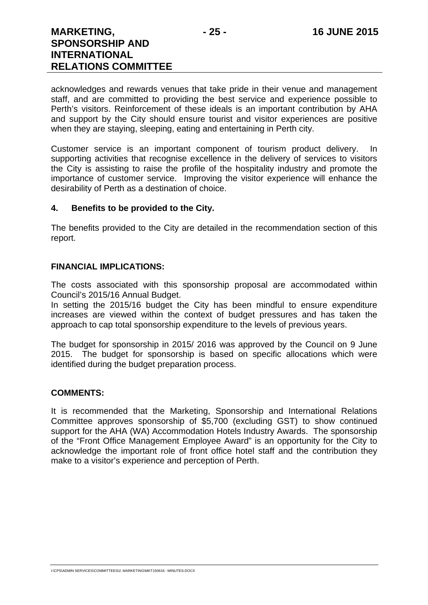acknowledges and rewards venues that take pride in their venue and management staff, and are committed to providing the best service and experience possible to Perth's visitors. Reinforcement of these ideals is an important contribution by AHA and support by the City should ensure tourist and visitor experiences are positive when they are staying, sleeping, eating and entertaining in Perth city.

Customer service is an important component of tourism product delivery. In supporting activities that recognise excellence in the delivery of services to visitors the City is assisting to raise the profile of the hospitality industry and promote the importance of customer service. Improving the visitor experience will enhance the desirability of Perth as a destination of choice.

#### **4. Benefits to be provided to the City.**

The benefits provided to the City are detailed in the recommendation section of this report.

#### **FINANCIAL IMPLICATIONS:**

The costs associated with this sponsorship proposal are accommodated within Council's 2015/16 Annual Budget.

In setting the 2015/16 budget the City has been mindful to ensure expenditure increases are viewed within the context of budget pressures and has taken the approach to cap total sponsorship expenditure to the levels of previous years.

The budget for sponsorship in 2015/ 2016 was approved by the Council on 9 June 2015. The budget for sponsorship is based on specific allocations which were identified during the budget preparation process.

#### **COMMENTS:**

It is recommended that the Marketing, Sponsorship and International Relations Committee approves sponsorship of \$5,700 (excluding GST) to show continued support for the AHA (WA) Accommodation Hotels Industry Awards. The sponsorship of the "Front Office Management Employee Award" is an opportunity for the City to acknowledge the important role of front office hotel staff and the contribution they make to a visitor's experience and perception of Perth.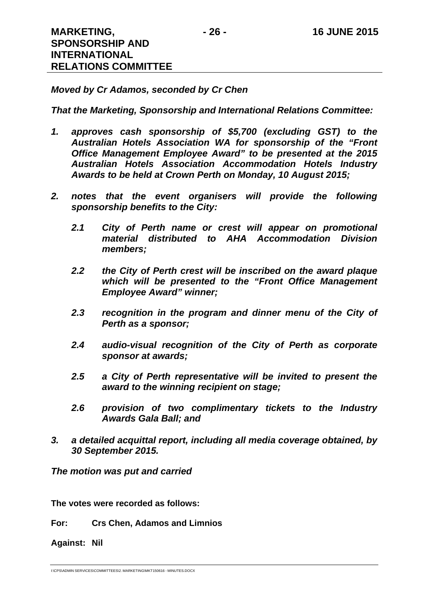#### *Moved by Cr Adamos, seconded by Cr Chen*

#### *That the Marketing, Sponsorship and International Relations Committee:*

- *1. approves cash sponsorship of \$5,700 (excluding GST) to the Australian Hotels Association WA for sponsorship of the "Front Office Management Employee Award" to be presented at the 2015 Australian Hotels Association Accommodation Hotels Industry Awards to be held at Crown Perth on Monday, 10 August 2015;*
- *2. notes that the event organisers will provide the following sponsorship benefits to the City:* 
	- *2.1 City of Perth name or crest will appear on promotional material distributed to AHA Accommodation Division members;*
	- *2.2 the City of Perth crest will be inscribed on the award plaque which will be presented to the "Front Office Management Employee Award" winner;*
	- *2.3 recognition in the program and dinner menu of the City of Perth as a sponsor;*
	- *2.4 audio-visual recognition of the City of Perth as corporate sponsor at awards;*
	- *2.5 a City of Perth representative will be invited to present the award to the winning recipient on stage;*
	- *2.6 provision of two complimentary tickets to the Industry Awards Gala Ball; and*
- *3. a detailed acquittal report, including all media coverage obtained, by 30 September 2015.*

*The motion was put and carried* 

**The votes were recorded as follows:** 

**For: Crs Chen, Adamos and Limnios** 

**Against: Nil** 

I:\CPS\ADMIN SERVICES\COMMITTEES\2. MARKETING\MKT150616 - MINUTES.DOCX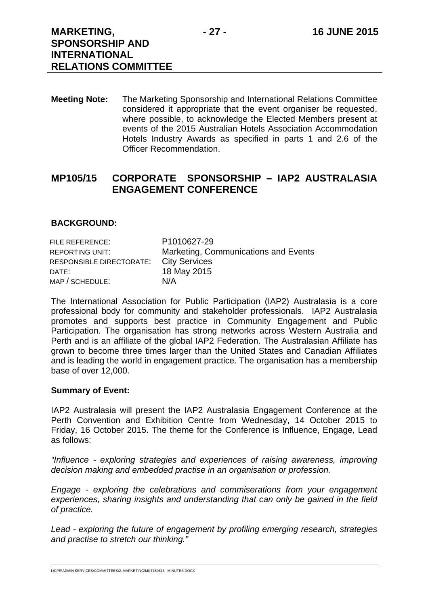**Meeting Note:** The Marketing Sponsorship and International Relations Committee considered it appropriate that the event organiser be requested, where possible, to acknowledge the Elected Members present at events of the 2015 Australian Hotels Association Accommodation Hotels Industry Awards as specified in parts 1 and 2.6 of the Officer Recommendation.

## **MP105/15 CORPORATE SPONSORSHIP – IAP2 AUSTRALASIA ENGAGEMENT CONFERENCE**

#### **BACKGROUND:**

| FILE REFERENCE:          | P1010627-29                          |
|--------------------------|--------------------------------------|
| REPORTING UNIT:          | Marketing, Communications and Events |
| RESPONSIBLE DIRECTORATE: | <b>City Services</b>                 |
| DATE:                    | 18 May 2015                          |
| MAP / SCHEDULE:          | N/A                                  |

The International Association for Public Participation (IAP2) Australasia is a core professional body for community and stakeholder professionals. IAP2 Australasia promotes and supports best practice in Community Engagement and Public Participation. The organisation has strong networks across Western Australia and Perth and is an affiliate of the global IAP2 Federation. The Australasian Affiliate has grown to become three times larger than the United States and Canadian Affiliates and is leading the world in engagement practice. The organisation has a membership base of over 12,000.

#### **Summary of Event:**

IAP2 Australasia will present the IAP2 Australasia Engagement Conference at the Perth Convention and Exhibition Centre from Wednesday, 14 October 2015 to Friday, 16 October 2015. The theme for the Conference is Influence, Engage, Lead as follows:

*"Influence - exploring strategies and experiences of raising awareness, improving decision making and embedded practise in an organisation or profession.* 

*Engage - exploring the celebrations and commiserations from your engagement experiences, sharing insights and understanding that can only be gained in the field of practice.* 

*Lead - exploring the future of engagement by profiling emerging research, strategies and practise to stretch our thinking."* 

I:\CPS\ADMIN SERVICES\COMMITTEES\2. MARKETING\MKT150616 - MINUTES.DOCX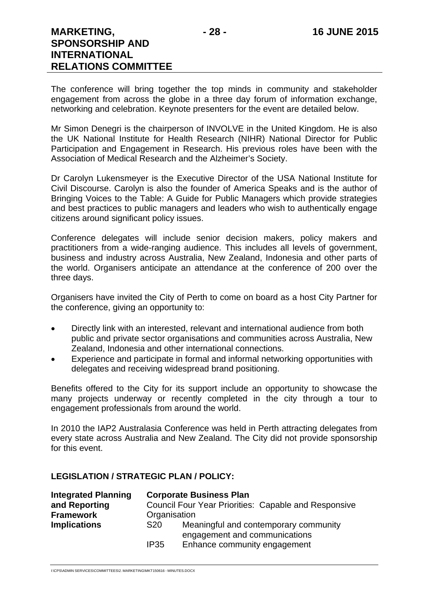The conference will bring together the top minds in community and stakeholder engagement from across the globe in a three day forum of information exchange, networking and celebration. Keynote presenters for the event are detailed below.

Mr Simon Denegri is the chairperson of INVOLVE in the United Kingdom. He is also the UK National Institute for Health Research (NIHR) National Director for Public Participation and Engagement in Research. His previous roles have been with the Association of Medical Research and the Alzheimer's Society.

Dr Carolyn Lukensmeyer is the Executive Director of the USA National Institute for Civil Discourse. Carolyn is also the founder of America Speaks and is the author of Bringing Voices to the Table: A Guide for Public Managers which provide strategies and best practices to public managers and leaders who wish to authentically engage citizens around significant policy issues.

Conference delegates will include senior decision makers, policy makers and practitioners from a wide-ranging audience. This includes all levels of government, business and industry across Australia, New Zealand, Indonesia and other parts of the world. Organisers anticipate an attendance at the conference of 200 over the three days.

Organisers have invited the City of Perth to come on board as a host City Partner for the conference, giving an opportunity to:

- Directly link with an interested, relevant and international audience from both public and private sector organisations and communities across Australia, New Zealand, Indonesia and other international connections.
- Experience and participate in formal and informal networking opportunities with delegates and receiving widespread brand positioning.

Benefits offered to the City for its support include an opportunity to showcase the many projects underway or recently completed in the city through a tour to engagement professionals from around the world.

In 2010 the IAP2 Australasia Conference was held in Perth attracting delegates from every state across Australia and New Zealand. The City did not provide sponsorship for this event.

#### **LEGISLATION / STRATEGIC PLAN / POLICY:**

| <b>Integrated Planning</b> |                                                             | <b>Corporate Business Plan</b>                                         |  |
|----------------------------|-------------------------------------------------------------|------------------------------------------------------------------------|--|
| and Reporting              | <b>Council Four Year Priorities: Capable and Responsive</b> |                                                                        |  |
| <b>Framework</b>           | Organisation                                                |                                                                        |  |
| <b>Implications</b>        | S <sub>20</sub>                                             | Meaningful and contemporary community<br>engagement and communications |  |
|                            | <b>IP35</b>                                                 | Enhance community engagement                                           |  |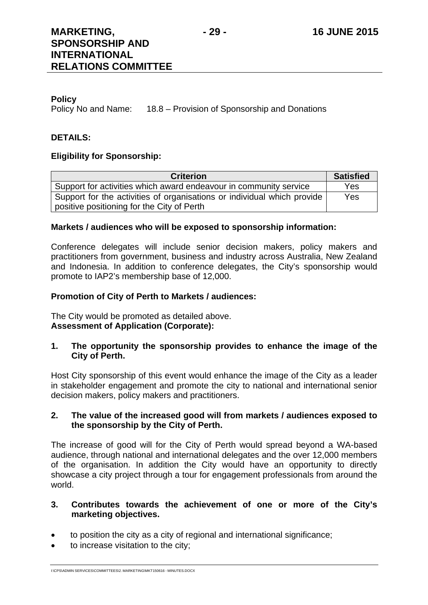#### **Policy**

Policy No and Name: 18.8 – Provision of Sponsorship and Donations

#### **DETAILS:**

#### **Eligibility for Sponsorship:**

| <b>Criterion</b>                                                        | <b>Satisfied</b> |  |
|-------------------------------------------------------------------------|------------------|--|
| Support for activities which award endeavour in community service       | Yes              |  |
| Support for the activities of organisations or individual which provide | Yes              |  |
| positive positioning for the City of Perth                              |                  |  |

#### **Markets / audiences who will be exposed to sponsorship information:**

Conference delegates will include senior decision makers, policy makers and practitioners from government, business and industry across Australia, New Zealand and Indonesia. In addition to conference delegates, the City's sponsorship would promote to IAP2's membership base of 12,000.

#### **Promotion of City of Perth to Markets / audiences:**

The City would be promoted as detailed above. **Assessment of Application (Corporate):** 

#### **1. The opportunity the sponsorship provides to enhance the image of the City of Perth.**

Host City sponsorship of this event would enhance the image of the City as a leader in stakeholder engagement and promote the city to national and international senior decision makers, policy makers and practitioners.

#### **2. The value of the increased good will from markets / audiences exposed to the sponsorship by the City of Perth.**

The increase of good will for the City of Perth would spread beyond a WA-based audience, through national and international delegates and the over 12,000 members of the organisation. In addition the City would have an opportunity to directly showcase a city project through a tour for engagement professionals from around the world.

#### **3. Contributes towards the achievement of one or more of the City's marketing objectives.**

- to position the city as a city of regional and international significance;
- to increase visitation to the city;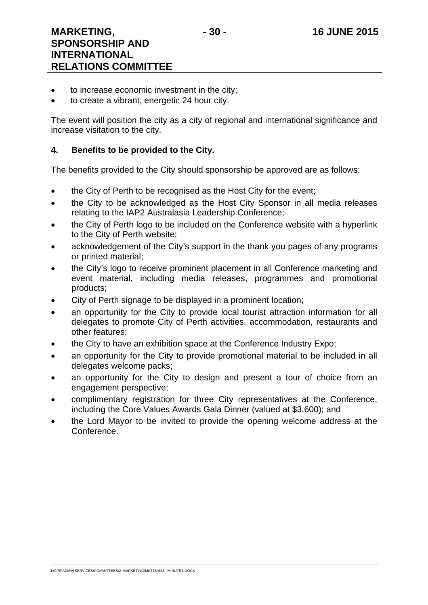- to increase economic investment in the city;
- to create a vibrant, energetic 24 hour city.

The event will position the city as a city of regional and international significance and increase visitation to the city.

#### **4. Benefits to be provided to the City.**

The benefits provided to the City should sponsorship be approved are as follows:

- the City of Perth to be recognised as the Host City for the event;
- the City to be acknowledged as the Host City Sponsor in all media releases relating to the IAP2 Australasia Leadership Conference;
- the City of Perth logo to be included on the Conference website with a hyperlink to the City of Perth website;
- acknowledgement of the City's support in the thank you pages of any programs or printed material;
- the City's logo to receive prominent placement in all Conference marketing and event material, including media releases, programmes and promotional products;
- City of Perth signage to be displayed in a prominent location;
- an opportunity for the City to provide local tourist attraction information for all delegates to promote City of Perth activities, accommodation, restaurants and other features;
- the City to have an exhibition space at the Conference Industry Expo;
- an opportunity for the City to provide promotional material to be included in all delegates welcome packs;
- an opportunity for the City to design and present a tour of choice from an engagement perspective;
- complimentary registration for three City representatives at the Conference, including the Core Values Awards Gala Dinner (valued at \$3,600); and
- the Lord Mayor to be invited to provide the opening welcome address at the Conference.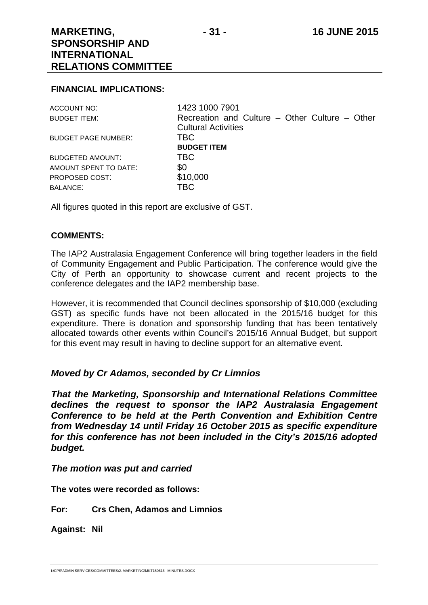#### **FINANCIAL IMPLICATIONS:**

| ACCOUNT NO:                | 1423 1000 7901                                 |
|----------------------------|------------------------------------------------|
| BUDGET ITEM:               | Recreation and Culture – Other Culture – Other |
|                            | <b>Cultural Activities</b>                     |
| <b>BUDGET PAGE NUMBER:</b> | <b>TBC</b>                                     |
|                            | <b>BUDGET ITEM</b>                             |
| <b>BUDGETED AMOUNT:</b>    | <b>TBC</b>                                     |
| AMOUNT SPENT TO DATE:      | \$0                                            |
| PROPOSED COST:             | \$10,000                                       |
| <b>BALANCE:</b>            | <b>TBC</b>                                     |
|                            |                                                |

All figures quoted in this report are exclusive of GST.

#### **COMMENTS:**

The IAP2 Australasia Engagement Conference will bring together leaders in the field of Community Engagement and Public Participation. The conference would give the City of Perth an opportunity to showcase current and recent projects to the conference delegates and the IAP2 membership base.

However, it is recommended that Council declines sponsorship of \$10,000 (excluding GST) as specific funds have not been allocated in the 2015/16 budget for this expenditure. There is donation and sponsorship funding that has been tentatively allocated towards other events within Council's 2015/16 Annual Budget, but support for this event may result in having to decline support for an alternative event.

#### *Moved by Cr Adamos, seconded by Cr Limnios*

*That the Marketing, Sponsorship and International Relations Committee declines the request to sponsor the IAP2 Australasia Engagement Conference to be held at the Perth Convention and Exhibition Centre from Wednesday 14 until Friday 16 October 2015 as specific expenditure for this conference has not been included in the City's 2015/16 adopted budget.* 

#### *The motion was put and carried*

**The votes were recorded as follows:** 

**For: Crs Chen, Adamos and Limnios** 

**Against: Nil**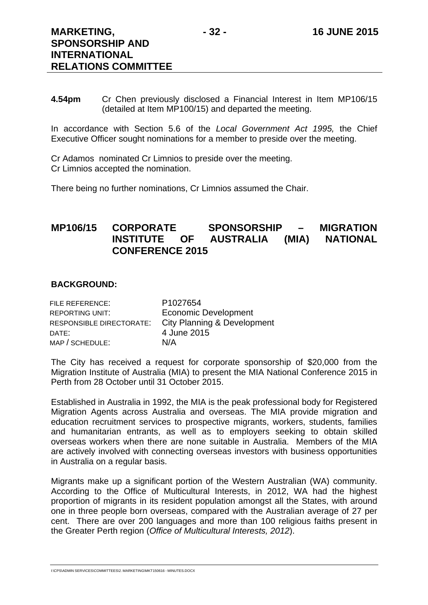**4.54pm** Cr Chen previously disclosed a Financial Interest in Item MP106/15 (detailed at Item MP100/15) and departed the meeting.

In accordance with Section 5.6 of the *Local Government Act 1995,* the Chief Executive Officer sought nominations for a member to preside over the meeting.

Cr Adamos nominated Cr Limnios to preside over the meeting. Cr Limnios accepted the nomination.

There being no further nominations, Cr Limnios assumed the Chair.

## **MP106/15 CORPORATE SPONSORSHIP – MIGRATION INSTITUTE OF AUSTRALIA (MIA) NATIONAL CONFERENCE 2015**

#### **BACKGROUND:**

| FILE REFERENCE:          | P1027654                    |
|--------------------------|-----------------------------|
| <b>REPORTING UNIT:</b>   | <b>Economic Development</b> |
| RESPONSIBLE DIRECTORATE: | City Planning & Development |
| DATE:                    | 4 June 2015                 |
| MAP / SCHEDULE:          | N/A                         |

The City has received a request for corporate sponsorship of \$20,000 from the Migration Institute of Australia (MIA) to present the MIA National Conference 2015 in Perth from 28 October until 31 October 2015.

Established in Australia in 1992, the MIA is the peak professional body for Registered Migration Agents across Australia and overseas. The MIA provide migration and education recruitment services to prospective migrants, workers, students, families and humanitarian entrants, as well as to employers seeking to obtain skilled overseas workers when there are none suitable in Australia. Members of the MIA are actively involved with connecting overseas investors with business opportunities in Australia on a regular basis.

Migrants make up a significant portion of the Western Australian (WA) community. According to the Office of Multicultural Interests, in 2012, WA had the highest proportion of migrants in its resident population amongst all the States, with around one in three people born overseas, compared with the Australian average of 27 per cent. There are over 200 languages and more than 100 religious faiths present in the Greater Perth region (*Office of Multicultural Interests, 2012*).

I:\CPS\ADMIN SERVICES\COMMITTEES\2. MARKETING\MKT150616 - MINUTES.DOCX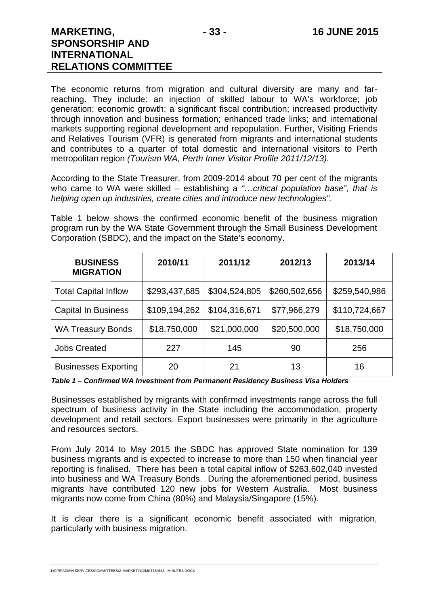The economic returns from migration and cultural diversity are many and farreaching. They include: an injection of skilled labour to WA's workforce; job generation; economic growth; a significant fiscal contribution; increased productivity through innovation and business formation; enhanced trade links; and international markets supporting regional development and repopulation. Further, Visiting Friends and Relatives Tourism (VFR) is generated from migrants and international students and contributes to a quarter of total domestic and international visitors to Perth metropolitan region *(Tourism WA, Perth Inner Visitor Profile 2011/12/13).* 

According to the State Treasurer, from 2009-2014 about 70 per cent of the migrants who came to WA were skilled – establishing a *"…critical population base", that is helping open up industries, create cities and introduce new technologies".*

Table 1 below shows the confirmed economic benefit of the business migration program run by the WA State Government through the Small Business Development Corporation (SBDC), and the impact on the State's economy.

| <b>BUSINESS</b><br><b>MIGRATION</b> | 2010/11       | 2011/12       | 2012/13       | 2013/14       |
|-------------------------------------|---------------|---------------|---------------|---------------|
| <b>Total Capital Inflow</b>         | \$293,437,685 | \$304,524,805 | \$260,502,656 | \$259,540,986 |
| <b>Capital In Business</b>          | \$109,194,262 | \$104,316,671 | \$77,966,279  | \$110,724,667 |
| <b>WA Treasury Bonds</b>            | \$18,750,000  | \$21,000,000  | \$20,500,000  | \$18,750,000  |
| <b>Jobs Created</b>                 | 227           | 145           | 90            | 256           |
| <b>Businesses Exporting</b>         | 20            | 21            | 13            | 16            |

*Table 1 – Confirmed WA Investment from Permanent Residency Business Visa Holders* 

Businesses established by migrants with confirmed investments range across the full spectrum of business activity in the State including the accommodation, property development and retail sectors. Export businesses were primarily in the agriculture and resources sectors.

From July 2014 to May 2015 the SBDC has approved State nomination for 139 business migrants and is expected to increase to more than 150 when financial year reporting is finalised. There has been a total capital inflow of \$263,602,040 invested into business and WA Treasury Bonds. During the aforementioned period, business migrants have contributed 120 new jobs for Western Australia. Most business migrants now come from China (80%) and Malaysia/Singapore (15%).

It is clear there is a significant economic benefit associated with migration, particularly with business migration.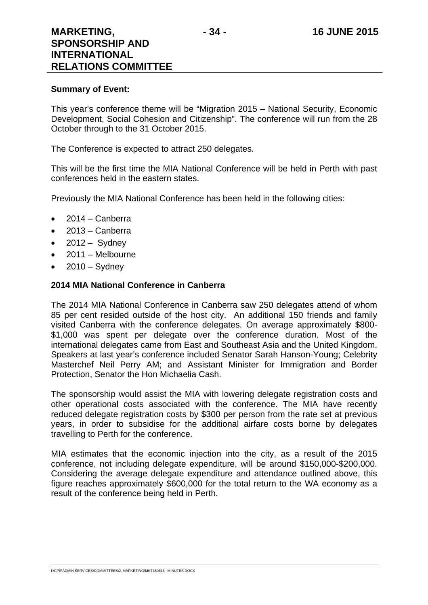#### **Summary of Event:**

This year's conference theme will be "Migration 2015 – National Security, Economic Development, Social Cohesion and Citizenship". The conference will run from the 28 October through to the 31 October 2015.

The Conference is expected to attract 250 delegates.

This will be the first time the MIA National Conference will be held in Perth with past conferences held in the eastern states.

Previously the MIA National Conference has been held in the following cities:

- $\bullet$  2014 Canberra
- $\bullet$  2013 Canberra
- $\bullet$  2012 Sydney
- $\bullet$  2011 Melbourne
- $2010 -$  Sydney

#### **2014 MIA National Conference in Canberra**

The 2014 MIA National Conference in Canberra saw 250 delegates attend of whom 85 per cent resided outside of the host city. An additional 150 friends and family visited Canberra with the conference delegates. On average approximately \$800- \$1,000 was spent per delegate over the conference duration. Most of the international delegates came from East and Southeast Asia and the United Kingdom. Speakers at last year's conference included Senator Sarah Hanson-Young; Celebrity Masterchef Neil Perry AM; and Assistant Minister for Immigration and Border Protection, Senator the Hon Michaelia Cash.

The sponsorship would assist the MIA with lowering delegate registration costs and other operational costs associated with the conference. The MIA have recently reduced delegate registration costs by \$300 per person from the rate set at previous years, in order to subsidise for the additional airfare costs borne by delegates travelling to Perth for the conference.

MIA estimates that the economic injection into the city, as a result of the 2015 conference, not including delegate expenditure, will be around \$150,000-\$200,000. Considering the average delegate expenditure and attendance outlined above, this figure reaches approximately \$600,000 for the total return to the WA economy as a result of the conference being held in Perth.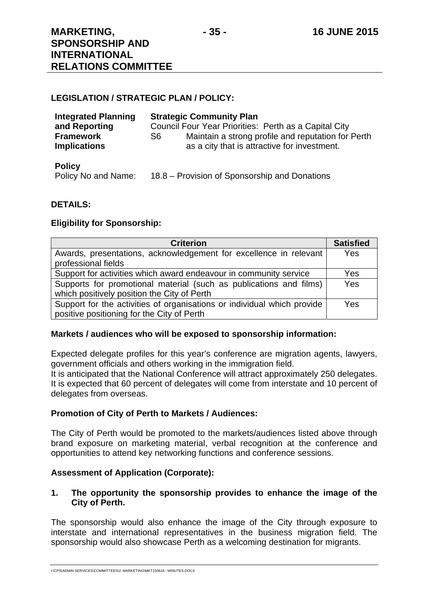**RELATIONS COMMITTEE** 

#### **LEGISLATION / STRATEGIC PLAN / POLICY:**

| <b>Integrated Planning</b> | <b>Strategic Community Plan</b>                           |
|----------------------------|-----------------------------------------------------------|
| and Reporting              | Council Four Year Priorities: Perth as a Capital City     |
| <b>Framework</b>           | Maintain a strong profile and reputation for Perth<br>S6. |
| <b>Implications</b>        | as a city that is attractive for investment.              |

#### **Policy**

Policy No and Name: 18.8 – Provision of Sponsorship and Donations

#### **DETAILS:**

#### **Eligibility for Sponsorship:**

| <b>Criterion</b>                                                        | <b>Satisfied</b> |
|-------------------------------------------------------------------------|------------------|
| Awards, presentations, acknowledgement for excellence in relevant       | Yes              |
| professional fields                                                     |                  |
| Support for activities which award endeavour in community service       | <b>Yes</b>       |
| Supports for promotional material (such as publications and films)      | <b>Yes</b>       |
| which positively position the City of Perth                             |                  |
| Support for the activities of organisations or individual which provide | <b>Yes</b>       |
| positive positioning for the City of Perth                              |                  |

#### **Markets / audiences who will be exposed to sponsorship information:**

Expected delegate profiles for this year's conference are migration agents, lawyers, government officials and others working in the immigration field.

It is anticipated that the National Conference will attract approximately 250 delegates. It is expected that 60 percent of delegates will come from interstate and 10 percent of delegates from overseas.

#### **Promotion of City of Perth to Markets / Audiences:**

The City of Perth would be promoted to the markets/audiences listed above through brand exposure on marketing material, verbal recognition at the conference and opportunities to attend key networking functions and conference sessions.

#### **Assessment of Application (Corporate):**

#### **1. The opportunity the sponsorship provides to enhance the image of the City of Perth.**

The sponsorship would also enhance the image of the City through exposure to interstate and international representatives in the business migration field. The sponsorship would also showcase Perth as a welcoming destination for migrants.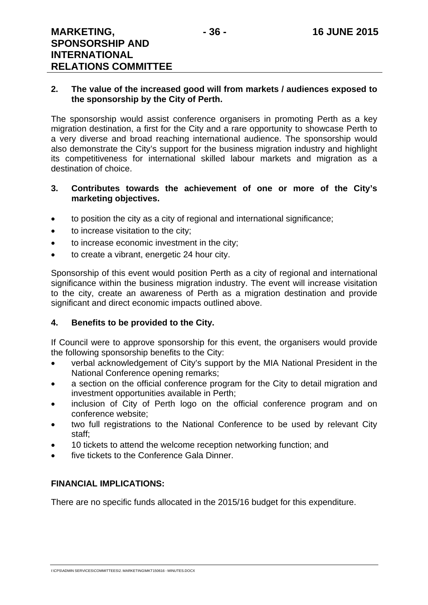#### **2. The value of the increased good will from markets / audiences exposed to the sponsorship by the City of Perth.**

The sponsorship would assist conference organisers in promoting Perth as a key migration destination, a first for the City and a rare opportunity to showcase Perth to a very diverse and broad reaching international audience. The sponsorship would also demonstrate the City's support for the business migration industry and highlight its competitiveness for international skilled labour markets and migration as a destination of choice.

#### **3. Contributes towards the achievement of one or more of the City's marketing objectives.**

- to position the city as a city of regional and international significance;
- to increase visitation to the city;
- to increase economic investment in the city;
- to create a vibrant, energetic 24 hour city.

Sponsorship of this event would position Perth as a city of regional and international significance within the business migration industry. The event will increase visitation to the city, create an awareness of Perth as a migration destination and provide significant and direct economic impacts outlined above.

## **4. Benefits to be provided to the City.**

If Council were to approve sponsorship for this event, the organisers would provide the following sponsorship benefits to the City:

- verbal acknowledgement of City's support by the MIA National President in the National Conference opening remarks;
- a section on the official conference program for the City to detail migration and investment opportunities available in Perth;
- inclusion of City of Perth logo on the official conference program and on conference website;
- two full registrations to the National Conference to be used by relevant City staff;
- 10 tickets to attend the welcome reception networking function; and
- five tickets to the Conference Gala Dinner.

## **FINANCIAL IMPLICATIONS:**

There are no specific funds allocated in the 2015/16 budget for this expenditure.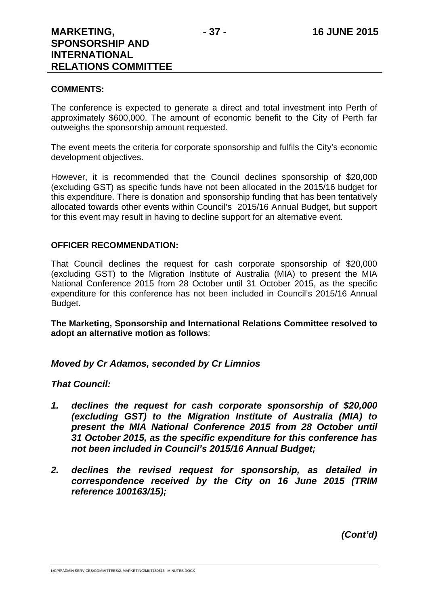#### **COMMENTS:**

The conference is expected to generate a direct and total investment into Perth of approximately \$600,000. The amount of economic benefit to the City of Perth far outweighs the sponsorship amount requested.

The event meets the criteria for corporate sponsorship and fulfils the City's economic development objectives.

However, it is recommended that the Council declines sponsorship of \$20,000 (excluding GST) as specific funds have not been allocated in the 2015/16 budget for this expenditure. There is donation and sponsorship funding that has been tentatively allocated towards other events within Council's 2015/16 Annual Budget, but support for this event may result in having to decline support for an alternative event.

#### **OFFICER RECOMMENDATION:**

That Council declines the request for cash corporate sponsorship of \$20,000 (excluding GST) to the Migration Institute of Australia (MIA) to present the MIA National Conference 2015 from 28 October until 31 October 2015, as the specific expenditure for this conference has not been included in Council's 2015/16 Annual Budget.

**The Marketing, Sponsorship and International Relations Committee resolved to adopt an alternative motion as follows**:

## *Moved by Cr Adamos, seconded by Cr Limnios*

## *That Council:*

- *1. declines the request for cash corporate sponsorship of \$20,000 (excluding GST) to the Migration Institute of Australia (MIA) to present the MIA National Conference 2015 from 28 October until 31 October 2015, as the specific expenditure for this conference has not been included in Council's 2015/16 Annual Budget;*
- *2. declines the revised request for sponsorship, as detailed in correspondence received by the City on 16 June 2015 (TRIM reference 100163/15);*

*(Cont'd)*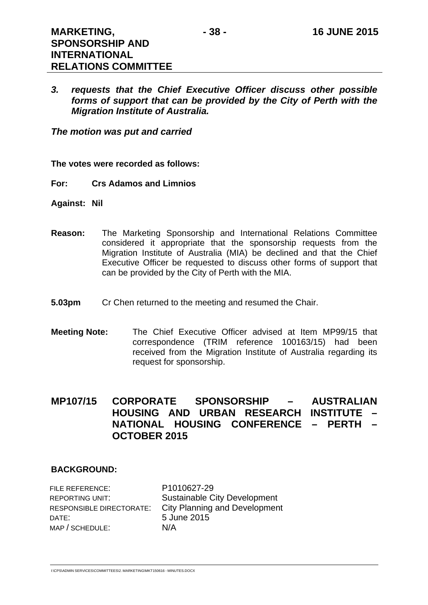*3. requests that the Chief Executive Officer discuss other possible forms of support that can be provided by the City of Perth with the Migration Institute of Australia.* 

*The motion was put and carried* 

**The votes were recorded as follows:** 

- **For: Crs Adamos and Limnios**
- **Against: Nil**
- **Reason:** The Marketing Sponsorship and International Relations Committee considered it appropriate that the sponsorship requests from the Migration Institute of Australia (MIA) be declined and that the Chief Executive Officer be requested to discuss other forms of support that can be provided by the City of Perth with the MIA.
- **5.03pm** Cr Chen returned to the meeting and resumed the Chair.
- **Meeting Note:** The Chief Executive Officer advised at Item MP99/15 that correspondence (TRIM reference 100163/15) had been received from the Migration Institute of Australia regarding its request for sponsorship.

# **MP107/15 CORPORATE SPONSORSHIP – AUSTRALIAN HOUSING AND URBAN RESEARCH INSTITUTE – NATIONAL HOUSING CONFERENCE – PERTH – OCTOBER 2015**

## **BACKGROUND:**

FILE REFERENCE: P1010627-29 DATE: 5 June 2015 MAP / SCHEDULE: N/A

REPORTING UNIT: Sustainable City Development RESPONSIBLE DIRECTORATE: City Planning and Development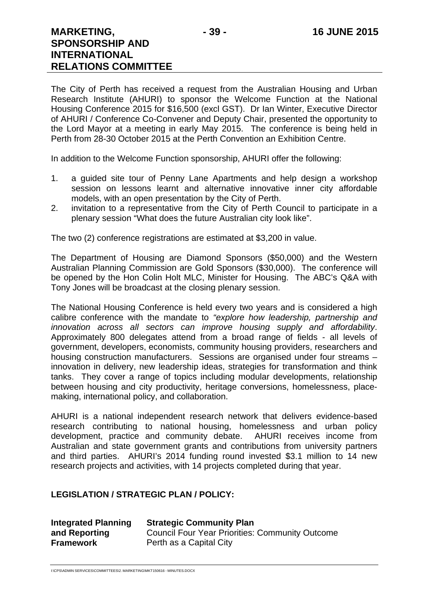The City of Perth has received a request from the Australian Housing and Urban Research Institute (AHURI) to sponsor the Welcome Function at the National Housing Conference 2015 for \$16,500 (excl GST). Dr Ian Winter, Executive Director of AHURI / Conference Co-Convener and Deputy Chair, presented the opportunity to the Lord Mayor at a meeting in early May 2015. The conference is being held in Perth from 28-30 October 2015 at the Perth Convention an Exhibition Centre.

In addition to the Welcome Function sponsorship, AHURI offer the following:

- 1. a guided site tour of Penny Lane Apartments and help design a workshop session on lessons learnt and alternative innovative inner city affordable models, with an open presentation by the City of Perth.
- 2. invitation to a representative from the City of Perth Council to participate in a plenary session "What does the future Australian city look like".

The two (2) conference registrations are estimated at \$3,200 in value.

The Department of Housing are Diamond Sponsors (\$50,000) and the Western Australian Planning Commission are Gold Sponsors (\$30,000). The conference will be opened by the Hon Colin Holt MLC, Minister for Housing. The ABC's Q&A with Tony Jones will be broadcast at the closing plenary session.

The National Housing Conference is held every two years and is considered a high calibre conference with the mandate to *"explore how leadership, partnership and innovation across all sectors can improve housing supply and affordability*. Approximately 800 delegates attend from a broad range of fields - all levels of government, developers, economists, community housing providers, researchers and housing construction manufacturers. Sessions are organised under four streams – innovation in delivery, new leadership ideas, strategies for transformation and think tanks. They cover a range of topics including modular developments, relationship between housing and city productivity, heritage conversions, homelessness, placemaking, international policy, and collaboration.

AHURI is a national independent research network that delivers evidence-based research contributing to national housing, homelessness and urban policy development, practice and community debate. AHURI receives income from Australian and state government grants and contributions from university partners and third parties. AHURI's 2014 funding round invested \$3.1 million to 14 new research projects and activities, with 14 projects completed during that year.

#### **LEGISLATION / STRATEGIC PLAN / POLICY:**

| <b>Integrated Planning</b> | <b>Strategic Community Plan</b>                        |
|----------------------------|--------------------------------------------------------|
| and Reporting              | <b>Council Four Year Priorities: Community Outcome</b> |
| Framework                  | Perth as a Capital City                                |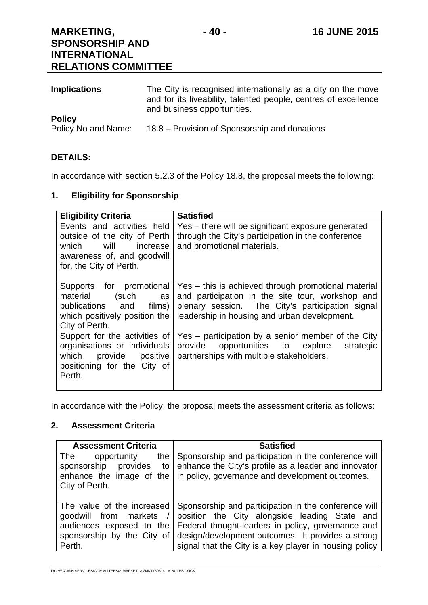| <b>Implications</b> | The City is recognised internationally as a city on the move<br>and for its liveability, talented people, centres of excellence<br>and business opportunities. |
|---------------------|----------------------------------------------------------------------------------------------------------------------------------------------------------------|
| <b>Policy</b>       |                                                                                                                                                                |
| Policy No and Name: | 18.8 – Provision of Sponsorship and donations                                                                                                                  |

## **DETAILS:**

In accordance with section 5.2.3 of the Policy 18.8, the proposal meets the following:

## **1. Eligibility for Sponsorship**

| <b>Eligibility Criteria</b>                                                                                                                      | <b>Satisfied</b>                                                                                                                                                                                            |
|--------------------------------------------------------------------------------------------------------------------------------------------------|-------------------------------------------------------------------------------------------------------------------------------------------------------------------------------------------------------------|
| Events and activities held<br>outside of the city of Perth<br>which<br>will<br>increase<br>awareness of, and goodwill<br>for, the City of Perth. | Yes - there will be significant exposure generated<br>through the City's participation in the conference<br>and promotional materials.                                                                      |
| Supports for promotional<br>material<br>(such<br>as<br>publications and<br>films)<br>which positively position the<br>City of Perth.             | Yes – this is achieved through promotional material<br>and participation in the site tour, workshop and<br>plenary session. The City's participation signal<br>leadership in housing and urban development. |
| Support for the activities of<br>organisations or individuals<br>which provide positive<br>positioning for the City of<br>Perth.                 | Yes - participation by a senior member of the City<br>provide opportunities to explore<br>strategic<br>partnerships with multiple stakeholders.                                                             |

In accordance with the Policy, the proposal meets the assessment criteria as follows:

#### **2. Assessment Criteria**

| <b>Assessment Criteria</b>                                                                                              | <b>Satisfied</b>                                                                                                                                                                                                                                                          |
|-------------------------------------------------------------------------------------------------------------------------|---------------------------------------------------------------------------------------------------------------------------------------------------------------------------------------------------------------------------------------------------------------------------|
| The<br>opportunity<br>the l<br>provides<br>sponsorship<br>to<br>enhance the image of the<br>City of Perth.              | Sponsorship and participation in the conference will<br>enhance the City's profile as a leader and innovator<br>in policy, governance and development outcomes.                                                                                                           |
| The value of the increased<br>goodwill from markets<br>audiences exposed to the<br>sponsorship by the City of<br>Perth. | Sponsorship and participation in the conference will<br>position the City alongside leading State and<br>Federal thought-leaders in policy, governance and<br>design/development outcomes. It provides a strong<br>signal that the City is a key player in housing policy |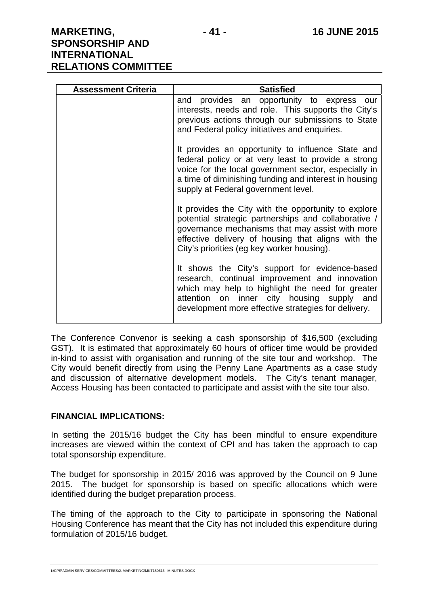| <b>Assessment Criteria</b> | <b>Satisfied</b>                                                                                                                                                                                                                                                    |
|----------------------------|---------------------------------------------------------------------------------------------------------------------------------------------------------------------------------------------------------------------------------------------------------------------|
|                            | and provides an opportunity to express our<br>interests, needs and role. This supports the City's<br>previous actions through our submissions to State<br>and Federal policy initiatives and enquiries.                                                             |
|                            | It provides an opportunity to influence State and<br>federal policy or at very least to provide a strong<br>voice for the local government sector, especially in<br>a time of diminishing funding and interest in housing<br>supply at Federal government level.    |
|                            | It provides the City with the opportunity to explore<br>potential strategic partnerships and collaborative /<br>governance mechanisms that may assist with more<br>effective delivery of housing that aligns with the<br>City's priorities (eg key worker housing). |
|                            | It shows the City's support for evidence-based<br>research, continual improvement and innovation<br>which may help to highlight the need for greater<br>attention on inner city housing supply and<br>development more effective strategies for delivery.           |

The Conference Convenor is seeking a cash sponsorship of \$16,500 (excluding GST). It is estimated that approximately 60 hours of officer time would be provided in-kind to assist with organisation and running of the site tour and workshop. The City would benefit directly from using the Penny Lane Apartments as a case study and discussion of alternative development models. The City's tenant manager, Access Housing has been contacted to participate and assist with the site tour also.

#### **FINANCIAL IMPLICATIONS:**

In setting the 2015/16 budget the City has been mindful to ensure expenditure increases are viewed within the context of CPI and has taken the approach to cap total sponsorship expenditure.

The budget for sponsorship in 2015/ 2016 was approved by the Council on 9 June 2015. The budget for sponsorship is based on specific allocations which were identified during the budget preparation process.

The timing of the approach to the City to participate in sponsoring the National Housing Conference has meant that the City has not included this expenditure during formulation of 2015/16 budget.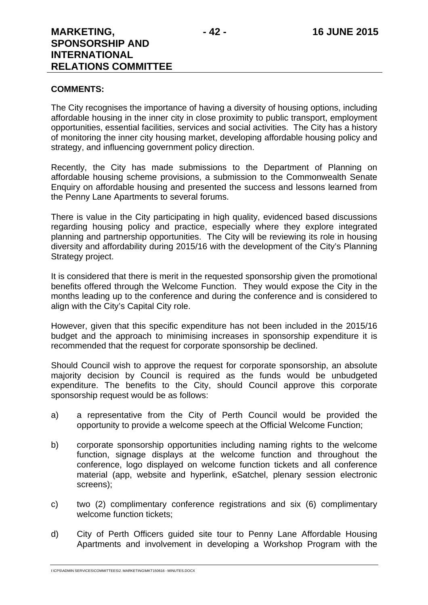#### **COMMENTS:**

The City recognises the importance of having a diversity of housing options, including affordable housing in the inner city in close proximity to public transport, employment opportunities, essential facilities, services and social activities. The City has a history of monitoring the inner city housing market, developing affordable housing policy and strategy, and influencing government policy direction.

Recently, the City has made submissions to the Department of Planning on affordable housing scheme provisions, a submission to the Commonwealth Senate Enquiry on affordable housing and presented the success and lessons learned from the Penny Lane Apartments to several forums.

There is value in the City participating in high quality, evidenced based discussions regarding housing policy and practice, especially where they explore integrated planning and partnership opportunities. The City will be reviewing its role in housing diversity and affordability during 2015/16 with the development of the City's Planning Strategy project.

It is considered that there is merit in the requested sponsorship given the promotional benefits offered through the Welcome Function. They would expose the City in the months leading up to the conference and during the conference and is considered to align with the City's Capital City role.

However, given that this specific expenditure has not been included in the 2015/16 budget and the approach to minimising increases in sponsorship expenditure it is recommended that the request for corporate sponsorship be declined.

Should Council wish to approve the request for corporate sponsorship, an absolute majority decision by Council is required as the funds would be unbudgeted expenditure. The benefits to the City, should Council approve this corporate sponsorship request would be as follows:

- a) a representative from the City of Perth Council would be provided the opportunity to provide a welcome speech at the Official Welcome Function;
- b) corporate sponsorship opportunities including naming rights to the welcome function, signage displays at the welcome function and throughout the conference, logo displayed on welcome function tickets and all conference material (app, website and hyperlink, eSatchel, plenary session electronic screens);
- c) two (2) complimentary conference registrations and six (6) complimentary welcome function tickets;
- d) City of Perth Officers guided site tour to Penny Lane Affordable Housing Apartments and involvement in developing a Workshop Program with the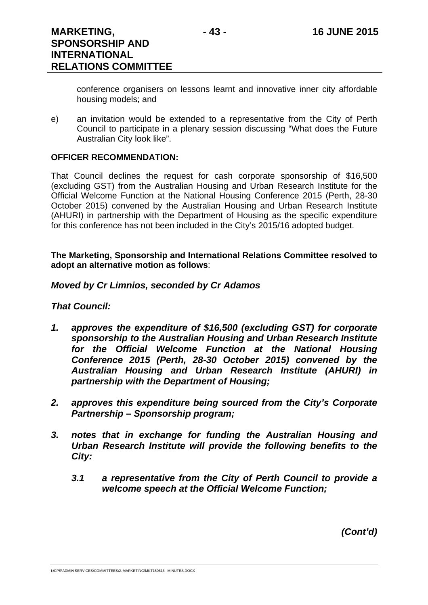conference organisers on lessons learnt and innovative inner city affordable housing models; and

e) an invitation would be extended to a representative from the City of Perth Council to participate in a plenary session discussing "What does the Future Australian City look like".

## **OFFICER RECOMMENDATION:**

That Council declines the request for cash corporate sponsorship of \$16,500 (excluding GST) from the Australian Housing and Urban Research Institute for the Official Welcome Function at the National Housing Conference 2015 (Perth, 28-30 October 2015) convened by the Australian Housing and Urban Research Institute (AHURI) in partnership with the Department of Housing as the specific expenditure for this conference has not been included in the City's 2015/16 adopted budget.

**The Marketing, Sponsorship and International Relations Committee resolved to adopt an alternative motion as follows**:

#### *Moved by Cr Limnios, seconded by Cr Adamos*

#### *That Council:*

- *1. approves the expenditure of \$16,500 (excluding GST) for corporate sponsorship to the Australian Housing and Urban Research Institute for the Official Welcome Function at the National Housing Conference 2015 (Perth, 28-30 October 2015) convened by the Australian Housing and Urban Research Institute (AHURI) in partnership with the Department of Housing;*
- *2. approves this expenditure being sourced from the City's Corporate Partnership – Sponsorship program;*
- *3. notes that in exchange for funding the Australian Housing and Urban Research Institute will provide the following benefits to the City:* 
	- *3.1 a representative from the City of Perth Council to provide a welcome speech at the Official Welcome Function;*

*(Cont'd)*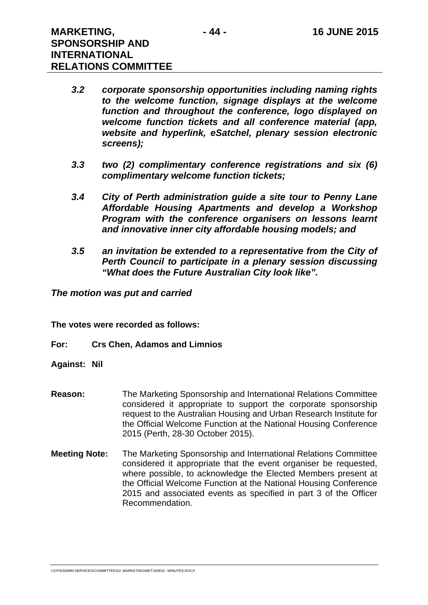- *3.2 corporate sponsorship opportunities including naming rights to the welcome function, signage displays at the welcome function and throughout the conference, logo displayed on welcome function tickets and all conference material (app, website and hyperlink, eSatchel, plenary session electronic screens);*
- *3.3 two (2) complimentary conference registrations and six (6) complimentary welcome function tickets;*
- *3.4 City of Perth administration guide a site tour to Penny Lane Affordable Housing Apartments and develop a Workshop Program with the conference organisers on lessons learnt and innovative inner city affordable housing models; and*
- *3.5 an invitation be extended to a representative from the City of Perth Council to participate in a plenary session discussing "What does the Future Australian City look like".*

#### *The motion was put and carried*

**The votes were recorded as follows:** 

- **For: Crs Chen, Adamos and Limnios**
- **Against: Nil**
- **Reason:** The Marketing Sponsorship and International Relations Committee considered it appropriate to support the corporate sponsorship request to the Australian Housing and Urban Research Institute for the Official Welcome Function at the National Housing Conference 2015 (Perth, 28-30 October 2015).
- **Meeting Note:** The Marketing Sponsorship and International Relations Committee considered it appropriate that the event organiser be requested, where possible, to acknowledge the Elected Members present at the Official Welcome Function at the National Housing Conference 2015 and associated events as specified in part 3 of the Officer Recommendation.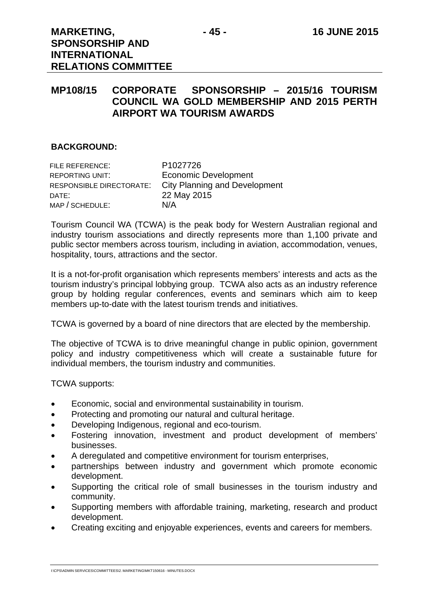# **MP108/15 CORPORATE SPONSORSHIP – 2015/16 TOURISM COUNCIL WA GOLD MEMBERSHIP AND 2015 PERTH AIRPORT WA TOURISM AWARDS**

#### **BACKGROUND:**

| FILE REFERENCE:          | P <sub>1027726</sub>                 |
|--------------------------|--------------------------------------|
| REPORTING UNIT:          | <b>Economic Development</b>          |
| RESPONSIBLE DIRECTORATE: | <b>City Planning and Development</b> |
| DATE:                    | 22 May 2015                          |
| MAP / SCHEDULE:          | N/A                                  |

Tourism Council WA (TCWA) is the peak body for Western Australian regional and industry tourism associations and directly represents more than 1,100 private and public sector members across tourism, including in aviation, accommodation, venues, hospitality, tours, attractions and the sector.

It is a not-for-profit organisation which represents members' interests and acts as the tourism industry's principal lobbying group. TCWA also acts as an industry reference group by holding regular conferences, events and seminars which aim to keep members up-to-date with the latest tourism trends and initiatives.

TCWA is governed by a board of nine directors that are elected by the membership.

The objective of TCWA is to drive meaningful change in public opinion, government policy and industry competitiveness which will create a sustainable future for individual members, the tourism industry and communities.

TCWA supports:

- Economic, social and environmental sustainability in tourism.
- Protecting and promoting our natural and cultural heritage.
- Developing Indigenous, regional and eco-tourism.
- Fostering innovation, investment and product development of members' businesses.
- A deregulated and competitive environment for tourism enterprises,
- partnerships between industry and government which promote economic development.
- Supporting the critical role of small businesses in the tourism industry and community.
- Supporting members with affordable training, marketing, research and product development.
- Creating exciting and enjoyable experiences, events and careers for members.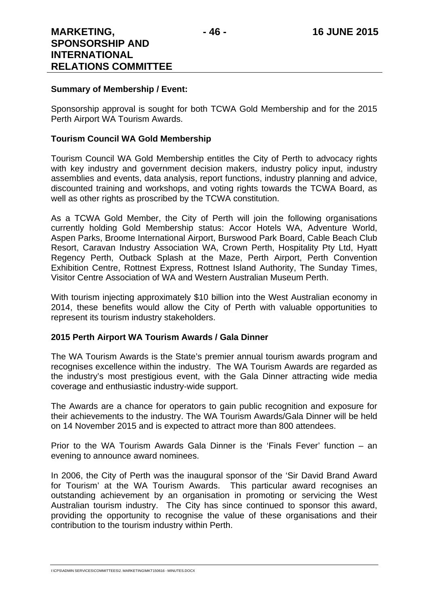#### **Summary of Membership / Event:**

Sponsorship approval is sought for both TCWA Gold Membership and for the 2015 Perth Airport WA Tourism Awards.

#### **Tourism Council WA Gold Membership**

Tourism Council WA Gold Membership entitles the City of Perth to advocacy rights with key industry and government decision makers, industry policy input, industry assemblies and events, data analysis, report functions, industry planning and advice, discounted training and workshops, and voting rights towards the TCWA Board, as well as other rights as proscribed by the TCWA constitution.

As a TCWA Gold Member, the City of Perth will join the following organisations currently holding Gold Membership status: Accor Hotels WA, Adventure World, Aspen Parks, Broome International Airport, Burswood Park Board, Cable Beach Club Resort, Caravan Industry Association WA, Crown Perth, Hospitality Pty Ltd, Hyatt Regency Perth, Outback Splash at the Maze, Perth Airport, Perth Convention Exhibition Centre, Rottnest Express, Rottnest Island Authority, The Sunday Times, Visitor Centre Association of WA and Western Australian Museum Perth.

With tourism injecting approximately \$10 billion into the West Australian economy in 2014, these benefits would allow the City of Perth with valuable opportunities to represent its tourism industry stakeholders.

#### **2015 Perth Airport WA Tourism Awards / Gala Dinner**

The WA Tourism Awards is the State's premier annual tourism awards program and recognises excellence within the industry. The WA Tourism Awards are regarded as the industry's most prestigious event, with the Gala Dinner attracting wide media coverage and enthusiastic industry-wide support.

The Awards are a chance for operators to gain public recognition and exposure for their achievements to the industry. The WA Tourism Awards/Gala Dinner will be held on 14 November 2015 and is expected to attract more than 800 attendees.

Prior to the WA Tourism Awards Gala Dinner is the 'Finals Fever' function – an evening to announce award nominees.

In 2006, the City of Perth was the inaugural sponsor of the 'Sir David Brand Award for Tourism' at the WA Tourism Awards. This particular award recognises an outstanding achievement by an organisation in promoting or servicing the West Australian tourism industry. The City has since continued to sponsor this award, providing the opportunity to recognise the value of these organisations and their contribution to the tourism industry within Perth.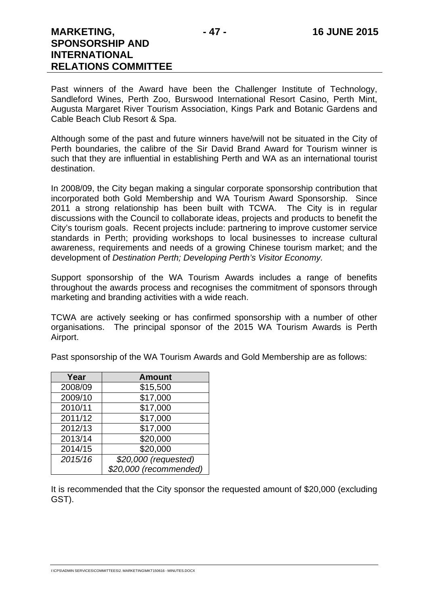Past winners of the Award have been the Challenger Institute of Technology, Sandleford Wines, Perth Zoo, Burswood International Resort Casino, Perth Mint, Augusta Margaret River Tourism Association, Kings Park and Botanic Gardens and Cable Beach Club Resort & Spa.

Although some of the past and future winners have/will not be situated in the City of Perth boundaries, the calibre of the Sir David Brand Award for Tourism winner is such that they are influential in establishing Perth and WA as an international tourist destination.

In 2008/09, the City began making a singular corporate sponsorship contribution that incorporated both Gold Membership and WA Tourism Award Sponsorship. Since 2011 a strong relationship has been built with TCWA. The City is in regular discussions with the Council to collaborate ideas, projects and products to benefit the City's tourism goals. Recent projects include: partnering to improve customer service standards in Perth; providing workshops to local businesses to increase cultural awareness, requirements and needs of a growing Chinese tourism market; and the development of *Destination Perth; Developing Perth's Visitor Economy.*

Support sponsorship of the WA Tourism Awards includes a range of benefits throughout the awards process and recognises the commitment of sponsors through marketing and branding activities with a wide reach.

TCWA are actively seeking or has confirmed sponsorship with a number of other organisations. The principal sponsor of the 2015 WA Tourism Awards is Perth Airport.

Past sponsorship of the WA Tourism Awards and Gold Membership are as follows:

| Year    | <b>Amount</b>          |
|---------|------------------------|
| 2008/09 | \$15,500               |
| 2009/10 | \$17,000               |
| 2010/11 | \$17,000               |
| 2011/12 | \$17,000               |
| 2012/13 | \$17,000               |
| 2013/14 | \$20,000               |
| 2014/15 | \$20,000               |
| 2015/16 | \$20,000 (requested)   |
|         | \$20,000 (recommended) |

It is recommended that the City sponsor the requested amount of \$20,000 (excluding GST).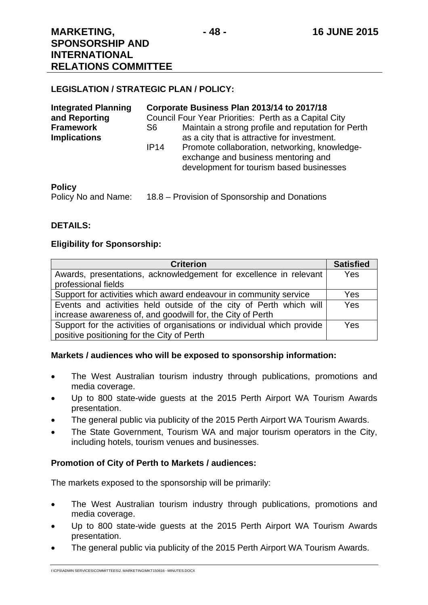#### **LEGISLATION / STRATEGIC PLAN / POLICY:**

| <b>Integrated Planning</b><br>and Reporting | Corporate Business Plan 2013/14 to 2017/18<br>Council Four Year Priorities: Perth as a Capital City |                                                                                                                                  |  |
|---------------------------------------------|-----------------------------------------------------------------------------------------------------|----------------------------------------------------------------------------------------------------------------------------------|--|
| <b>Framework</b><br><b>Implications</b>     | S6                                                                                                  | Maintain a strong profile and reputation for Perth<br>as a city that is attractive for investment.                               |  |
|                                             | IP14                                                                                                | Promote collaboration, networking, knowledge-<br>exchange and business mentoring and<br>development for tourism based businesses |  |
| $B - B - C$                                 |                                                                                                     |                                                                                                                                  |  |

#### **Policy**

Policy No and Name: 18.8 – Provision of Sponsorship and Donations

#### **DETAILS:**

#### **Eligibility for Sponsorship:**

| <b>Criterion</b>                                                        | <b>Satisfied</b> |
|-------------------------------------------------------------------------|------------------|
| Awards, presentations, acknowledgement for excellence in relevant       | Yes              |
| professional fields                                                     |                  |
| Support for activities which award endeavour in community service       | Yes              |
| Events and activities held outside of the city of Perth which will      | Yes              |
| increase awareness of, and goodwill for, the City of Perth              |                  |
| Support for the activities of organisations or individual which provide | Yes              |
| positive positioning for the City of Perth                              |                  |

#### **Markets / audiences who will be exposed to sponsorship information:**

- The West Australian tourism industry through publications, promotions and media coverage.
- Up to 800 state-wide guests at the 2015 Perth Airport WA Tourism Awards presentation.
- The general public via publicity of the 2015 Perth Airport WA Tourism Awards.
- The State Government, Tourism WA and major tourism operators in the City, including hotels, tourism venues and businesses.

## **Promotion of City of Perth to Markets / audiences:**

The markets exposed to the sponsorship will be primarily:

- The West Australian tourism industry through publications, promotions and media coverage.
- Up to 800 state-wide guests at the 2015 Perth Airport WA Tourism Awards presentation.
- The general public via publicity of the 2015 Perth Airport WA Tourism Awards.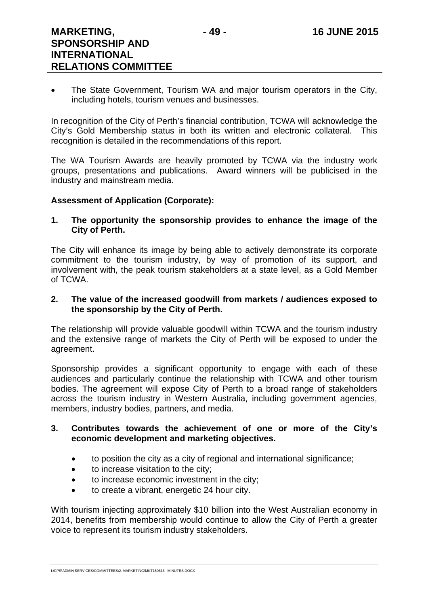• The State Government, Tourism WA and major tourism operators in the City, including hotels, tourism venues and businesses.

In recognition of the City of Perth's financial contribution, TCWA will acknowledge the City's Gold Membership status in both its written and electronic collateral. This recognition is detailed in the recommendations of this report.

The WA Tourism Awards are heavily promoted by TCWA via the industry work groups, presentations and publications. Award winners will be publicised in the industry and mainstream media.

#### **Assessment of Application (Corporate):**

#### **1. The opportunity the sponsorship provides to enhance the image of the City of Perth.**

The City will enhance its image by being able to actively demonstrate its corporate commitment to the tourism industry, by way of promotion of its support, and involvement with, the peak tourism stakeholders at a state level, as a Gold Member of TCWA.

#### **2. The value of the increased goodwill from markets / audiences exposed to the sponsorship by the City of Perth.**

The relationship will provide valuable goodwill within TCWA and the tourism industry and the extensive range of markets the City of Perth will be exposed to under the agreement.

Sponsorship provides a significant opportunity to engage with each of these audiences and particularly continue the relationship with TCWA and other tourism bodies. The agreement will expose City of Perth to a broad range of stakeholders across the tourism industry in Western Australia, including government agencies, members, industry bodies, partners, and media.

#### **3. Contributes towards the achievement of one or more of the City's economic development and marketing objectives.**

- to position the city as a city of regional and international significance;
- to increase visitation to the city:
- to increase economic investment in the city;
- to create a vibrant, energetic 24 hour city.

With tourism injecting approximately \$10 billion into the West Australian economy in 2014, benefits from membership would continue to allow the City of Perth a greater voice to represent its tourism industry stakeholders.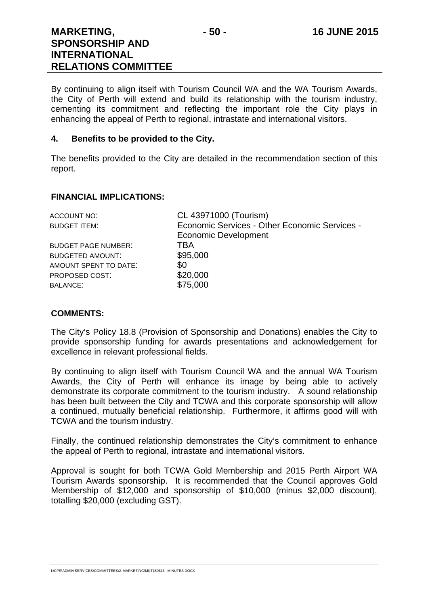By continuing to align itself with Tourism Council WA and the WA Tourism Awards, the City of Perth will extend and build its relationship with the tourism industry, cementing its commitment and reflecting the important role the City plays in enhancing the appeal of Perth to regional, intrastate and international visitors.

# **4. Benefits to be provided to the City.**

The benefits provided to the City are detailed in the recommendation section of this report.

# **FINANCIAL IMPLICATIONS:**

| ACCOUNT NO:                | CL 43971000 (Tourism)                         |
|----------------------------|-----------------------------------------------|
| BUDGET ITEM:               | Economic Services - Other Economic Services - |
|                            | <b>Economic Development</b>                   |
| <b>BUDGET PAGE NUMBER:</b> | TBA                                           |
| <b>BUDGETED AMOUNT:</b>    | \$95,000                                      |
| AMOUNT SPENT TO DATE:      | \$0                                           |
| PROPOSED COST:             | \$20,000                                      |
| <b>BALANCE:</b>            | \$75,000                                      |
|                            |                                               |

## **COMMENTS:**

The City's Policy 18.8 (Provision of Sponsorship and Donations) enables the City to provide sponsorship funding for awards presentations and acknowledgement for excellence in relevant professional fields.

By continuing to align itself with Tourism Council WA and the annual WA Tourism Awards, the City of Perth will enhance its image by being able to actively demonstrate its corporate commitment to the tourism industry. A sound relationship has been built between the City and TCWA and this corporate sponsorship will allow a continued, mutually beneficial relationship. Furthermore, it affirms good will with TCWA and the tourism industry.

Finally, the continued relationship demonstrates the City's commitment to enhance the appeal of Perth to regional, intrastate and international visitors.

Approval is sought for both TCWA Gold Membership and 2015 Perth Airport WA Tourism Awards sponsorship. It is recommended that the Council approves Gold Membership of \$12,000 and sponsorship of \$10,000 (minus \$2,000 discount), totalling \$20,000 (excluding GST).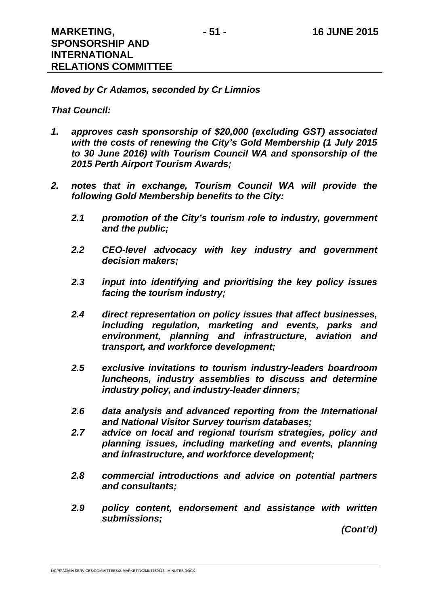## *Moved by Cr Adamos, seconded by Cr Limnios*

#### *That Council:*

- *1. approves cash sponsorship of \$20,000 (excluding GST) associated with the costs of renewing the City's Gold Membership (1 July 2015 to 30 June 2016) with Tourism Council WA and sponsorship of the 2015 Perth Airport Tourism Awards;*
- *2. notes that in exchange, Tourism Council WA will provide the following Gold Membership benefits to the City:* 
	- *2.1 promotion of the City's tourism role to industry, government and the public;*
	- *2.2 CEO-level advocacy with key industry and government decision makers;*
	- *2.3 input into identifying and prioritising the key policy issues facing the tourism industry;*
	- *2.4 direct representation on policy issues that affect businesses, including regulation, marketing and events, parks and environment, planning and infrastructure, aviation and transport, and workforce development;*
	- *2.5 exclusive invitations to tourism industry-leaders boardroom luncheons, industry assemblies to discuss and determine industry policy, and industry-leader dinners;*
	- *2.6 data analysis and advanced reporting from the International and National Visitor Survey tourism databases;*
	- *2.7 advice on local and regional tourism strategies, policy and planning issues, including marketing and events, planning and infrastructure, and workforce development;*
	- *2.8 commercial introductions and advice on potential partners and consultants;*
	- *2.9 policy content, endorsement and assistance with written submissions;*

*(Cont'd)*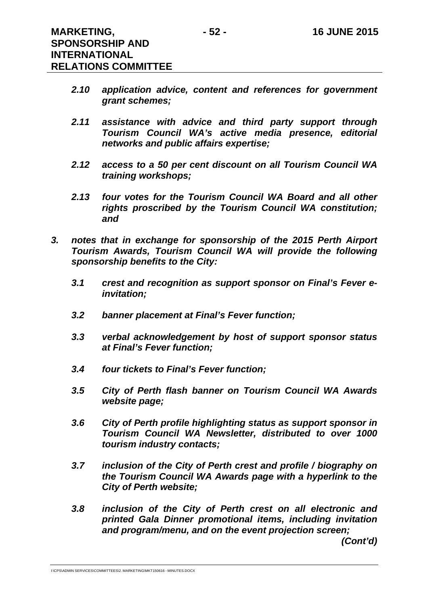- *2.10 application advice, content and references for government grant schemes;*
- *2.11 assistance with advice and third party support through Tourism Council WA's active media presence, editorial networks and public affairs expertise;*
- *2.12 access to a 50 per cent discount on all Tourism Council WA training workshops;*
- *2.13 four votes for the Tourism Council WA Board and all other rights proscribed by the Tourism Council WA constitution; and*
- *3. notes that in exchange for sponsorship of the 2015 Perth Airport Tourism Awards, Tourism Council WA will provide the following sponsorship benefits to the City:* 
	- *3.1 crest and recognition as support sponsor on Final's Fever einvitation;*
	- *3.2 banner placement at Final's Fever function;*
	- *3.3 verbal acknowledgement by host of support sponsor status at Final's Fever function;*
	- *3.4 four tickets to Final's Fever function;*
	- *3.5 City of Perth flash banner on Tourism Council WA Awards website page;*
	- *3.6 City of Perth profile highlighting status as support sponsor in Tourism Council WA Newsletter, distributed to over 1000 tourism industry contacts;*
	- *3.7 inclusion of the City of Perth crest and profile / biography on the Tourism Council WA Awards page with a hyperlink to the City of Perth website;*
	- *3.8 inclusion of the City of Perth crest on all electronic and printed Gala Dinner promotional items, including invitation and program/menu, and on the event projection screen;*

*(Cont'd)*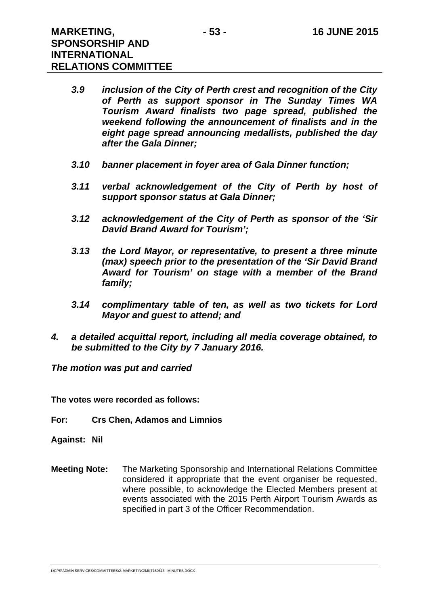- *3.9 inclusion of the City of Perth crest and recognition of the City of Perth as support sponsor in The Sunday Times WA Tourism Award finalists two page spread, published the weekend following the announcement of finalists and in the eight page spread announcing medallists, published the day after the Gala Dinner;*
- *3.10 banner placement in foyer area of Gala Dinner function;*
- *3.11 verbal acknowledgement of the City of Perth by host of support sponsor status at Gala Dinner;*
- *3.12 acknowledgement of the City of Perth as sponsor of the 'Sir David Brand Award for Tourism';*
- *3.13 the Lord Mayor, or representative, to present a three minute (max) speech prior to the presentation of the 'Sir David Brand Award for Tourism' on stage with a member of the Brand family;*
- *3.14 complimentary table of ten, as well as two tickets for Lord Mayor and guest to attend; and*
- *4. a detailed acquittal report, including all media coverage obtained, to be submitted to the City by 7 January 2016.*

*The motion was put and carried* 

**The votes were recorded as follows:** 

- **For: Crs Chen, Adamos and Limnios**
- **Against: Nil**
- **Meeting Note:** The Marketing Sponsorship and International Relations Committee considered it appropriate that the event organiser be requested, where possible, to acknowledge the Elected Members present at events associated with the 2015 Perth Airport Tourism Awards as specified in part 3 of the Officer Recommendation.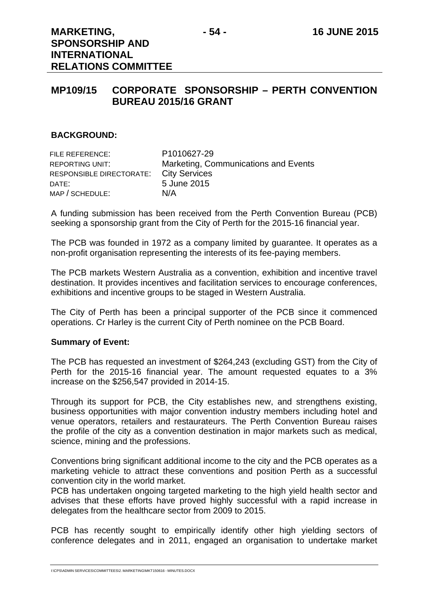# **MP109/15 CORPORATE SPONSORSHIP – PERTH CONVENTION BUREAU 2015/16 GRANT**

#### **BACKGROUND:**

| FILE REFERENCE:          | P1010627-29                          |
|--------------------------|--------------------------------------|
| REPORTING UNIT:          | Marketing, Communications and Events |
| RESPONSIBLE DIRECTORATE: | <b>City Services</b>                 |
| DATE:                    | 5 June 2015                          |
| MAP / SCHEDULE:          | N/A                                  |

A funding submission has been received from the Perth Convention Bureau (PCB) seeking a sponsorship grant from the City of Perth for the 2015-16 financial year.

The PCB was founded in 1972 as a company limited by guarantee. It operates as a non-profit organisation representing the interests of its fee-paying members.

The PCB markets Western Australia as a convention, exhibition and incentive travel destination. It provides incentives and facilitation services to encourage conferences, exhibitions and incentive groups to be staged in Western Australia.

The City of Perth has been a principal supporter of the PCB since it commenced operations. Cr Harley is the current City of Perth nominee on the PCB Board.

#### **Summary of Event:**

The PCB has requested an investment of \$264,243 (excluding GST) from the City of Perth for the 2015-16 financial year. The amount requested equates to a 3% increase on the \$256,547 provided in 2014-15.

Through its support for PCB, the City establishes new, and strengthens existing, business opportunities with major convention industry members including hotel and venue operators, retailers and restaurateurs. The Perth Convention Bureau raises the profile of the city as a convention destination in major markets such as medical, science, mining and the professions.

Conventions bring significant additional income to the city and the PCB operates as a marketing vehicle to attract these conventions and position Perth as a successful convention city in the world market.

PCB has undertaken ongoing targeted marketing to the high yield health sector and advises that these efforts have proved highly successful with a rapid increase in delegates from the healthcare sector from 2009 to 2015.

PCB has recently sought to empirically identify other high yielding sectors of conference delegates and in 2011, engaged an organisation to undertake market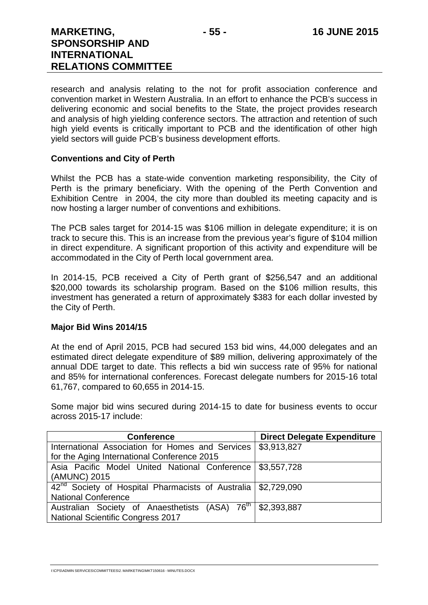research and analysis relating to the not for profit association conference and convention market in Western Australia. In an effort to enhance the PCB's success in delivering economic and social benefits to the State, the project provides research and analysis of high yielding conference sectors. The attraction and retention of such high yield events is critically important to PCB and the identification of other high yield sectors will guide PCB's business development efforts.

#### **Conventions and City of Perth**

Whilst the PCB has a state-wide convention marketing responsibility, the City of Perth is the primary beneficiary. With the opening of the Perth Convention and Exhibition Centre in 2004, the city more than doubled its meeting capacity and is now hosting a larger number of conventions and exhibitions.

The PCB sales target for 2014-15 was \$106 million in delegate expenditure; it is on track to secure this. This is an increase from the previous year's figure of \$104 million in direct expenditure. A significant proportion of this activity and expenditure will be accommodated in the City of Perth local government area.

In 2014-15, PCB received a City of Perth grant of \$256,547 and an additional \$20,000 towards its scholarship program. Based on the \$106 million results, this investment has generated a return of approximately \$383 for each dollar invested by the City of Perth.

#### **Major Bid Wins 2014/15**

At the end of April 2015, PCB had secured 153 bid wins, 44,000 delegates and an estimated direct delegate expenditure of \$89 million, delivering approximately of the annual DDE target to date. This reflects a bid win success rate of 95% for national and 85% for international conferences. Forecast delegate numbers for 2015-16 total 61,767, compared to 60,655 in 2014-15.

Some major bid wins secured during 2014-15 to date for business events to occur across 2015-17 include:

| <b>Conference</b>                                                           | <b>Direct Delegate Expenditure</b> |
|-----------------------------------------------------------------------------|------------------------------------|
| International Association for Homes and Services                            | \$3,913,827                        |
| for the Aging International Conference 2015                                 |                                    |
| Asia Pacific Model United National Conference   \$3,557,728                 |                                    |
| (AMUNC) 2015                                                                |                                    |
| 42 <sup>nd</sup> Society of Hospital Pharmacists of Australia   \$2,729,090 |                                    |
| <b>National Conference</b>                                                  |                                    |
| Australian Society of Anaesthetists (ASA) 76 <sup>th</sup> \$2,393,887      |                                    |
| <b>National Scientific Congress 2017</b>                                    |                                    |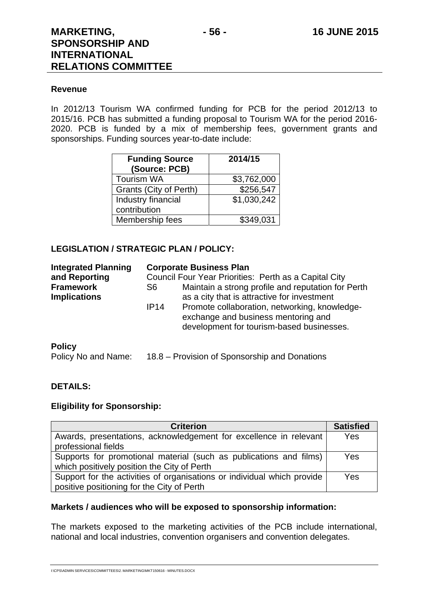**RELATIONS COMMITTEE** 

#### **Revenue**

In 2012/13 Tourism WA confirmed funding for PCB for the period 2012/13 to 2015/16. PCB has submitted a funding proposal to Tourism WA for the period 2016- 2020. PCB is funded by a mix of membership fees, government grants and sponsorships. Funding sources year-to-date include:

| <b>Funding Source</b><br>(Source: PCB) | 2014/15     |
|----------------------------------------|-------------|
| <b>Tourism WA</b>                      | \$3,762,000 |
| Grants (City of Perth)                 | \$256,547   |
| Industry financial                     | \$1,030,242 |
| contribution                           |             |
| Membership fees                        | \$349,031   |

#### **LEGISLATION / STRATEGIC PLAN / POLICY:**

| <b>Integrated Planning</b><br>and Reporting<br><b>Framework</b><br><b>Implications</b> | <b>Corporate Business Plan</b><br>Council Four Year Priorities: Perth as a Capital City<br>Maintain a strong profile and reputation for Perth<br>S6<br>as a city that is attractive for investment<br>Promote collaboration, networking, knowledge-<br>IP14<br>exchange and business mentoring and |  |
|----------------------------------------------------------------------------------------|----------------------------------------------------------------------------------------------------------------------------------------------------------------------------------------------------------------------------------------------------------------------------------------------------|--|
|                                                                                        | development for tourism-based businesses.                                                                                                                                                                                                                                                          |  |
| <b>Policy</b><br>Policy No and Name:                                                   | 18.8 – Provision of Sponsorship and Donations                                                                                                                                                                                                                                                      |  |

#### **DETAILS:**

#### **Eligibility for Sponsorship:**

| <b>Criterion</b>                                                                                                      | <b>Satisfied</b> |
|-----------------------------------------------------------------------------------------------------------------------|------------------|
| Awards, presentations, acknowledgement for excellence in relevant<br>professional fields                              | Yes              |
| Supports for promotional material (such as publications and films)<br>which positively position the City of Perth     | Yes              |
| Support for the activities of organisations or individual which provide<br>positive positioning for the City of Perth | Yes              |

#### **Markets / audiences who will be exposed to sponsorship information:**

The markets exposed to the marketing activities of the PCB include international, national and local industries, convention organisers and convention delegates.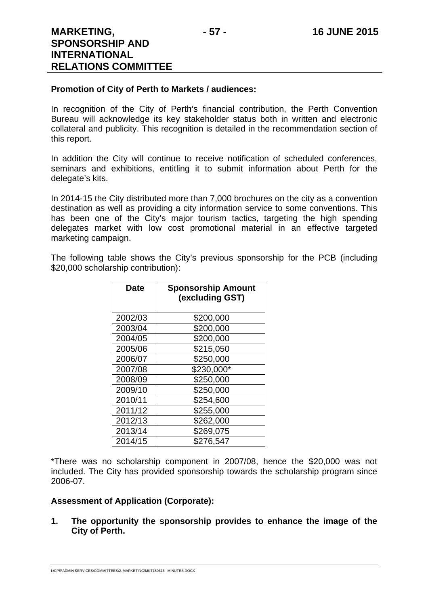#### **Promotion of City of Perth to Markets / audiences:**

In recognition of the City of Perth's financial contribution, the Perth Convention Bureau will acknowledge its key stakeholder status both in written and electronic collateral and publicity. This recognition is detailed in the recommendation section of this report.

In addition the City will continue to receive notification of scheduled conferences, seminars and exhibitions, entitling it to submit information about Perth for the delegate's kits.

In 2014-15 the City distributed more than 7,000 brochures on the city as a convention destination as well as providing a city information service to some conventions. This has been one of the City's major tourism tactics, targeting the high spending delegates market with low cost promotional material in an effective targeted marketing campaign.

The following table shows the City's previous sponsorship for the PCB (including \$20,000 scholarship contribution):

| Date    | <b>Sponsorship Amount</b><br>(excluding GST) |
|---------|----------------------------------------------|
|         |                                              |
| 2002/03 | \$200,000                                    |
| 2003/04 | \$200,000                                    |
| 2004/05 | \$200,000                                    |
| 2005/06 | \$215,050                                    |
| 2006/07 | \$250,000                                    |
| 2007/08 | \$230,000*                                   |
| 2008/09 | \$250,000                                    |
| 2009/10 | \$250,000                                    |
| 2010/11 | \$254,600                                    |
| 2011/12 | \$255,000                                    |
| 2012/13 | \$262,000                                    |
| 2013/14 | \$269,075                                    |
| 2014/15 | \$276,547                                    |

\*There was no scholarship component in 2007/08, hence the \$20,000 was not included. The City has provided sponsorship towards the scholarship program since 2006-07.

#### **Assessment of Application (Corporate):**

**1. The opportunity the sponsorship provides to enhance the image of the City of Perth.**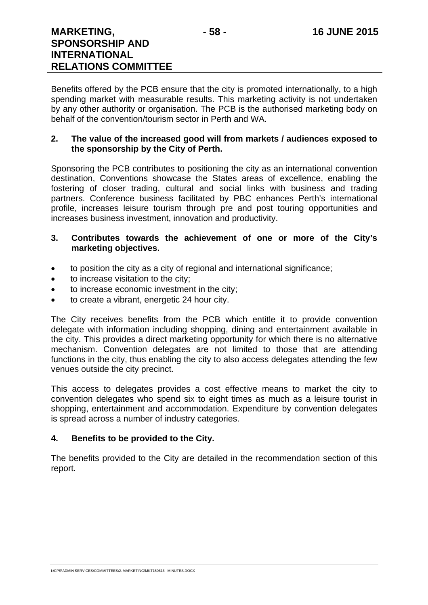Benefits offered by the PCB ensure that the city is promoted internationally, to a high spending market with measurable results. This marketing activity is not undertaken by any other authority or organisation. The PCB is the authorised marketing body on behalf of the convention/tourism sector in Perth and WA.

#### **2. The value of the increased good will from markets / audiences exposed to the sponsorship by the City of Perth.**

Sponsoring the PCB contributes to positioning the city as an international convention destination, Conventions showcase the States areas of excellence, enabling the fostering of closer trading, cultural and social links with business and trading partners. Conference business facilitated by PBC enhances Perth's international profile, increases leisure tourism through pre and post touring opportunities and increases business investment, innovation and productivity.

#### **3. Contributes towards the achievement of one or more of the City's marketing objectives.**

- to position the city as a city of regional and international significance;
- to increase visitation to the city;
- to increase economic investment in the city;
- to create a vibrant, energetic 24 hour city.

The City receives benefits from the PCB which entitle it to provide convention delegate with information including shopping, dining and entertainment available in the city. This provides a direct marketing opportunity for which there is no alternative mechanism. Convention delegates are not limited to those that are attending functions in the city, thus enabling the city to also access delegates attending the few venues outside the city precinct.

This access to delegates provides a cost effective means to market the city to convention delegates who spend six to eight times as much as a leisure tourist in shopping, entertainment and accommodation. Expenditure by convention delegates is spread across a number of industry categories.

## **4. Benefits to be provided to the City.**

The benefits provided to the City are detailed in the recommendation section of this report.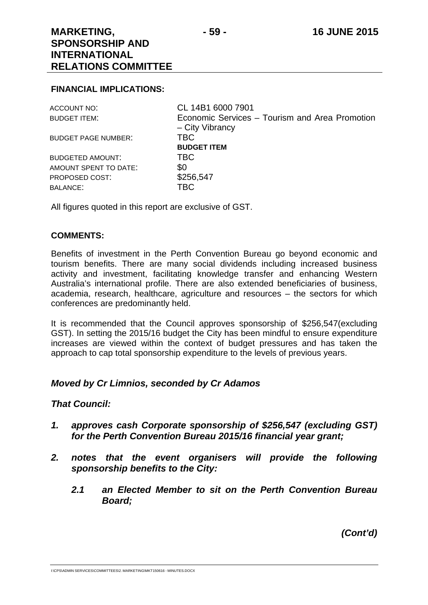#### **FINANCIAL IMPLICATIONS:**

| ACCOUNT NO:                | CL 14B1 6000 7901                                                 |
|----------------------------|-------------------------------------------------------------------|
| <b>BUDGET ITEM:</b>        | Economic Services – Tourism and Area Promotion<br>- City Vibrancy |
| <b>BUDGET PAGE NUMBER:</b> | <b>TBC</b><br><b>BUDGET ITEM</b>                                  |
| <b>BUDGETED AMOUNT:</b>    | TBC.                                                              |
| AMOUNT SPENT TO DATE:      | \$0                                                               |
| PROPOSED COST:             | \$256,547                                                         |
| <b>BALANCE:</b>            | <b>TBC</b>                                                        |

All figures quoted in this report are exclusive of GST.

#### **COMMENTS:**

Benefits of investment in the Perth Convention Bureau go beyond economic and tourism benefits. There are many social dividends including increased business activity and investment, facilitating knowledge transfer and enhancing Western Australia's international profile. There are also extended beneficiaries of business, academia, research, healthcare, agriculture and resources – the sectors for which conferences are predominantly held.

It is recommended that the Council approves sponsorship of \$256,547(excluding GST). In setting the 2015/16 budget the City has been mindful to ensure expenditure increases are viewed within the context of budget pressures and has taken the approach to cap total sponsorship expenditure to the levels of previous years.

## *Moved by Cr Limnios, seconded by Cr Adamos*

#### *That Council:*

- *1. approves cash Corporate sponsorship of \$256,547 (excluding GST) for the Perth Convention Bureau 2015/16 financial year grant;*
- *2. notes that the event organisers will provide the following sponsorship benefits to the City:* 
	- *2.1 an Elected Member to sit on the Perth Convention Bureau Board;*

*(Cont'd)*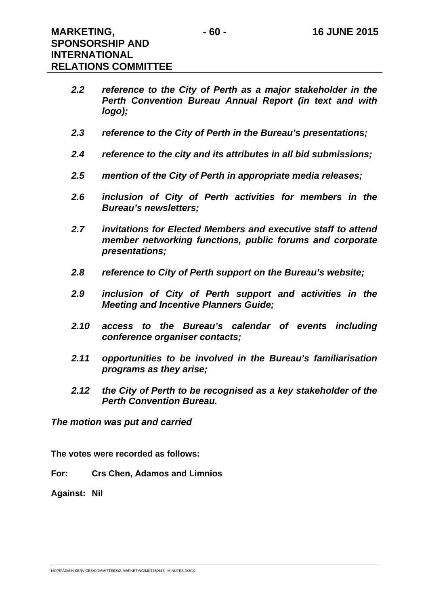- *2.2 reference to the City of Perth as a major stakeholder in the Perth Convention Bureau Annual Report (in text and with logo);*
- *2.3 reference to the City of Perth in the Bureau's presentations;*
- *2.4 reference to the city and its attributes in all bid submissions;*
- *2.5 mention of the City of Perth in appropriate media releases;*
- *2.6 inclusion of City of Perth activities for members in the Bureau's newsletters;*
- *2.7 invitations for Elected Members and executive staff to attend member networking functions, public forums and corporate presentations;*
- *2.8 reference to City of Perth support on the Bureau's website;*
- *2.9 inclusion of City of Perth support and activities in the Meeting and Incentive Planners Guide;*
- *2.10 access to the Bureau's calendar of events including conference organiser contacts;*
- *2.11 opportunities to be involved in the Bureau's familiarisation programs as they arise;*
- *2.12 the City of Perth to be recognised as a key stakeholder of the Perth Convention Bureau.*

*The motion was put and carried* 

**The votes were recorded as follows:** 

**For: Crs Chen, Adamos and Limnios** 

**Against: Nil**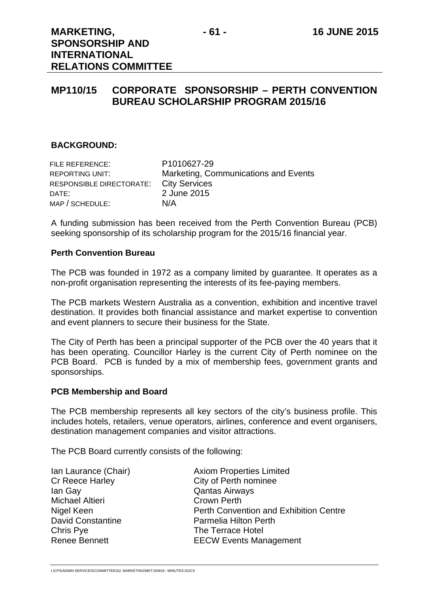# **MP110/15 CORPORATE SPONSORSHIP – PERTH CONVENTION BUREAU SCHOLARSHIP PROGRAM 2015/16**

#### **BACKGROUND:**

| FILE REFERENCE:          | P1010627-29                          |
|--------------------------|--------------------------------------|
| REPORTING UNIT:          | Marketing, Communications and Events |
| RESPONSIBLE DIRECTORATE: | <b>City Services</b>                 |
| DATE:                    | 2 June 2015                          |
| MAP / SCHEDULE:          | N/A                                  |

A funding submission has been received from the Perth Convention Bureau (PCB) seeking sponsorship of its scholarship program for the 2015/16 financial year.

#### **Perth Convention Bureau**

The PCB was founded in 1972 as a company limited by guarantee. It operates as a non-profit organisation representing the interests of its fee-paying members.

The PCB markets Western Australia as a convention, exhibition and incentive travel destination. It provides both financial assistance and market expertise to convention and event planners to secure their business for the State.

The City of Perth has been a principal supporter of the PCB over the 40 years that it has been operating. Councillor Harley is the current City of Perth nominee on the PCB Board. PCB is funded by a mix of membership fees, government grants and sponsorships.

#### **PCB Membership and Board**

The PCB membership represents all key sectors of the city's business profile. This includes hotels, retailers, venue operators, airlines, conference and event organisers, destination management companies and visitor attractions.

The PCB Board currently consists of the following:

| Ian Laurance (Chair)     | <b>Axiom Properties Limited</b>               |
|--------------------------|-----------------------------------------------|
|                          |                                               |
| Cr Reece Harley          | City of Perth nominee                         |
| lan Gay                  | <b>Qantas Airways</b>                         |
| Michael Altieri          | <b>Crown Perth</b>                            |
| Nigel Keen               | <b>Perth Convention and Exhibition Centre</b> |
| <b>David Constantine</b> | Parmelia Hilton Perth                         |
| Chris Pye                | The Terrace Hotel                             |
| Renee Bennett            | <b>EECW Events Management</b>                 |
|                          |                                               |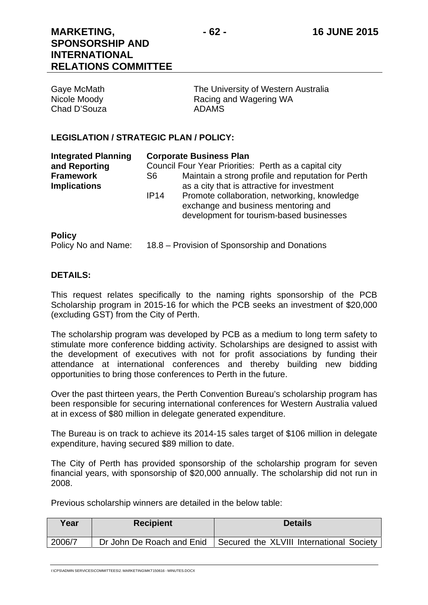Chad D'Souza **ADAMS** 

Gaye McMath The University of Western Australia Nicole Moody **Racing and Wagering WA** 

#### **LEGISLATION / STRATEGIC PLAN / POLICY:**

| <b>Integrated Planning</b><br>and Reporting | <b>Corporate Business Plan</b><br>Council Four Year Priorities: Perth as a capital city |                                                                                                                                 |
|---------------------------------------------|-----------------------------------------------------------------------------------------|---------------------------------------------------------------------------------------------------------------------------------|
| <b>Framework</b><br><b>Implications</b>     | S6                                                                                      | Maintain a strong profile and reputation for Perth<br>as a city that is attractive for investment                               |
|                                             | IP14                                                                                    | Promote collaboration, networking, knowledge<br>exchange and business mentoring and<br>development for tourism-based businesses |
| <b>DALLA</b>                                |                                                                                         |                                                                                                                                 |

# **Policy**

Policy No and Name: 18.8 – Provision of Sponsorship and Donations

#### **DETAILS:**

This request relates specifically to the naming rights sponsorship of the PCB Scholarship program in 2015-16 for which the PCB seeks an investment of \$20,000 (excluding GST) from the City of Perth.

The scholarship program was developed by PCB as a medium to long term safety to stimulate more conference bidding activity. Scholarships are designed to assist with the development of executives with not for profit associations by funding their attendance at international conferences and thereby building new bidding opportunities to bring those conferences to Perth in the future.

Over the past thirteen years, the Perth Convention Bureau's scholarship program has been responsible for securing international conferences for Western Australia valued at in excess of \$80 million in delegate generated expenditure.

The Bureau is on track to achieve its 2014-15 sales target of \$106 million in delegate expenditure, having secured \$89 million to date.

The City of Perth has provided sponsorship of the scholarship program for seven financial years, with sponsorship of \$20,000 annually. The scholarship did not run in 2008.

Previous scholarship winners are detailed in the below table:

| Year   | <b>Recipient</b>          | <b>Details</b>                           |
|--------|---------------------------|------------------------------------------|
| 2006/7 | Dr John De Roach and Enid | Secured the XLVIII International Society |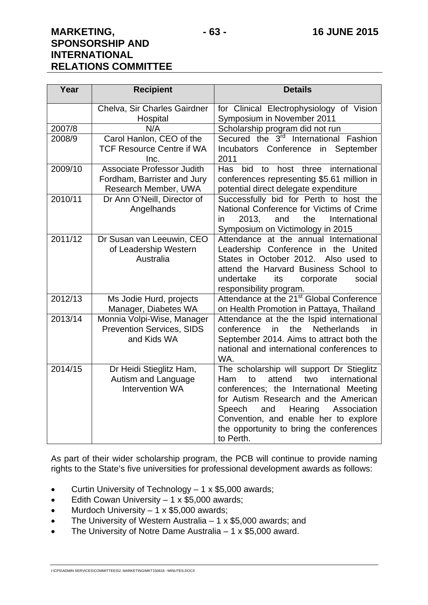| Year    | <b>Recipient</b>                                                                         | <b>Details</b>                                                                                                                                                                                                                                                                                                           |
|---------|------------------------------------------------------------------------------------------|--------------------------------------------------------------------------------------------------------------------------------------------------------------------------------------------------------------------------------------------------------------------------------------------------------------------------|
|         | Chelva, Sir Charles Gairdner<br>Hospital                                                 | for Clinical Electrophysiology of Vision<br>Symposium in November 2011                                                                                                                                                                                                                                                   |
| 2007/8  | N/A                                                                                      | Scholarship program did not run                                                                                                                                                                                                                                                                                          |
| 2008/9  | Carol Hanlon, CEO of the<br><b>TCF Resource Centre if WA</b><br>Inc.                     | Secured the 3 <sup>rd</sup> International Fashion<br>Incubators Conference<br>in<br>September<br>2011                                                                                                                                                                                                                    |
| 2009/10 | <b>Associate Professor Judith</b><br>Fordham, Barrister and Jury<br>Research Member, UWA | bid<br>three<br>international<br><b>Has</b><br>host<br>to<br>conferences representing \$5.61 million in<br>potential direct delegate expenditure                                                                                                                                                                         |
| 2010/11 | Dr Ann O'Neill, Director of<br>Angelhands                                                | Successfully bid for Perth to host the<br>National Conference for Victims of Crime<br>2013.<br>the<br>International<br>in<br>and<br>Symposium on Victimology in 2015                                                                                                                                                     |
| 2011/12 | Dr Susan van Leeuwin, CEO<br>of Leadership Western<br>Australia                          | Attendance at the annual International<br>Leadership Conference in the United<br>States in October 2012. Also used to<br>attend the Harvard Business School to<br>undertake<br>its<br>corporate<br>social<br>responsibility program.                                                                                     |
| 2012/13 | Ms Jodie Hurd, projects<br>Manager, Diabetes WA                                          | Attendance at the 21 <sup>st</sup> Global Conference<br>on Health Promotion in Pattaya, Thailand                                                                                                                                                                                                                         |
| 2013/14 | Monnia Volpi-Wise, Manager<br><b>Prevention Services, SIDS</b><br>and Kids WA            | Attendance at the the Ispid international<br>the<br>conference<br>in<br><b>Netherlands</b><br>in<br>September 2014. Aims to attract both the<br>national and international conferences to<br>WA.                                                                                                                         |
| 2014/15 | Dr Heidi Stieglitz Ham,<br>Autism and Language<br>Intervention WA                        | The scholarship will support Dr Stieglitz<br>international<br>attend<br>two<br>Ham.<br>to<br>conferences; the International Meeting<br>for Autism Research and the American<br>Speech<br>and<br>Hearing<br>Association<br>Convention, and enable her to explore<br>the opportunity to bring the conferences<br>to Perth. |

As part of their wider scholarship program, the PCB will continue to provide naming rights to the State's five universities for professional development awards as follows:

- Curtin University of Technology 1 x \$5,000 awards;
- **Edith Cowan University 1 x \$5,000 awards;**
- $\bullet$  Murdoch University 1 x \$5,000 awards;
- The University of Western Australia 1 x \$5,000 awards; and
- The University of Notre Dame Australia 1 x \$5,000 award.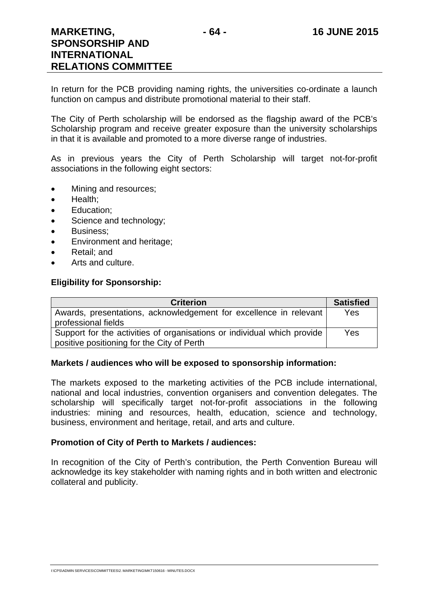In return for the PCB providing naming rights, the universities co-ordinate a launch function on campus and distribute promotional material to their staff.

The City of Perth scholarship will be endorsed as the flagship award of the PCB's Scholarship program and receive greater exposure than the university scholarships in that it is available and promoted to a more diverse range of industries.

As in previous years the City of Perth Scholarship will target not-for-profit associations in the following eight sectors:

- Mining and resources;
- Health:
- Education:
- Science and technology;
- Business:
- Environment and heritage;
- Retail; and
- Arts and culture.

# **Eligibility for Sponsorship:**

| <b>Criterion</b>                                                                                                      | <b>Satisfied</b> |
|-----------------------------------------------------------------------------------------------------------------------|------------------|
| Awards, presentations, acknowledgement for excellence in relevant<br>professional fields                              | Yes              |
| Support for the activities of organisations or individual which provide<br>positive positioning for the City of Perth | Yes              |

# **Markets / audiences who will be exposed to sponsorship information:**

The markets exposed to the marketing activities of the PCB include international, national and local industries, convention organisers and convention delegates. The scholarship will specifically target not-for-profit associations in the following industries: mining and resources, health, education, science and technology, business, environment and heritage, retail, and arts and culture.

# **Promotion of City of Perth to Markets / audiences:**

In recognition of the City of Perth's contribution, the Perth Convention Bureau will acknowledge its key stakeholder with naming rights and in both written and electronic collateral and publicity.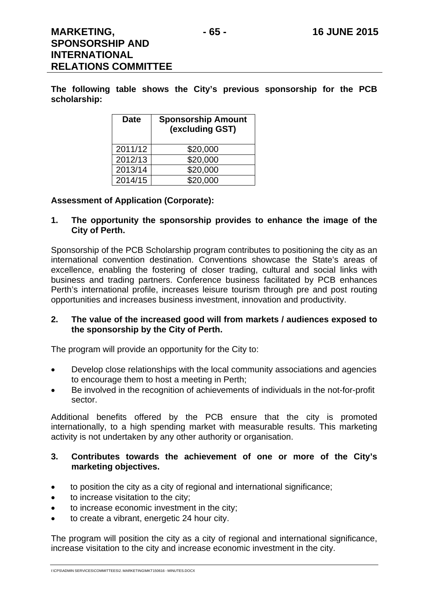**The following table shows the City's previous sponsorship for the PCB scholarship:** 

| <b>Date</b> | <b>Sponsorship Amount</b><br>(excluding GST) |
|-------------|----------------------------------------------|
| 2011/12     | \$20,000                                     |
| 2012/13     | \$20,000                                     |
| 2013/14     | \$20,000                                     |
| 2014/15     | \$20,000                                     |

#### **Assessment of Application (Corporate):**

#### **1. The opportunity the sponsorship provides to enhance the image of the City of Perth.**

Sponsorship of the PCB Scholarship program contributes to positioning the city as an international convention destination. Conventions showcase the State's areas of excellence, enabling the fostering of closer trading, cultural and social links with business and trading partners. Conference business facilitated by PCB enhances Perth's international profile, increases leisure tourism through pre and post routing opportunities and increases business investment, innovation and productivity.

#### **2. The value of the increased good will from markets / audiences exposed to the sponsorship by the City of Perth.**

The program will provide an opportunity for the City to:

- Develop close relationships with the local community associations and agencies to encourage them to host a meeting in Perth;
- Be involved in the recognition of achievements of individuals in the not-for-profit sector.

Additional benefits offered by the PCB ensure that the city is promoted internationally, to a high spending market with measurable results. This marketing activity is not undertaken by any other authority or organisation.

#### **3. Contributes towards the achievement of one or more of the City's marketing objectives.**

- to position the city as a city of regional and international significance;
- to increase visitation to the city;
- to increase economic investment in the city;
- to create a vibrant, energetic 24 hour city.

The program will position the city as a city of regional and international significance, increase visitation to the city and increase economic investment in the city.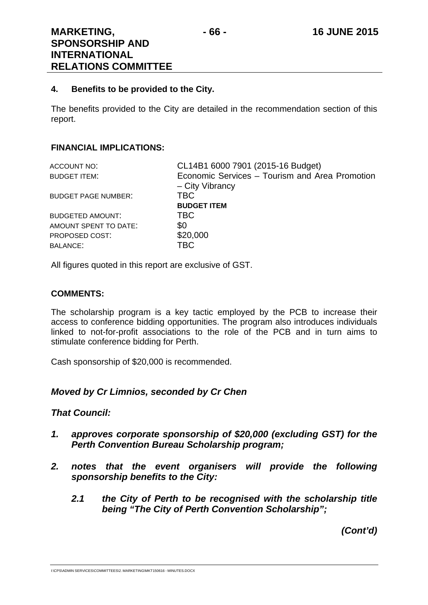#### **4. Benefits to be provided to the City.**

The benefits provided to the City are detailed in the recommendation section of this report.

#### **FINANCIAL IMPLICATIONS:**

| CL14B1 6000 7901 (2015-16 Budget)              |
|------------------------------------------------|
| Economic Services - Tourism and Area Promotion |
| - City Vibrancy                                |
| TBC.                                           |
| <b>BUDGET ITEM</b>                             |
| <b>TBC</b>                                     |
| \$0                                            |
| \$20,000                                       |
| TBC.                                           |
|                                                |

All figures quoted in this report are exclusive of GST.

#### **COMMENTS:**

The scholarship program is a key tactic employed by the PCB to increase their access to conference bidding opportunities. The program also introduces individuals linked to not-for-profit associations to the role of the PCB and in turn aims to stimulate conference bidding for Perth.

Cash sponsorship of \$20,000 is recommended.

## *Moved by Cr Limnios, seconded by Cr Chen*

## *That Council:*

- *1. approves corporate sponsorship of \$20,000 (excluding GST) for the Perth Convention Bureau Scholarship program;*
- *2. notes that the event organisers will provide the following sponsorship benefits to the City:* 
	- *2.1 the City of Perth to be recognised with the scholarship title being "The City of Perth Convention Scholarship";*

*(Cont'd)*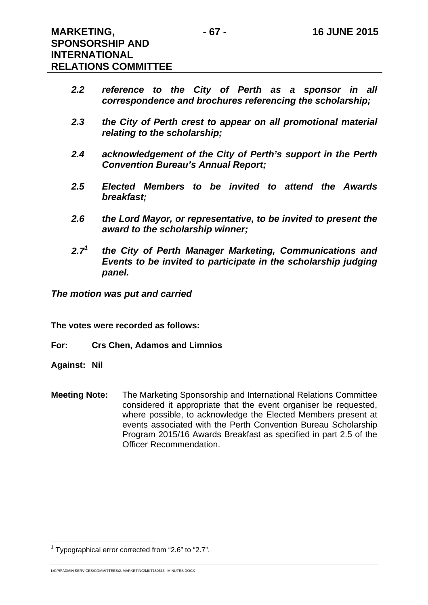- *2.2 reference to the City of Perth as a sponsor in all correspondence and brochures referencing the scholarship;*
- *2.3 the City of Perth crest to appear on all promotional material relating to the scholarship;*
- *2.4 acknowledgement of the City of Perth's support in the Perth Convention Bureau's Annual Report;*
- *2.5 Elected Members to be invited to attend the Awards breakfast;*
- *2.6 the Lord Mayor, or representative, to be invited to present the award to the scholarship winner;*
- *2.71 the City of Perth Manager Marketing, Communications and Events to be invited to participate in the scholarship judging panel.*

*The motion was put and carried* 

**The votes were recorded as follows:** 

**For: Crs Chen, Adamos and Limnios** 

**Against: Nil** 

 $\overline{a}$ 

**Meeting Note:** The Marketing Sponsorship and International Relations Committee considered it appropriate that the event organiser be requested, where possible, to acknowledge the Elected Members present at events associated with the Perth Convention Bureau Scholarship Program 2015/16 Awards Breakfast as specified in part 2.5 of the Officer Recommendation.

<sup>&</sup>lt;sup>1</sup> Typographical error corrected from "2.6" to "2.7".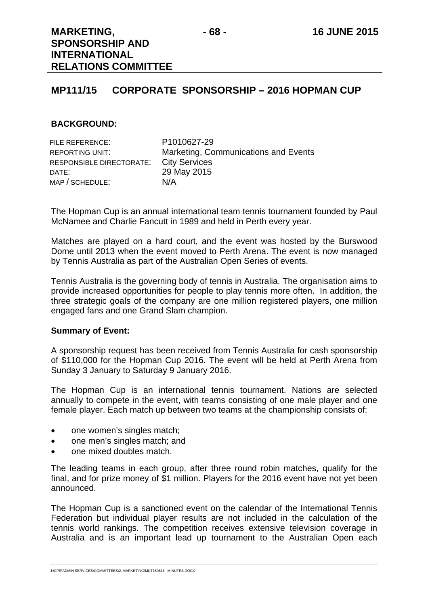# **MP111/15 CORPORATE SPONSORSHIP – 2016 HOPMAN CUP**

#### **BACKGROUND:**

| FILE REFERENCE:          | P1010627-29                          |
|--------------------------|--------------------------------------|
| REPORTING UNIT:          | Marketing, Communications and Events |
| RESPONSIBLE DIRECTORATE: | <b>City Services</b>                 |
| DATE:                    | 29 May 2015                          |
| MAP / SCHEDULE:          | N/A                                  |

The Hopman Cup is an annual international team tennis tournament founded by Paul McNamee and Charlie Fancutt in 1989 and held in Perth every year.

Matches are played on a hard court, and the event was hosted by the Burswood Dome until 2013 when the event moved to Perth Arena. The event is now managed by Tennis Australia as part of the Australian Open Series of events.

Tennis Australia is the governing body of tennis in Australia. The organisation aims to provide increased opportunities for people to play tennis more often. In addition, the three strategic goals of the company are one million registered players, one million engaged fans and one Grand Slam champion.

#### **Summary of Event:**

A sponsorship request has been received from Tennis Australia for cash sponsorship of \$110,000 for the Hopman Cup 2016. The event will be held at Perth Arena from Sunday 3 January to Saturday 9 January 2016.

The Hopman Cup is an international tennis tournament. Nations are selected annually to compete in the event, with teams consisting of one male player and one female player. Each match up between two teams at the championship consists of:

- one women's singles match;
- one men's singles match; and
- one mixed doubles match.

The leading teams in each group, after three round robin matches, qualify for the final, and for prize money of \$1 million. Players for the 2016 event have not yet been announced.

The Hopman Cup is a sanctioned event on the calendar of the International Tennis Federation but individual player results are not included in the calculation of the tennis world rankings. The competition receives extensive television coverage in Australia and is an important lead up tournament to the Australian Open each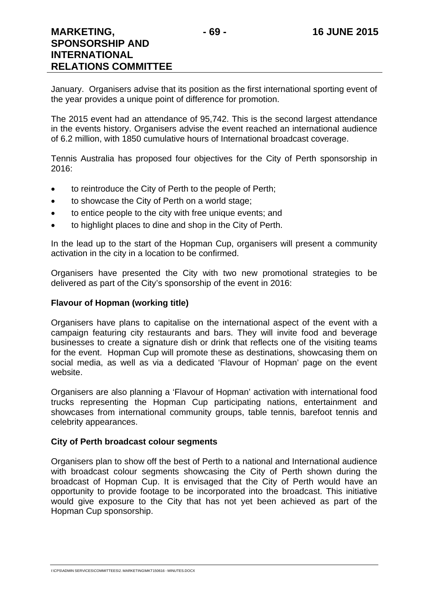January. Organisers advise that its position as the first international sporting event of the year provides a unique point of difference for promotion.

The 2015 event had an attendance of 95,742. This is the second largest attendance in the events history. Organisers advise the event reached an international audience of 6.2 million, with 1850 cumulative hours of International broadcast coverage.

Tennis Australia has proposed four objectives for the City of Perth sponsorship in 2016:

- to reintroduce the City of Perth to the people of Perth;
- to showcase the City of Perth on a world stage;
- to entice people to the city with free unique events; and
- to highlight places to dine and shop in the City of Perth.

In the lead up to the start of the Hopman Cup, organisers will present a community activation in the city in a location to be confirmed.

Organisers have presented the City with two new promotional strategies to be delivered as part of the City's sponsorship of the event in 2016:

## **Flavour of Hopman (working title)**

Organisers have plans to capitalise on the international aspect of the event with a campaign featuring city restaurants and bars. They will invite food and beverage businesses to create a signature dish or drink that reflects one of the visiting teams for the event. Hopman Cup will promote these as destinations, showcasing them on social media, as well as via a dedicated 'Flavour of Hopman' page on the event website.

Organisers are also planning a 'Flavour of Hopman' activation with international food trucks representing the Hopman Cup participating nations, entertainment and showcases from international community groups, table tennis, barefoot tennis and celebrity appearances.

## **City of Perth broadcast colour segments**

Organisers plan to show off the best of Perth to a national and International audience with broadcast colour segments showcasing the City of Perth shown during the broadcast of Hopman Cup. It is envisaged that the City of Perth would have an opportunity to provide footage to be incorporated into the broadcast. This initiative would give exposure to the City that has not yet been achieved as part of the Hopman Cup sponsorship.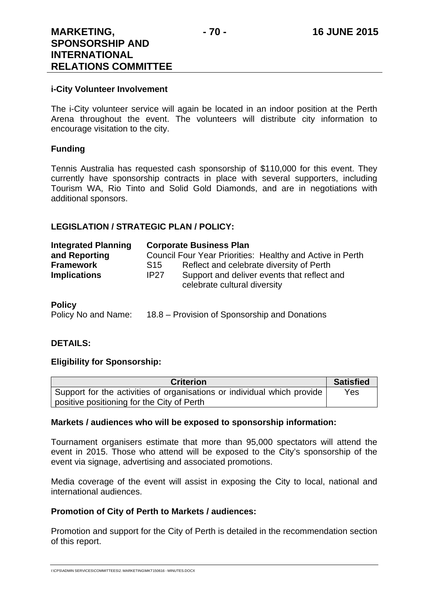## **i-City Volunteer Involvement**

The i-City volunteer service will again be located in an indoor position at the Perth Arena throughout the event. The volunteers will distribute city information to encourage visitation to the city.

## **Funding**

Tennis Australia has requested cash sponsorship of \$110,000 for this event. They currently have sponsorship contracts in place with several supporters, including Tourism WA, Rio Tinto and Solid Gold Diamonds, and are in negotiations with additional sponsors.

## **LEGISLATION / STRATEGIC PLAN / POLICY:**

| <b>Integrated Planning</b> |      | <b>Corporate Business Plan</b>                                              |
|----------------------------|------|-----------------------------------------------------------------------------|
| and Reporting              |      | Council Four Year Priorities: Healthy and Active in Perth                   |
| <b>Framework</b>           | S15  | Reflect and celebrate diversity of Perth                                    |
| <b>Implications</b>        | IP27 | Support and deliver events that reflect and<br>celebrate cultural diversity |

### **Policy**

Policy No and Name: 18.8 – Provision of Sponsorship and Donations

## **DETAILS:**

## **Eligibility for Sponsorship:**

| <b>Criterion</b>                                                        | <b>Satisfied</b> |
|-------------------------------------------------------------------------|------------------|
| Support for the activities of organisations or individual which provide | Yes              |
| positive positioning for the City of Perth                              |                  |

## **Markets / audiences who will be exposed to sponsorship information:**

Tournament organisers estimate that more than 95,000 spectators will attend the event in 2015. Those who attend will be exposed to the City's sponsorship of the event via signage, advertising and associated promotions.

Media coverage of the event will assist in exposing the City to local, national and international audiences.

## **Promotion of City of Perth to Markets / audiences:**

Promotion and support for the City of Perth is detailed in the recommendation section of this report.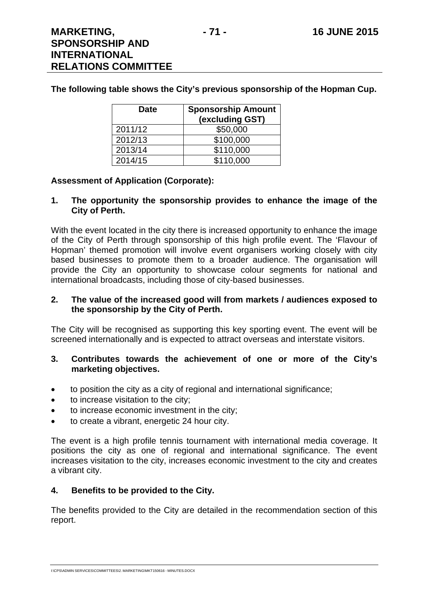## **The following table shows the City's previous sponsorship of the Hopman Cup.**

| <b>Date</b> | <b>Sponsorship Amount</b><br>(excluding GST) |
|-------------|----------------------------------------------|
| 2011/12     | \$50,000                                     |
| 2012/13     | \$100,000                                    |
| 2013/14     | \$110,000                                    |
| 2014/15     | \$110,000                                    |

## **Assessment of Application (Corporate):**

#### **1. The opportunity the sponsorship provides to enhance the image of the City of Perth.**

With the event located in the city there is increased opportunity to enhance the image of the City of Perth through sponsorship of this high profile event. The 'Flavour of Hopman' themed promotion will involve event organisers working closely with city based businesses to promote them to a broader audience. The organisation will provide the City an opportunity to showcase colour segments for national and international broadcasts, including those of city-based businesses.

#### **2. The value of the increased good will from markets / audiences exposed to the sponsorship by the City of Perth.**

The City will be recognised as supporting this key sporting event. The event will be screened internationally and is expected to attract overseas and interstate visitors.

## **3. Contributes towards the achievement of one or more of the City's marketing objectives.**

- to position the city as a city of regional and international significance;
- to increase visitation to the city;
- to increase economic investment in the city;
- to create a vibrant, energetic 24 hour city.

The event is a high profile tennis tournament with international media coverage. It positions the city as one of regional and international significance. The event increases visitation to the city, increases economic investment to the city and creates a vibrant city.

## **4. Benefits to be provided to the City.**

The benefits provided to the City are detailed in the recommendation section of this report.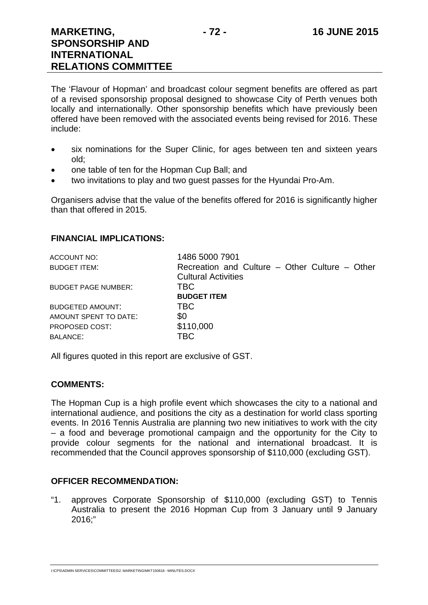The 'Flavour of Hopman' and broadcast colour segment benefits are offered as part of a revised sponsorship proposal designed to showcase City of Perth venues both locally and internationally. Other sponsorship benefits which have previously been offered have been removed with the associated events being revised for 2016. These include:

- six nominations for the Super Clinic, for ages between ten and sixteen years old;
- one table of ten for the Hopman Cup Ball; and
- two invitations to play and two guest passes for the Hyundai Pro-Am.

Organisers advise that the value of the benefits offered for 2016 is significantly higher than that offered in 2015.

## **FINANCIAL IMPLICATIONS:**

| 1486 5000 7901                                 |
|------------------------------------------------|
| Recreation and Culture – Other Culture – Other |
| <b>Cultural Activities</b>                     |
| <b>TBC</b>                                     |
| <b>BUDGET ITEM</b>                             |
| TBC                                            |
| \$0                                            |
| \$110,000                                      |
| TBC                                            |
|                                                |

All figures quoted in this report are exclusive of GST.

## **COMMENTS:**

The Hopman Cup is a high profile event which showcases the city to a national and international audience, and positions the city as a destination for world class sporting events. In 2016 Tennis Australia are planning two new initiatives to work with the city – a food and beverage promotional campaign and the opportunity for the City to provide colour segments for the national and international broadcast. It is recommended that the Council approves sponsorship of \$110,000 (excluding GST).

## **OFFICER RECOMMENDATION:**

"1. approves Corporate Sponsorship of \$110,000 (excluding GST) to Tennis Australia to present the 2016 Hopman Cup from 3 January until 9 January 2016;"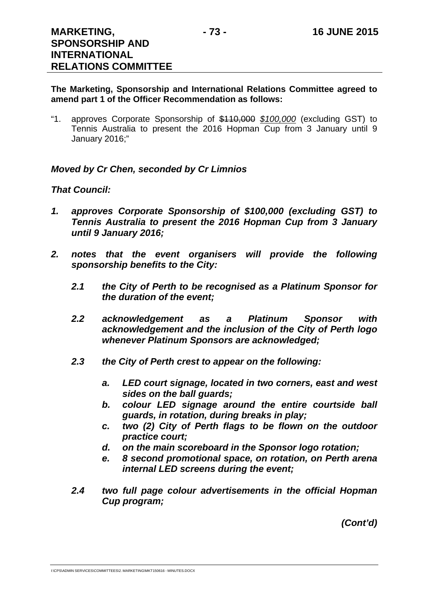## **The Marketing, Sponsorship and International Relations Committee agreed to amend part 1 of the Officer Recommendation as follows:**

"1. approves Corporate Sponsorship of \$110,000 *\$100,000* (excluding GST) to Tennis Australia to present the 2016 Hopman Cup from 3 January until 9 January 2016;"

## *Moved by Cr Chen, seconded by Cr Limnios*

## *That Council:*

- *1. approves Corporate Sponsorship of \$100,000 (excluding GST) to Tennis Australia to present the 2016 Hopman Cup from 3 January until 9 January 2016;*
- *2. notes that the event organisers will provide the following sponsorship benefits to the City:* 
	- *2.1 the City of Perth to be recognised as a Platinum Sponsor for the duration of the event;*
	- *2.2 acknowledgement as a Platinum Sponsor with acknowledgement and the inclusion of the City of Perth logo whenever Platinum Sponsors are acknowledged;*
	- *2.3 the City of Perth crest to appear on the following:* 
		- *a. LED court signage, located in two corners, east and west sides on the ball guards;*
		- *b. colour LED signage around the entire courtside ball guards, in rotation, during breaks in play;*
		- *c. two (2) City of Perth flags to be flown on the outdoor practice court;*
		- *d. on the main scoreboard in the Sponsor logo rotation;*
		- *e. 8 second promotional space, on rotation, on Perth arena internal LED screens during the event;*
	- *2.4 two full page colour advertisements in the official Hopman Cup program;*

*(Cont'd)*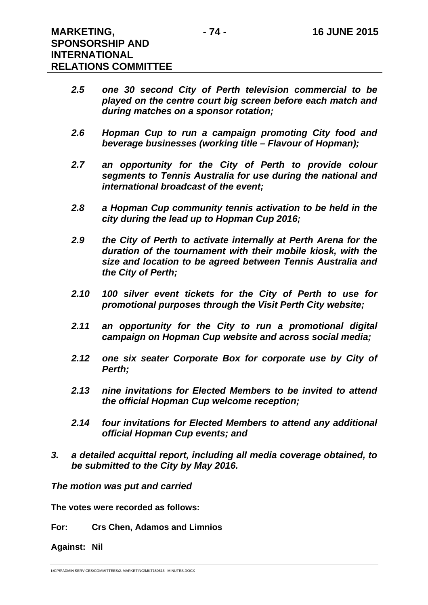- *2.5 one 30 second City of Perth television commercial to be played on the centre court big screen before each match and during matches on a sponsor rotation;*
- *2.6 Hopman Cup to run a campaign promoting City food and beverage businesses (working title – Flavour of Hopman);*
- *2.7 an opportunity for the City of Perth to provide colour segments to Tennis Australia for use during the national and international broadcast of the event;*
- *2.8 a Hopman Cup community tennis activation to be held in the city during the lead up to Hopman Cup 2016;*
- *2.9 the City of Perth to activate internally at Perth Arena for the duration of the tournament with their mobile kiosk, with the size and location to be agreed between Tennis Australia and the City of Perth;*
- *2.10 100 silver event tickets for the City of Perth to use for promotional purposes through the Visit Perth City website;*
- *2.11 an opportunity for the City to run a promotional digital campaign on Hopman Cup website and across social media;*
- *2.12 one six seater Corporate Box for corporate use by City of Perth;*
- *2.13 nine invitations for Elected Members to be invited to attend the official Hopman Cup welcome reception;*
- *2.14 four invitations for Elected Members to attend any additional official Hopman Cup events; and*
- *3. a detailed acquittal report, including all media coverage obtained, to be submitted to the City by May 2016.*

*The motion was put and carried* 

**The votes were recorded as follows:** 

**For: Crs Chen, Adamos and Limnios** 

**Against: Nil** 

I:\CPS\ADMIN SERVICES\COMMITTEES\2. MARKETING\MKT150616 - MINUTES.DOCX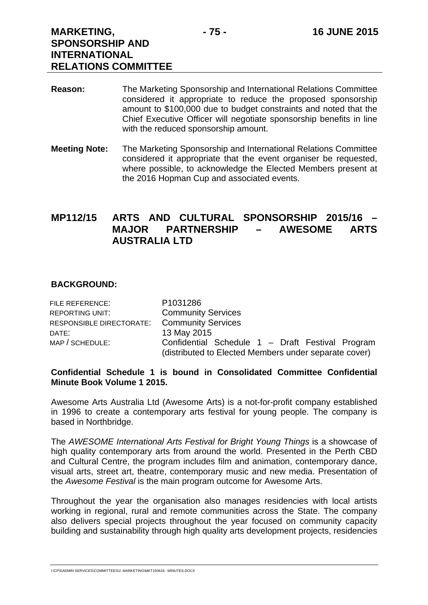- **Reason:** The Marketing Sponsorship and International Relations Committee considered it appropriate to reduce the proposed sponsorship amount to \$100,000 due to budget constraints and noted that the Chief Executive Officer will negotiate sponsorship benefits in line with the reduced sponsorship amount.
- **Meeting Note:** The Marketing Sponsorship and International Relations Committee considered it appropriate that the event organiser be requested, where possible, to acknowledge the Elected Members present at the 2016 Hopman Cup and associated events.

# **MP112/15 ARTS AND CULTURAL SPONSORSHIP 2015/16 – MAJOR PARTNERSHIP – AWESOME ARTS AUSTRALIA LTD**

## **BACKGROUND:**

| FILE REFERENCE:                             | P1031286                                                                                                  |
|---------------------------------------------|-----------------------------------------------------------------------------------------------------------|
| <b>REPORTING UNIT:</b>                      | <b>Community Services</b>                                                                                 |
| RESPONSIBLE DIRECTORATE: Community Services |                                                                                                           |
| DATE:                                       | 13 May 2015                                                                                               |
| MAP / SCHEDULE:                             | Confidential Schedule 1 - Draft Festival Program<br>(distributed to Elected Members under separate cover) |
|                                             |                                                                                                           |

## **Confidential Schedule 1 is bound in Consolidated Committee Confidential Minute Book Volume 1 2015.**

Awesome Arts Australia Ltd (Awesome Arts) is a not-for-profit company established in 1996 to create a contemporary arts festival for young people. The company is based in Northbridge.

The *AWESOME International Arts Festival for Bright Young Things is a showcase of* high quality contemporary arts from around the world. Presented in the Perth CBD and Cultural Centre, the program includes film and animation, contemporary dance, visual arts, street art, theatre, contemporary music and new media. Presentation of the *Awesome Festival* is the main program outcome for Awesome Arts.

Throughout the year the organisation also manages residencies with local artists working in regional, rural and remote communities across the State. The company also delivers special projects throughout the year focused on community capacity building and sustainability through high quality arts development projects, residencies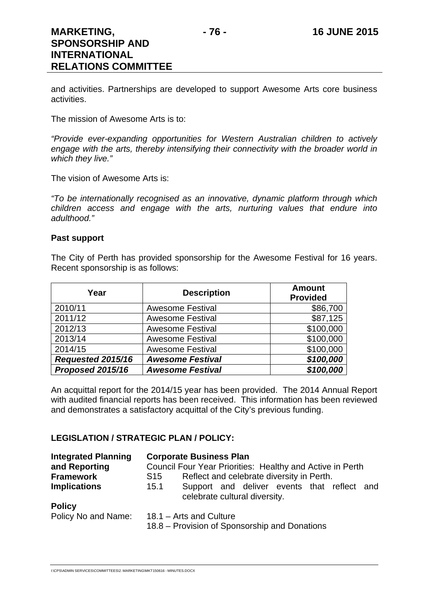and activities. Partnerships are developed to support Awesome Arts core business activities.

The mission of Awesome Arts is to:

*"Provide ever-expanding opportunities for Western Australian children to actively engage with the arts, thereby intensifying their connectivity with the broader world in which they live."* 

The vision of Awesome Arts is:

*"To be internationally recognised as an innovative, dynamic platform through which children access and engage with the arts, nurturing values that endure into adulthood."* 

## **Past support**

The City of Perth has provided sponsorship for the Awesome Festival for 16 years. Recent sponsorship is as follows:

| Year              | <b>Description</b>      | <b>Amount</b><br><b>Provided</b> |
|-------------------|-------------------------|----------------------------------|
| 2010/11           | <b>Awesome Festival</b> | \$86,700                         |
| 2011/12           | <b>Awesome Festival</b> | \$87,125                         |
| 2012/13           | <b>Awesome Festival</b> | \$100,000                        |
| 2013/14           | <b>Awesome Festival</b> | \$100,000                        |
| 2014/15           | <b>Awesome Festival</b> | \$100,000                        |
| Requested 2015/16 | <b>Awesome Festival</b> | \$100,000                        |
| Proposed 2015/16  | <b>Awesome Festival</b> | \$100,000                        |

An acquittal report for the 2014/15 year has been provided. The 2014 Annual Report with audited financial reports has been received. This information has been reviewed and demonstrates a satisfactory acquittal of the City's previous funding.

## **LEGISLATION / STRATEGIC PLAN / POLICY:**

| <b>Integrated Planning</b> | <b>Corporate Business Plan</b>                                                       |  |  |
|----------------------------|--------------------------------------------------------------------------------------|--|--|
| and Reporting              | Council Four Year Priorities: Healthy and Active in Perth                            |  |  |
| <b>Framework</b>           | Reflect and celebrate diversity in Perth.<br>S15                                     |  |  |
| <b>Implications</b>        | Support and deliver events that reflect and<br>15.1<br>celebrate cultural diversity. |  |  |
| <b>Policy</b>              |                                                                                      |  |  |
| Policy No and Name:        | 18.1 – Arts and Culture<br>18.8 – Provision of Sponsorship and Donations             |  |  |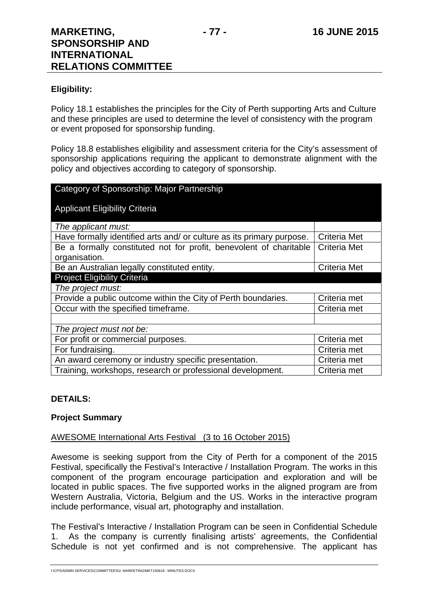## **Eligibility:**

Policy 18.1 establishes the principles for the City of Perth supporting Arts and Culture and these principles are used to determine the level of consistency with the program or event proposed for sponsorship funding.

Policy 18.8 establishes eligibility and assessment criteria for the City's assessment of sponsorship applications requiring the applicant to demonstrate alignment with the policy and objectives according to category of sponsorship.

| Category of Sponsorship: Major Partnership                            |                     |  |  |
|-----------------------------------------------------------------------|---------------------|--|--|
| <b>Applicant Eligibility Criteria</b>                                 |                     |  |  |
| The applicant must:                                                   |                     |  |  |
| Have formally identified arts and/ or culture as its primary purpose. | Criteria Met        |  |  |
| Be a formally constituted not for profit, benevolent of charitable    | Criteria Met        |  |  |
| organisation.                                                         |                     |  |  |
| Be an Australian legally constituted entity.                          | <b>Criteria Met</b> |  |  |
| <b>Project Eligibility Criteria</b>                                   |                     |  |  |
| The project must:                                                     |                     |  |  |
| Provide a public outcome within the City of Perth boundaries.         | Criteria met        |  |  |
| Occur with the specified timeframe.                                   | Criteria met        |  |  |
|                                                                       |                     |  |  |
| The project must not be:                                              |                     |  |  |
| For profit or commercial purposes.                                    | Criteria met        |  |  |
| For fundraising.                                                      | Criteria met        |  |  |
| An award ceremony or industry specific presentation.                  | Criteria met        |  |  |
| Training, workshops, research or professional development.            | Criteria met        |  |  |

## **DETAILS:**

## **Project Summary**

## AWESOME International Arts Festival (3 to 16 October 2015)

Awesome is seeking support from the City of Perth for a component of the 2015 Festival, specifically the Festival's Interactive / Installation Program. The works in this component of the program encourage participation and exploration and will be located in public spaces. The five supported works in the aligned program are from Western Australia, Victoria, Belgium and the US. Works in the interactive program include performance, visual art, photography and installation.

The Festival's Interactive / Installation Program can be seen in Confidential Schedule 1. As the company is currently finalising artists' agreements, the Confidential Schedule is not yet confirmed and is not comprehensive. The applicant has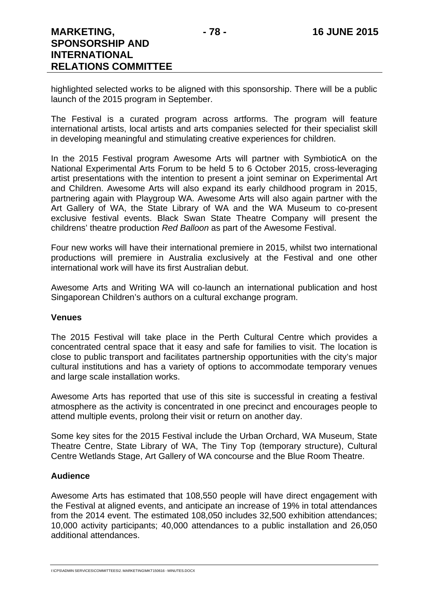highlighted selected works to be aligned with this sponsorship. There will be a public launch of the 2015 program in September.

The Festival is a curated program across artforms. The program will feature international artists, local artists and arts companies selected for their specialist skill in developing meaningful and stimulating creative experiences for children.

In the 2015 Festival program Awesome Arts will partner with SymbioticA on the National Experimental Arts Forum to be held 5 to 6 October 2015, cross-leveraging artist presentations with the intention to present a joint seminar on Experimental Art and Children. Awesome Arts will also expand its early childhood program in 2015, partnering again with Playgroup WA. Awesome Arts will also again partner with the Art Gallery of WA, the State Library of WA and the WA Museum to co-present exclusive festival events. Black Swan State Theatre Company will present the childrens' theatre production *Red Balloon* as part of the Awesome Festival.

Four new works will have their international premiere in 2015, whilst two international productions will premiere in Australia exclusively at the Festival and one other international work will have its first Australian debut.

Awesome Arts and Writing WA will co-launch an international publication and host Singaporean Children's authors on a cultural exchange program.

## **Venues**

The 2015 Festival will take place in the Perth Cultural Centre which provides a concentrated central space that it easy and safe for families to visit. The location is close to public transport and facilitates partnership opportunities with the city's major cultural institutions and has a variety of options to accommodate temporary venues and large scale installation works.

Awesome Arts has reported that use of this site is successful in creating a festival atmosphere as the activity is concentrated in one precinct and encourages people to attend multiple events, prolong their visit or return on another day.

Some key sites for the 2015 Festival include the Urban Orchard, WA Museum, State Theatre Centre, State Library of WA, The Tiny Top (temporary structure), Cultural Centre Wetlands Stage, Art Gallery of WA concourse and the Blue Room Theatre.

## **Audience**

Awesome Arts has estimated that 108,550 people will have direct engagement with the Festival at aligned events, and anticipate an increase of 19% in total attendances from the 2014 event. The estimated 108,050 includes 32,500 exhibition attendances; 10,000 activity participants; 40,000 attendances to a public installation and 26,050 additional attendances.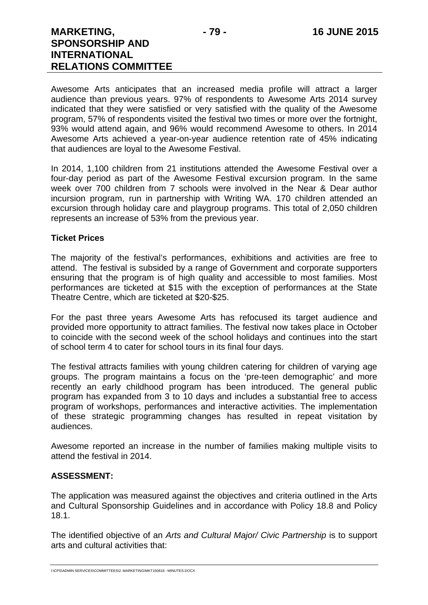Awesome Arts anticipates that an increased media profile will attract a larger audience than previous years. 97% of respondents to Awesome Arts 2014 survey indicated that they were satisfied or very satisfied with the quality of the Awesome program, 57% of respondents visited the festival two times or more over the fortnight, 93% would attend again, and 96% would recommend Awesome to others. In 2014 Awesome Arts achieved a year-on-year audience retention rate of 45% indicating that audiences are loyal to the Awesome Festival.

In 2014, 1,100 children from 21 institutions attended the Awesome Festival over a four-day period as part of the Awesome Festival excursion program. In the same week over 700 children from 7 schools were involved in the Near & Dear author incursion program, run in partnership with Writing WA. 170 children attended an excursion through holiday care and playgroup programs. This total of 2,050 children represents an increase of 53% from the previous year.

## **Ticket Prices**

The majority of the festival's performances, exhibitions and activities are free to attend. The festival is subsided by a range of Government and corporate supporters ensuring that the program is of high quality and accessible to most families. Most performances are ticketed at \$15 with the exception of performances at the State Theatre Centre, which are ticketed at \$20-\$25.

For the past three years Awesome Arts has refocused its target audience and provided more opportunity to attract families. The festival now takes place in October to coincide with the second week of the school holidays and continues into the start of school term 4 to cater for school tours in its final four days.

The festival attracts families with young children catering for children of varying age groups. The program maintains a focus on the 'pre-teen demographic' and more recently an early childhood program has been introduced. The general public program has expanded from 3 to 10 days and includes a substantial free to access program of workshops, performances and interactive activities. The implementation of these strategic programming changes has resulted in repeat visitation by audiences.

Awesome reported an increase in the number of families making multiple visits to attend the festival in 2014.

## **ASSESSMENT:**

The application was measured against the objectives and criteria outlined in the Arts and Cultural Sponsorship Guidelines and in accordance with Policy 18.8 and Policy 18.1.

The identified objective of an *Arts and Cultural Major/ Civic Partnership* is to support arts and cultural activities that: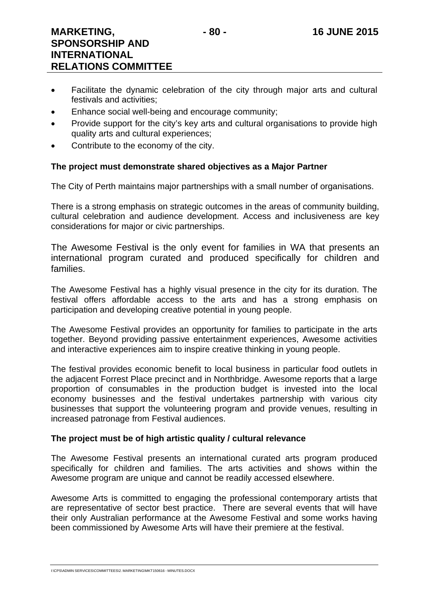- Facilitate the dynamic celebration of the city through major arts and cultural festivals and activities;
- Enhance social well-being and encourage community;
- Provide support for the city's key arts and cultural organisations to provide high quality arts and cultural experiences;
- Contribute to the economy of the city.

## **The project must demonstrate shared objectives as a Major Partner**

The City of Perth maintains major partnerships with a small number of organisations.

There is a strong emphasis on strategic outcomes in the areas of community building, cultural celebration and audience development. Access and inclusiveness are key considerations for major or civic partnerships.

The Awesome Festival is the only event for families in WA that presents an international program curated and produced specifically for children and families.

The Awesome Festival has a highly visual presence in the city for its duration. The festival offers affordable access to the arts and has a strong emphasis on participation and developing creative potential in young people.

The Awesome Festival provides an opportunity for families to participate in the arts together. Beyond providing passive entertainment experiences, Awesome activities and interactive experiences aim to inspire creative thinking in young people.

The festival provides economic benefit to local business in particular food outlets in the adjacent Forrest Place precinct and in Northbridge. Awesome reports that a large proportion of consumables in the production budget is invested into the local economy businesses and the festival undertakes partnership with various city businesses that support the volunteering program and provide venues, resulting in increased patronage from Festival audiences.

## **The project must be of high artistic quality / cultural relevance**

The Awesome Festival presents an international curated arts program produced specifically for children and families. The arts activities and shows within the Awesome program are unique and cannot be readily accessed elsewhere.

Awesome Arts is committed to engaging the professional contemporary artists that are representative of sector best practice. There are several events that will have their only Australian performance at the Awesome Festival and some works having been commissioned by Awesome Arts will have their premiere at the festival.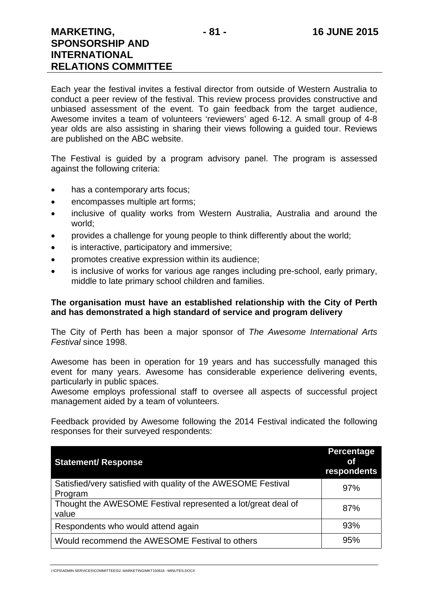Each year the festival invites a festival director from outside of Western Australia to conduct a peer review of the festival. This review process provides constructive and unbiased assessment of the event. To gain feedback from the target audience, Awesome invites a team of volunteers 'reviewers' aged 6-12. A small group of 4-8 year olds are also assisting in sharing their views following a guided tour. Reviews are published on the ABC website.

The Festival is guided by a program advisory panel. The program is assessed against the following criteria:

- has a contemporary arts focus;
- encompasses multiple art forms;
- inclusive of quality works from Western Australia, Australia and around the world;
- provides a challenge for young people to think differently about the world;
- is interactive, participatory and immersive;
- promotes creative expression within its audience;
- is inclusive of works for various age ranges including pre-school, early primary, middle to late primary school children and families.

## **The organisation must have an established relationship with the City of Perth and has demonstrated a high standard of service and program delivery**

The City of Perth has been a major sponsor of *The Awesome International Arts Festival* since 1998.

Awesome has been in operation for 19 years and has successfully managed this event for many years. Awesome has considerable experience delivering events, particularly in public spaces.

Awesome employs professional staff to oversee all aspects of successful project management aided by a team of volunteers.

Feedback provided by Awesome following the 2014 Festival indicated the following responses for their surveyed respondents:

| <b>Statement/ Response</b>                                               | <b>Percentage</b><br><b>of</b><br>respondents |
|--------------------------------------------------------------------------|-----------------------------------------------|
| Satisfied/very satisfied with quality of the AWESOME Festival<br>Program | 97%                                           |
| Thought the AWESOME Festival represented a lot/great deal of<br>value    | 87%                                           |
| Respondents who would attend again                                       | 93%                                           |
| Would recommend the AWESOME Festival to others                           | 95%                                           |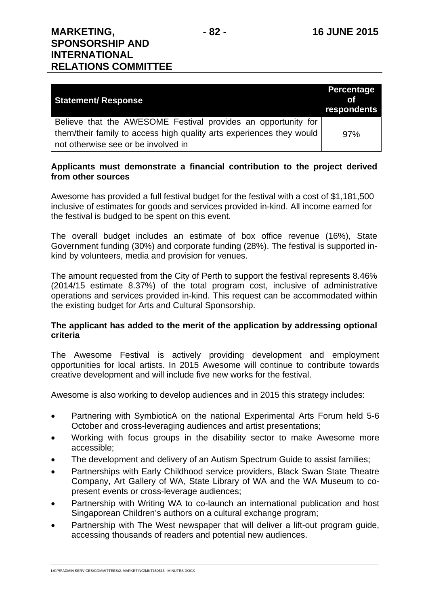| <b>Statement/ Response</b>                                           | <b>Percentage</b><br>Ωf<br>respondents |
|----------------------------------------------------------------------|----------------------------------------|
| Believe that the AWESOME Festival provides an opportunity for        |                                        |
| them/their family to access high quality arts experiences they would | 97%                                    |
| not otherwise see or be involved in                                  |                                        |

## **Applicants must demonstrate a financial contribution to the project derived from other sources**

Awesome has provided a full festival budget for the festival with a cost of \$1,181,500 inclusive of estimates for goods and services provided in-kind. All income earned for the festival is budged to be spent on this event.

The overall budget includes an estimate of box office revenue (16%), State Government funding (30%) and corporate funding (28%). The festival is supported inkind by volunteers, media and provision for venues.

The amount requested from the City of Perth to support the festival represents 8.46% (2014/15 estimate 8.37%) of the total program cost, inclusive of administrative operations and services provided in-kind. This request can be accommodated within the existing budget for Arts and Cultural Sponsorship.

## **The applicant has added to the merit of the application by addressing optional criteria**

The Awesome Festival is actively providing development and employment opportunities for local artists. In 2015 Awesome will continue to contribute towards creative development and will include five new works for the festival.

Awesome is also working to develop audiences and in 2015 this strategy includes:

- Partnering with SymbioticA on the national Experimental Arts Forum held 5-6 October and cross-leveraging audiences and artist presentations;
- Working with focus groups in the disability sector to make Awesome more accessible;
- The development and delivery of an Autism Spectrum Guide to assist families;
- Partnerships with Early Childhood service providers, Black Swan State Theatre Company, Art Gallery of WA, State Library of WA and the WA Museum to copresent events or cross-leverage audiences;
- Partnership with Writing WA to co-launch an international publication and host Singaporean Children's authors on a cultural exchange program;
- Partnership with The West newspaper that will deliver a lift-out program guide, accessing thousands of readers and potential new audiences.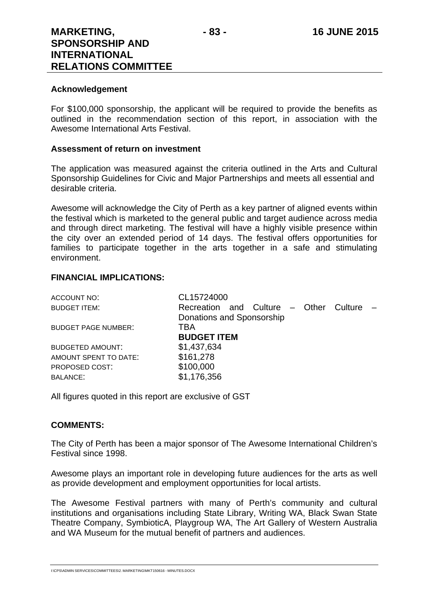## **Acknowledgement**

For \$100,000 sponsorship, the applicant will be required to provide the benefits as outlined in the recommendation section of this report, in association with the Awesome International Arts Festival.

### **Assessment of return on investment**

The application was measured against the criteria outlined in the Arts and Cultural Sponsorship Guidelines for Civic and Major Partnerships and meets all essential and desirable criteria.

Awesome will acknowledge the City of Perth as a key partner of aligned events within the festival which is marketed to the general public and target audience across media and through direct marketing. The festival will have a highly visible presence within the city over an extended period of 14 days. The festival offers opportunities for families to participate together in the arts together in a safe and stimulating environment.

## **FINANCIAL IMPLICATIONS:**

| Culture $-$ |
|-------------|
|             |
|             |
|             |
|             |
|             |
|             |
|             |
|             |

All figures quoted in this report are exclusive of GST

## **COMMENTS:**

The City of Perth has been a major sponsor of The Awesome International Children's Festival since 1998.

Awesome plays an important role in developing future audiences for the arts as well as provide development and employment opportunities for local artists.

The Awesome Festival partners with many of Perth's community and cultural institutions and organisations including State Library, Writing WA, Black Swan State Theatre Company, SymbioticA, Playgroup WA, The Art Gallery of Western Australia and WA Museum for the mutual benefit of partners and audiences.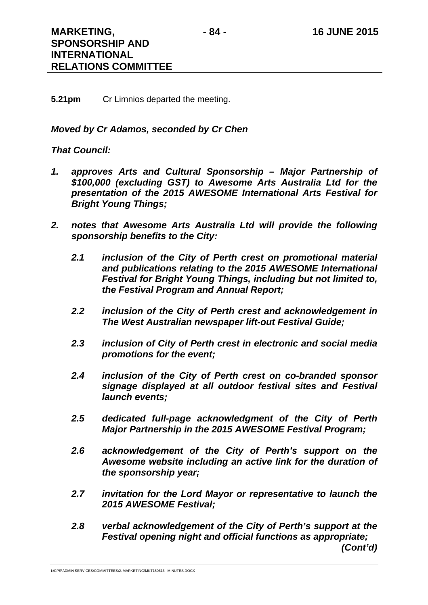## **5.21pm** Cr Limnios departed the meeting.

## *Moved by Cr Adamos, seconded by Cr Chen*

## *That Council:*

- *1. approves Arts and Cultural Sponsorship Major Partnership of \$100,000 (excluding GST) to Awesome Arts Australia Ltd for the presentation of the 2015 AWESOME International Arts Festival for Bright Young Things;*
- *2. notes that Awesome Arts Australia Ltd will provide the following sponsorship benefits to the City:* 
	- *2.1 inclusion of the City of Perth crest on promotional material and publications relating to the 2015 AWESOME International Festival for Bright Young Things, including but not limited to, the Festival Program and Annual Report;*
	- *2.2 inclusion of the City of Perth crest and acknowledgement in The West Australian newspaper lift-out Festival Guide;*
	- *2.3 inclusion of City of Perth crest in electronic and social media promotions for the event;*
	- *2.4 inclusion of the City of Perth crest on co-branded sponsor signage displayed at all outdoor festival sites and Festival launch events;*
	- *2.5 dedicated full-page acknowledgment of the City of Perth Major Partnership in the 2015 AWESOME Festival Program;*
	- *2.6 acknowledgement of the City of Perth's support on the Awesome website including an active link for the duration of the sponsorship year;*
	- *2.7 invitation for the Lord Mayor or representative to launch the 2015 AWESOME Festival;*
	- *2.8 verbal acknowledgement of the City of Perth's support at the Festival opening night and official functions as appropriate; (Cont'd)*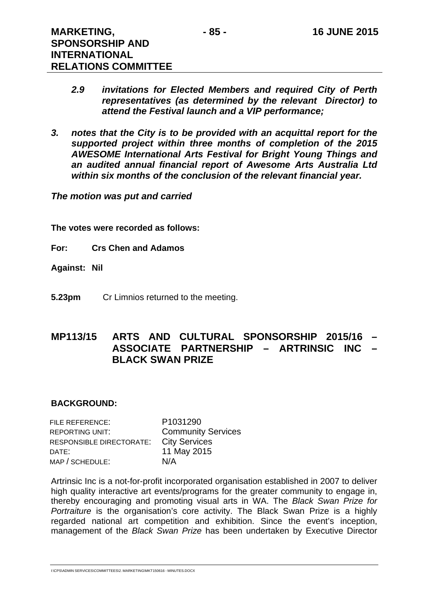- *2.9 invitations for Elected Members and required City of Perth representatives (as determined by the relevant Director) to attend the Festival launch and a VIP performance;*
- *3. notes that the City is to be provided with an acquittal report for the supported project within three months of completion of the 2015 AWESOME International Arts Festival for Bright Young Things and an audited annual financial report of Awesome Arts Australia Ltd within six months of the conclusion of the relevant financial year.*

*The motion was put and carried* 

**The votes were recorded as follows:** 

- **For: Crs Chen and Adamos**
- **Against: Nil**
- **5.23pm** Cr Limnios returned to the meeting.

# **MP113/15 ARTS AND CULTURAL SPONSORSHIP 2015/16 – ASSOCIATE PARTNERSHIP – ARTRINSIC INC – BLACK SWAN PRIZE**

## **BACKGROUND:**

FILE REFERENCE: P1031290 REPORTING UNIT: Community Services RESPONSIBLE DIRECTORATE: City Services DATE: 11 May 2015 MAP / SCHEDULE: N/A

Artrinsic Inc is a not-for-profit incorporated organisation established in 2007 to deliver high quality interactive art events/programs for the greater community to engage in, thereby encouraging and promoting visual arts in WA. The *Black Swan Prize for Portraiture* is the organisation's core activity. The Black Swan Prize is a highly regarded national art competition and exhibition. Since the event's inception, management of the *Black Swan Prize* has been undertaken by Executive Director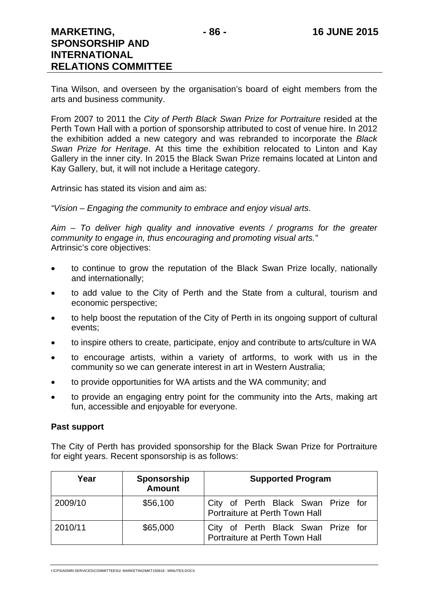Tina Wilson, and overseen by the organisation's board of eight members from the arts and business community.

From 2007 to 2011 the *City of Perth Black Swan Prize for Portraiture* resided at the Perth Town Hall with a portion of sponsorship attributed to cost of venue hire. In 2012 the exhibition added a new category and was rebranded to incorporate the *Black Swan Prize for Heritage*. At this time the exhibition relocated to Linton and Kay Gallery in the inner city. In 2015 the Black Swan Prize remains located at Linton and Kay Gallery, but, it will not include a Heritage category.

Artrinsic has stated its vision and aim as:

*"Vision – Engaging the community to embrace and enjoy visual arts.* 

*Aim – To deliver high quality and innovative events / programs for the greater community to engage in, thus encouraging and promoting visual arts."*  Artrinsic's core objectives:

- to continue to grow the reputation of the Black Swan Prize locally, nationally and internationally;
- to add value to the City of Perth and the State from a cultural, tourism and economic perspective;
- to help boost the reputation of the City of Perth in its ongoing support of cultural events;
- to inspire others to create, participate, enjoy and contribute to arts/culture in WA
- to encourage artists, within a variety of artforms, to work with us in the community so we can generate interest in art in Western Australia;
- to provide opportunities for WA artists and the WA community; and
- to provide an engaging entry point for the community into the Arts, making art fun, accessible and enjoyable for everyone.

#### **Past support**

The City of Perth has provided sponsorship for the Black Swan Prize for Portraiture for eight years. Recent sponsorship is as follows:

| Year    | Sponsorship<br><b>Amount</b> | <b>Supported Program</b>                                             |
|---------|------------------------------|----------------------------------------------------------------------|
| 2009/10 | \$56,100                     | City of Perth Black Swan Prize for<br>Portraiture at Perth Town Hall |
| 2010/11 | \$65,000                     | City of Perth Black Swan Prize for<br>Portraiture at Perth Town Hall |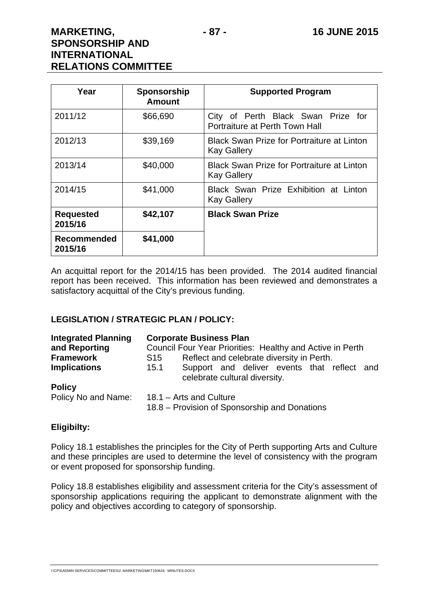| Year                          | Sponsorship<br><b>Amount</b> | <b>Supported Program</b>                                                |  |  |
|-------------------------------|------------------------------|-------------------------------------------------------------------------|--|--|
| 2011/12                       | \$66,690                     | City of Perth Black Swan Prize for<br>Portraiture at Perth Town Hall    |  |  |
| 2012/13                       | \$39,169                     | <b>Black Swan Prize for Portraiture at Linton</b><br><b>Kay Gallery</b> |  |  |
| 2013/14                       | \$40,000                     | <b>Black Swan Prize for Portraiture at Linton</b><br><b>Kay Gallery</b> |  |  |
| 2014/15                       | \$41,000                     | Black Swan Prize Exhibition at Linton<br><b>Kay Gallery</b>             |  |  |
| <b>Requested</b><br>2015/16   | \$42,107                     | <b>Black Swan Prize</b>                                                 |  |  |
| <b>Recommended</b><br>2015/16 | \$41,000                     |                                                                         |  |  |

An acquittal report for the 2014/15 has been provided. The 2014 audited financial report has been received. This information has been reviewed and demonstrates a satisfactory acquittal of the City's previous funding.

## **LEGISLATION / STRATEGIC PLAN / POLICY:**

| <b>Integrated Planning</b> | <b>Corporate Business Plan</b><br>Council Four Year Priorities: Healthy and Active in Perth<br>Reflect and celebrate diversity in Perth.<br>S15 |  |  |
|----------------------------|-------------------------------------------------------------------------------------------------------------------------------------------------|--|--|
| and Reporting              |                                                                                                                                                 |  |  |
| <b>Framework</b>           |                                                                                                                                                 |  |  |
| <b>Implications</b>        | Support and deliver events that reflect and<br>15.1<br>celebrate cultural diversity.                                                            |  |  |
| <b>Policy</b>              |                                                                                                                                                 |  |  |
| Policy No and Name:        | 18.1 - Arts and Culture<br>18.8 – Provision of Sponsorship and Donations                                                                        |  |  |

## **Eligibilty:**

Policy 18.1 establishes the principles for the City of Perth supporting Arts and Culture and these principles are used to determine the level of consistency with the program or event proposed for sponsorship funding.

Policy 18.8 establishes eligibility and assessment criteria for the City's assessment of sponsorship applications requiring the applicant to demonstrate alignment with the policy and objectives according to category of sponsorship.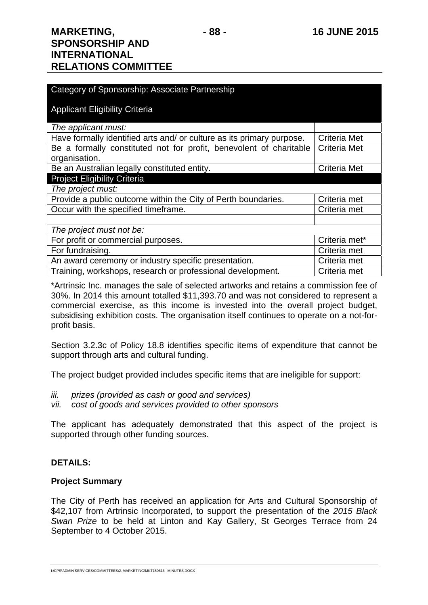| Category of Sponsorship: Associate Partnership                        |                     |  |  |
|-----------------------------------------------------------------------|---------------------|--|--|
| <b>Applicant Eligibility Criteria</b>                                 |                     |  |  |
| The applicant must:                                                   |                     |  |  |
| Have formally identified arts and/ or culture as its primary purpose. | Criteria Met        |  |  |
| Be a formally constituted not for profit, benevolent of charitable    | <b>Criteria Met</b> |  |  |
| organisation.                                                         |                     |  |  |
| Be an Australian legally constituted entity.                          | <b>Criteria Met</b> |  |  |
| <b>Project Eligibility Criteria</b>                                   |                     |  |  |
| The project must:                                                     |                     |  |  |
| Provide a public outcome within the City of Perth boundaries.         | Criteria met        |  |  |
| Occur with the specified timeframe.                                   | Criteria met        |  |  |
|                                                                       |                     |  |  |
| The project must not be:                                              |                     |  |  |
| For profit or commercial purposes.                                    | Criteria met*       |  |  |
| For fundraising.                                                      | Criteria met        |  |  |
| An award ceremony or industry specific presentation.                  | Criteria met        |  |  |
| Training, workshops, research or professional development.            | Criteria met        |  |  |

\*Artrinsic Inc. manages the sale of selected artworks and retains a commission fee of 30%. In 2014 this amount totalled \$11,393.70 and was not considered to represent a commercial exercise, as this income is invested into the overall project budget, subsidising exhibition costs. The organisation itself continues to operate on a not-forprofit basis.

Section 3.2.3c of Policy 18.8 identifies specific items of expenditure that cannot be support through arts and cultural funding.

The project budget provided includes specific items that are ineligible for support:

- *iii. prizes (provided as cash or good and services)*
- *vii. cost of goods and services provided to other sponsors*

The applicant has adequately demonstrated that this aspect of the project is supported through other funding sources.

## **DETAILS:**

## **Project Summary**

The City of Perth has received an application for Arts and Cultural Sponsorship of \$42,107 from Artrinsic Incorporated, to support the presentation of the *2015 Black Swan Prize* to be held at Linton and Kay Gallery, St Georges Terrace from 24 September to 4 October 2015.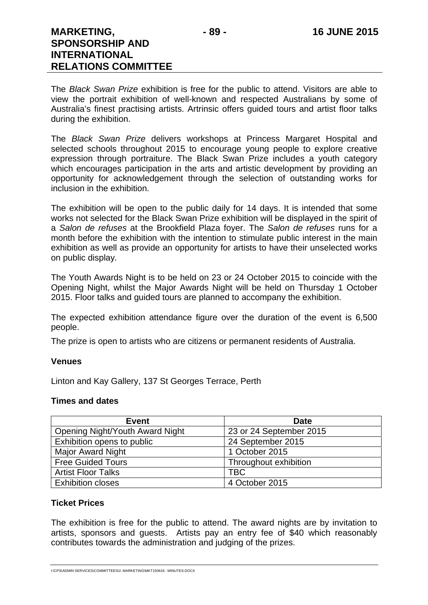The *Black Swan Prize* exhibition is free for the public to attend. Visitors are able to view the portrait exhibition of well-known and respected Australians by some of Australia's finest practising artists. Artrinsic offers guided tours and artist floor talks during the exhibition.

The *Black Swan Prize* delivers workshops at Princess Margaret Hospital and selected schools throughout 2015 to encourage young people to explore creative expression through portraiture. The Black Swan Prize includes a youth category which encourages participation in the arts and artistic development by providing an opportunity for acknowledgement through the selection of outstanding works for inclusion in the exhibition.

The exhibition will be open to the public daily for 14 days. It is intended that some works not selected for the Black Swan Prize exhibition will be displayed in the spirit of a *Salon de refuses* at the Brookfield Plaza foyer. The *Salon de refuses* runs for a month before the exhibition with the intention to stimulate public interest in the main exhibition as well as provide an opportunity for artists to have their unselected works on public display*.* 

The Youth Awards Night is to be held on 23 or 24 October 2015 to coincide with the Opening Night, whilst the Major Awards Night will be held on Thursday 1 October 2015. Floor talks and guided tours are planned to accompany the exhibition.

The expected exhibition attendance figure over the duration of the event is 6,500 people.

The prize is open to artists who are citizens or permanent residents of Australia.

## **Venues**

Linton and Kay Gallery, 137 St Georges Terrace, Perth

#### **Times and dates**

| <b>Event</b>                           | <b>Date</b>             |
|----------------------------------------|-------------------------|
| <b>Opening Night/Youth Award Night</b> | 23 or 24 September 2015 |
| Exhibition opens to public             | 24 September 2015       |
| <b>Major Award Night</b>               | 1 October 2015          |
| <b>Free Guided Tours</b>               | Throughout exhibition   |
| <b>Artist Floor Talks</b>              | <b>TBC</b>              |
| <b>Exhibition closes</b>               | 4 October 2015          |

## **Ticket Prices**

The exhibition is free for the public to attend. The award nights are by invitation to artists, sponsors and guests. Artists pay an entry fee of \$40 which reasonably contributes towards the administration and judging of the prizes.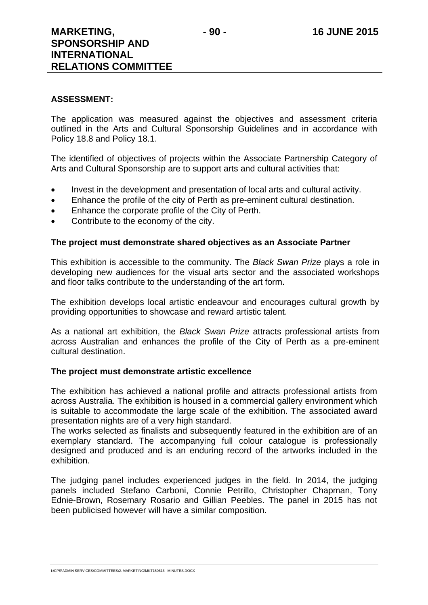#### **ASSESSMENT:**

The application was measured against the objectives and assessment criteria outlined in the Arts and Cultural Sponsorship Guidelines and in accordance with Policy 18.8 and Policy 18.1.

The identified of objectives of projects within the Associate Partnership Category of Arts and Cultural Sponsorship are to support arts and cultural activities that:

- Invest in the development and presentation of local arts and cultural activity.
- Enhance the profile of the city of Perth as pre-eminent cultural destination.
- **Enhance the corporate profile of the City of Perth.**
- Contribute to the economy of the city.

## **The project must demonstrate shared objectives as an Associate Partner**

This exhibition is accessible to the community. The *Black Swan Prize* plays a role in developing new audiences for the visual arts sector and the associated workshops and floor talks contribute to the understanding of the art form.

The exhibition develops local artistic endeavour and encourages cultural growth by providing opportunities to showcase and reward artistic talent.

As a national art exhibition, the *Black Swan Prize* attracts professional artists from across Australian and enhances the profile of the City of Perth as a pre-eminent cultural destination.

## **The project must demonstrate artistic excellence**

The exhibition has achieved a national profile and attracts professional artists from across Australia. The exhibition is housed in a commercial gallery environment which is suitable to accommodate the large scale of the exhibition. The associated award presentation nights are of a very high standard.

The works selected as finalists and subsequently featured in the exhibition are of an exemplary standard. The accompanying full colour catalogue is professionally designed and produced and is an enduring record of the artworks included in the exhibition.

The judging panel includes experienced judges in the field. In 2014, the judging panels included Stefano Carboni, Connie Petrillo, Christopher Chapman, Tony Ednie-Brown, Rosemary Rosario and Gillian Peebles. The panel in 2015 has not been publicised however will have a similar composition.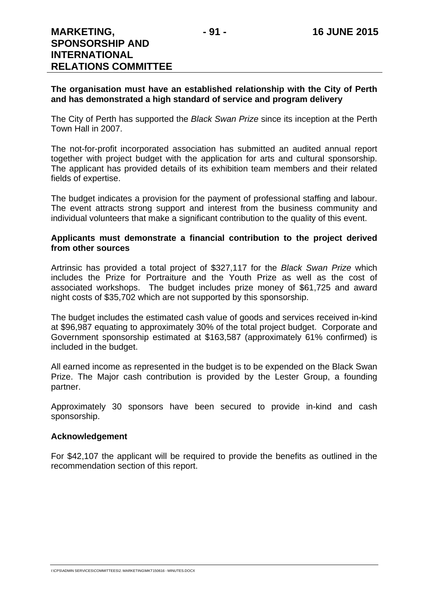## **The organisation must have an established relationship with the City of Perth and has demonstrated a high standard of service and program delivery**

The City of Perth has supported the *Black Swan Prize* since its inception at the Perth Town Hall in 2007.

The not-for-profit incorporated association has submitted an audited annual report together with project budget with the application for arts and cultural sponsorship. The applicant has provided details of its exhibition team members and their related fields of expertise.

The budget indicates a provision for the payment of professional staffing and labour. The event attracts strong support and interest from the business community and individual volunteers that make a significant contribution to the quality of this event.

## **Applicants must demonstrate a financial contribution to the project derived from other sources**

Artrinsic has provided a total project of \$327,117 for the *Black Swan Prize* which includes the Prize for Portraiture and the Youth Prize as well as the cost of associated workshops. The budget includes prize money of \$61,725 and award night costs of \$35,702 which are not supported by this sponsorship.

The budget includes the estimated cash value of goods and services received in-kind at \$96,987 equating to approximately 30% of the total project budget. Corporate and Government sponsorship estimated at \$163,587 (approximately 61% confirmed) is included in the budget.

All earned income as represented in the budget is to be expended on the Black Swan Prize. The Major cash contribution is provided by the Lester Group, a founding partner.

Approximately 30 sponsors have been secured to provide in-kind and cash sponsorship.

## **Acknowledgement**

For \$42,107 the applicant will be required to provide the benefits as outlined in the recommendation section of this report.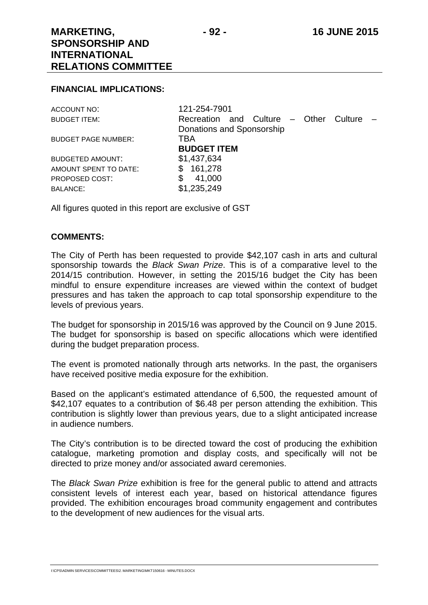#### **FINANCIAL IMPLICATIONS:**

| ACCOUNT NO:                | 121-254-7901                                |
|----------------------------|---------------------------------------------|
| <b>BUDGET ITEM:</b>        | Recreation and Culture – Other<br>Culture – |
|                            | Donations and Sponsorship                   |
| <b>BUDGET PAGE NUMBER:</b> | TBA                                         |
|                            | <b>BUDGET ITEM</b>                          |
| <b>BUDGETED AMOUNT:</b>    | \$1,437,634                                 |
| AMOUNT SPENT TO DATE:      | 161,278<br>\$.                              |
| PROPOSED COST:             | 41,000<br>\$                                |
| <b>BALANCE:</b>            | \$1,235,249                                 |
|                            |                                             |

All figures quoted in this report are exclusive of GST

#### **COMMENTS:**

The City of Perth has been requested to provide \$42,107 cash in arts and cultural sponsorship towards the *Black Swan Prize*. This is of a comparative level to the 2014/15 contribution. However, in setting the 2015/16 budget the City has been mindful to ensure expenditure increases are viewed within the context of budget pressures and has taken the approach to cap total sponsorship expenditure to the levels of previous years.

The budget for sponsorship in 2015/16 was approved by the Council on 9 June 2015. The budget for sponsorship is based on specific allocations which were identified during the budget preparation process.

The event is promoted nationally through arts networks. In the past, the organisers have received positive media exposure for the exhibition.

Based on the applicant's estimated attendance of 6,500, the requested amount of \$42,107 equates to a contribution of \$6.48 per person attending the exhibition. This contribution is slightly lower than previous years, due to a slight anticipated increase in audience numbers.

The City's contribution is to be directed toward the cost of producing the exhibition catalogue, marketing promotion and display costs, and specifically will not be directed to prize money and/or associated award ceremonies.

The *Black Swan Prize* exhibition is free for the general public to attend and attracts consistent levels of interest each year, based on historical attendance figures provided. The exhibition encourages broad community engagement and contributes to the development of new audiences for the visual arts.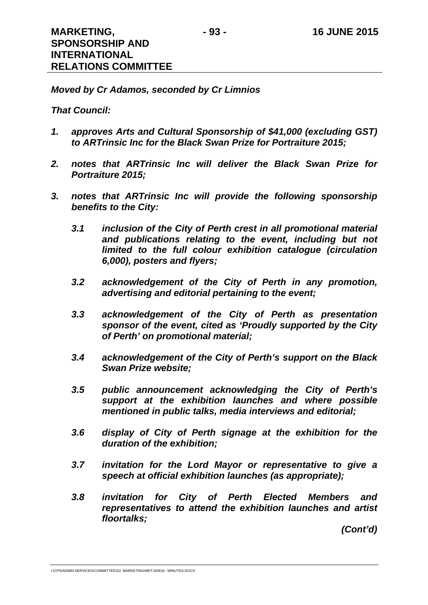*Moved by Cr Adamos, seconded by Cr Limnios* 

## *That Council:*

- *1. approves Arts and Cultural Sponsorship of \$41,000 (excluding GST) to ARTrinsic Inc for the Black Swan Prize for Portraiture 2015;*
- *2. notes that ARTrinsic Inc will deliver the Black Swan Prize for Portraiture 2015;*
- *3. notes that ARTrinsic Inc will provide the following sponsorship benefits to the City:* 
	- *3.1 inclusion of the City of Perth crest in all promotional material*  and publications relating to the event, including but not *limited to the full colour exhibition catalogue (circulation 6,000), posters and flyers;*
	- *3.2 acknowledgement of the City of Perth in any promotion, advertising and editorial pertaining to the event;*
	- *3.3 acknowledgement of the City of Perth as presentation sponsor of the event, cited as 'Proudly supported by the City of Perth' on promotional material;*
	- *3.4 acknowledgement of the City of Perth's support on the Black Swan Prize website;*
	- *3.5 public announcement acknowledging the City of Perth's support at the exhibition launches and where possible mentioned in public talks, media interviews and editorial;*
	- *3.6 display of City of Perth signage at the exhibition for the duration of the exhibition;*
	- *3.7 invitation for the Lord Mayor or representative to give a speech at official exhibition launches (as appropriate);*
	- *3.8 invitation for City of Perth Elected Members and representatives to attend the exhibition launches and artist floortalks;*

*(Cont'd)*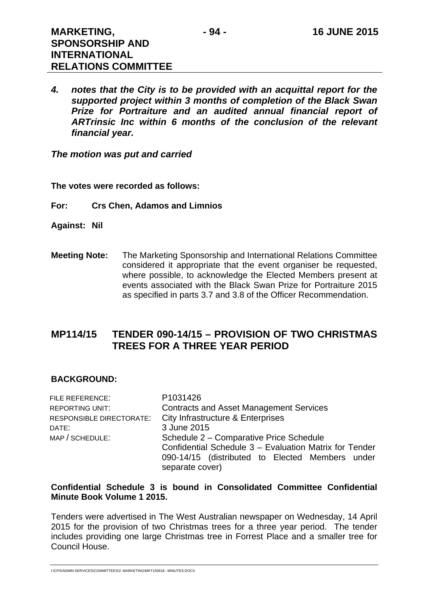*4. notes that the City is to be provided with an acquittal report for the supported project within 3 months of completion of the Black Swan Prize for Portraiture and an audited annual financial report of ARTrinsic Inc within 6 months of the conclusion of the relevant financial year.* 

*The motion was put and carried* 

**The votes were recorded as follows:** 

**For: Crs Chen, Adamos and Limnios** 

- **Against: Nil**
- **Meeting Note:** The Marketing Sponsorship and International Relations Committee considered it appropriate that the event organiser be requested, where possible, to acknowledge the Elected Members present at events associated with the Black Swan Prize for Portraiture 2015 as specified in parts 3.7 and 3.8 of the Officer Recommendation.

# **MP114/15 TENDER 090-14/15 – PROVISION OF TWO CHRISTMAS TREES FOR A THREE YEAR PERIOD**

## **BACKGROUND:**

| P1031426                                               |  |  |
|--------------------------------------------------------|--|--|
| <b>Contracts and Asset Management Services</b>         |  |  |
| City Infrastructure & Enterprises                      |  |  |
| 3 June 2015                                            |  |  |
| Schedule 2 - Comparative Price Schedule                |  |  |
| Confidential Schedule 3 - Evaluation Matrix for Tender |  |  |
| 090-14/15 (distributed to Elected Members under        |  |  |
| separate cover)                                        |  |  |
|                                                        |  |  |

### **Confidential Schedule 3 is bound in Consolidated Committee Confidential Minute Book Volume 1 2015.**

Tenders were advertised in The West Australian newspaper on Wednesday, 14 April 2015 for the provision of two Christmas trees for a three year period. The tender includes providing one large Christmas tree in Forrest Place and a smaller tree for Council House.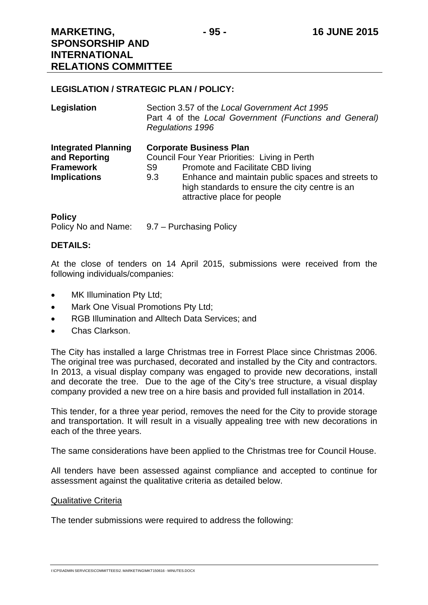## **LEGISLATION / STRATEGIC PLAN / POLICY:**

| Legislation                                                                            | Section 3.57 of the Local Government Act 1995<br>Part 4 of the Local Government (Functions and General)<br><b>Regulations 1996</b>                                                                                                                                      |  |
|----------------------------------------------------------------------------------------|-------------------------------------------------------------------------------------------------------------------------------------------------------------------------------------------------------------------------------------------------------------------------|--|
| <b>Integrated Planning</b><br>and Reporting<br><b>Framework</b><br><b>Implications</b> | <b>Corporate Business Plan</b><br>Council Four Year Priorities: Living in Perth<br>Promote and Facilitate CBD living<br>S9<br>Enhance and maintain public spaces and streets to<br>9.3<br>high standards to ensure the city centre is an<br>attractive place for people |  |

#### **Policy**

Policy No and Name: 9.7 – Purchasing Policy

## **DETAILS:**

At the close of tenders on 14 April 2015, submissions were received from the following individuals/companies:

- MK Illumination Pty Ltd;
- Mark One Visual Promotions Pty Ltd;
- RGB Illumination and Alltech Data Services: and
- Chas Clarkson.

The City has installed a large Christmas tree in Forrest Place since Christmas 2006. The original tree was purchased, decorated and installed by the City and contractors. In 2013, a visual display company was engaged to provide new decorations, install and decorate the tree. Due to the age of the City's tree structure, a visual display company provided a new tree on a hire basis and provided full installation in 2014.

This tender, for a three year period, removes the need for the City to provide storage and transportation. It will result in a visually appealing tree with new decorations in each of the three years.

The same considerations have been applied to the Christmas tree for Council House.

All tenders have been assessed against compliance and accepted to continue for assessment against the qualitative criteria as detailed below.

#### Qualitative Criteria

The tender submissions were required to address the following: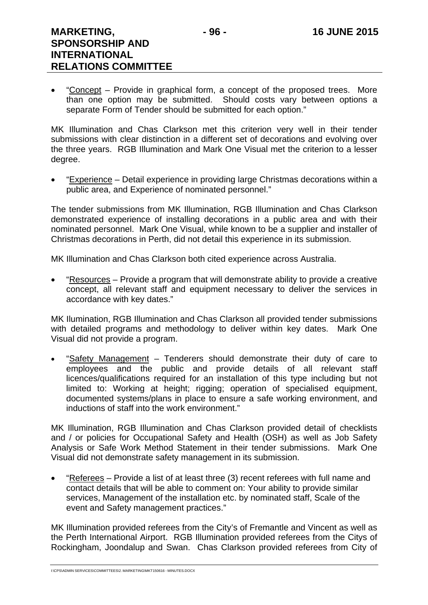• "Concept – Provide in graphical form, a concept of the proposed trees. More than one option may be submitted. Should costs vary between options a separate Form of Tender should be submitted for each option."

MK Illumination and Chas Clarkson met this criterion very well in their tender submissions with clear distinction in a different set of decorations and evolving over the three years. RGB Illumination and Mark One Visual met the criterion to a lesser degree.

 "Experience – Detail experience in providing large Christmas decorations within a public area, and Experience of nominated personnel."

The tender submissions from MK Illumination, RGB Illumination and Chas Clarkson demonstrated experience of installing decorations in a public area and with their nominated personnel. Mark One Visual, while known to be a supplier and installer of Christmas decorations in Perth, did not detail this experience in its submission.

MK Illumination and Chas Clarkson both cited experience across Australia.

 "Resources – Provide a program that will demonstrate ability to provide a creative concept, all relevant staff and equipment necessary to deliver the services in accordance with key dates."

MK Ilumination, RGB Illumination and Chas Clarkson all provided tender submissions with detailed programs and methodology to deliver within key dates. Mark One Visual did not provide a program.

 "Safety Management – Tenderers should demonstrate their duty of care to employees and the public and provide details of all relevant staff licences/qualifications required for an installation of this type including but not limited to: Working at height; rigging; operation of specialised equipment, documented systems/plans in place to ensure a safe working environment, and inductions of staff into the work environment."

MK Illumination, RGB Illumination and Chas Clarkson provided detail of checklists and / or policies for Occupational Safety and Health (OSH) as well as Job Safety Analysis or Safe Work Method Statement in their tender submissions. Mark One Visual did not demonstrate safety management in its submission.

 "Referees – Provide a list of at least three (3) recent referees with full name and contact details that will be able to comment on: Your ability to provide similar services, Management of the installation etc. by nominated staff, Scale of the event and Safety management practices."

MK Illumination provided referees from the City's of Fremantle and Vincent as well as the Perth International Airport. RGB Illumination provided referees from the Citys of Rockingham, Joondalup and Swan. Chas Clarkson provided referees from City of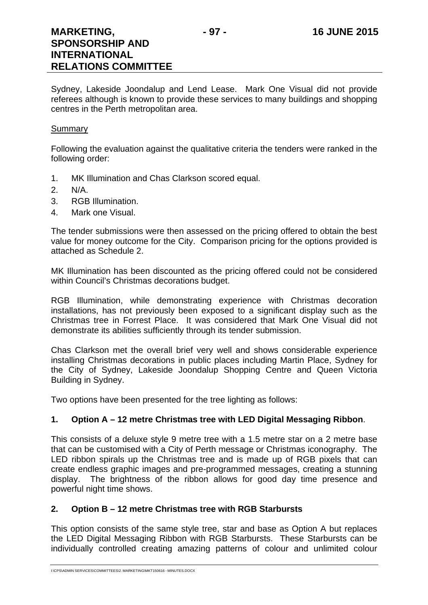Sydney, Lakeside Joondalup and Lend Lease. Mark One Visual did not provide referees although is known to provide these services to many buildings and shopping centres in the Perth metropolitan area.

#### Summary

Following the evaluation against the qualitative criteria the tenders were ranked in the following order:

- 1. MK Illumination and Chas Clarkson scored equal.
- 2. N/A.
- 3. RGB Illumination.

**RELATIONS COMMITTEE** 

4. Mark one Visual.

The tender submissions were then assessed on the pricing offered to obtain the best value for money outcome for the City. Comparison pricing for the options provided is attached as Schedule 2.

MK Illumination has been discounted as the pricing offered could not be considered within Council's Christmas decorations budget.

RGB Illumination, while demonstrating experience with Christmas decoration installations, has not previously been exposed to a significant display such as the Christmas tree in Forrest Place. It was considered that Mark One Visual did not demonstrate its abilities sufficiently through its tender submission.

Chas Clarkson met the overall brief very well and shows considerable experience installing Christmas decorations in public places including Martin Place, Sydney for the City of Sydney, Lakeside Joondalup Shopping Centre and Queen Victoria Building in Sydney.

Two options have been presented for the tree lighting as follows:

## **1. Option A – 12 metre Christmas tree with LED Digital Messaging Ribbon**.

This consists of a deluxe style 9 metre tree with a 1.5 metre star on a 2 metre base that can be customised with a City of Perth message or Christmas iconography. The LED ribbon spirals up the Christmas tree and is made up of RGB pixels that can create endless graphic images and pre-programmed messages, creating a stunning display. The brightness of the ribbon allows for good day time presence and powerful night time shows.

## **2. Option B – 12 metre Christmas tree with RGB Starbursts**

This option consists of the same style tree, star and base as Option A but replaces the LED Digital Messaging Ribbon with RGB Starbursts. These Starbursts can be individually controlled creating amazing patterns of colour and unlimited colour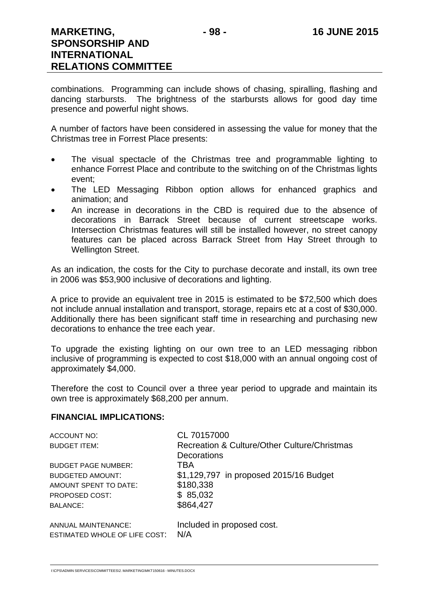combinations. Programming can include shows of chasing, spiralling, flashing and dancing starbursts. The brightness of the starbursts allows for good day time presence and powerful night shows.

A number of factors have been considered in assessing the value for money that the Christmas tree in Forrest Place presents:

- The visual spectacle of the Christmas tree and programmable lighting to enhance Forrest Place and contribute to the switching on of the Christmas lights event;
- The LED Messaging Ribbon option allows for enhanced graphics and animation; and
- An increase in decorations in the CBD is required due to the absence of decorations in Barrack Street because of current streetscape works. Intersection Christmas features will still be installed however, no street canopy features can be placed across Barrack Street from Hay Street through to Wellington Street.

As an indication, the costs for the City to purchase decorate and install, its own tree in 2006 was \$53,900 inclusive of decorations and lighting.

A price to provide an equivalent tree in 2015 is estimated to be \$72,500 which does not include annual installation and transport, storage, repairs etc at a cost of \$30,000. Additionally there has been significant staff time in researching and purchasing new decorations to enhance the tree each year.

To upgrade the existing lighting on our own tree to an LED messaging ribbon inclusive of programming is expected to cost \$18,000 with an annual ongoing cost of approximately \$4,000.

Therefore the cost to Council over a three year period to upgrade and maintain its own tree is approximately \$68,200 per annum.

## **FINANCIAL IMPLICATIONS:**

| ACCOUNT NO:                                          | CL 70157000                                  |
|------------------------------------------------------|----------------------------------------------|
| <b>BUDGET ITEM:</b>                                  | Recreation & Culture/Other Culture/Christmas |
|                                                      | Decorations                                  |
| <b>BUDGET PAGE NUMBER:</b>                           | TBA                                          |
| <b>BUDGETED AMOUNT:</b>                              | \$1,129,797 in proposed 2015/16 Budget       |
| AMOUNT SPENT TO DATE:                                | \$180,338                                    |
| PROPOSED COST:                                       | \$85,032                                     |
| <b>BALANCE:</b>                                      | \$864,427                                    |
| ANNUAL MAINTENANCE:<br>ESTIMATED WHOLE OF LIFE COST: | Included in proposed cost.<br>N/A            |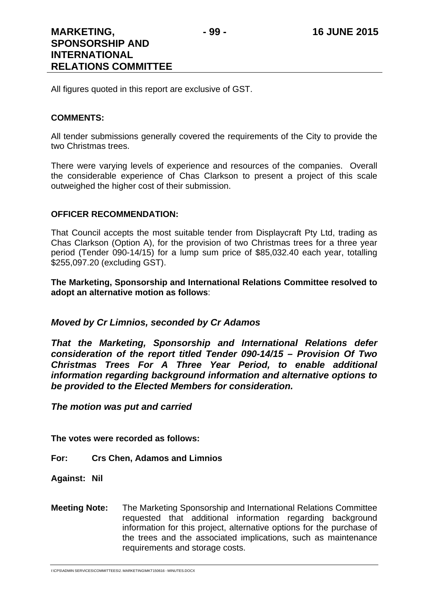All figures quoted in this report are exclusive of GST.

### **COMMENTS:**

All tender submissions generally covered the requirements of the City to provide the two Christmas trees.

There were varying levels of experience and resources of the companies. Overall the considerable experience of Chas Clarkson to present a project of this scale outweighed the higher cost of their submission.

## **OFFICER RECOMMENDATION:**

That Council accepts the most suitable tender from Displaycraft Pty Ltd, trading as Chas Clarkson (Option A), for the provision of two Christmas trees for a three year period (Tender 090-14/15) for a lump sum price of \$85,032.40 each year, totalling \$255,097.20 (excluding GST).

**The Marketing, Sponsorship and International Relations Committee resolved to adopt an alternative motion as follows**:

## *Moved by Cr Limnios, seconded by Cr Adamos*

*That the Marketing, Sponsorship and International Relations defer consideration of the report titled Tender 090-14/15 – Provision Of Two Christmas Trees For A Three Year Period, to enable additional information regarding background information and alternative options to be provided to the Elected Members for consideration.* 

*The motion was put and carried* 

**The votes were recorded as follows:** 

**For: Crs Chen, Adamos and Limnios** 

**Against: Nil** 

**Meeting Note:** The Marketing Sponsorship and International Relations Committee requested that additional information regarding background information for this project, alternative options for the purchase of the trees and the associated implications, such as maintenance requirements and storage costs.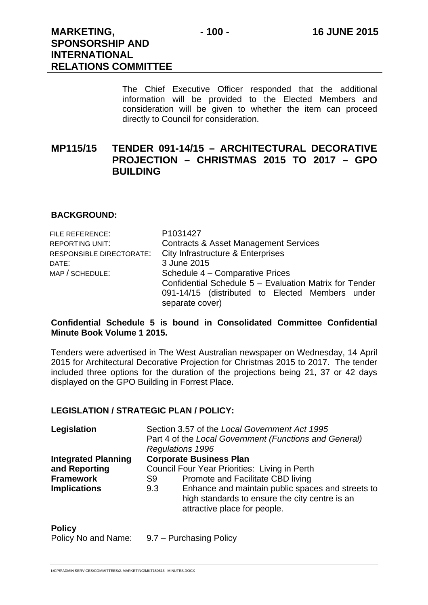The Chief Executive Officer responded that the additional information will be provided to the Elected Members and consideration will be given to whether the item can proceed directly to Council for consideration.

# **MP115/15 TENDER 091-14/15 – ARCHITECTURAL DECORATIVE PROJECTION – CHRISTMAS 2015 TO 2017 – GPO BUILDING**

## **BACKGROUND:**

| FILE REFERENCE:          | P1031427                                               |  |  |  |
|--------------------------|--------------------------------------------------------|--|--|--|
| <b>REPORTING UNIT:</b>   | <b>Contracts &amp; Asset Management Services</b>       |  |  |  |
| RESPONSIBLE DIRECTORATE: | City Infrastructure & Enterprises                      |  |  |  |
| DATE:                    | 3 June 2015                                            |  |  |  |
| MAP / SCHEDULE:          | Schedule 4 – Comparative Prices                        |  |  |  |
|                          | Confidential Schedule 5 - Evaluation Matrix for Tender |  |  |  |
|                          | 091-14/15 (distributed to Elected Members under        |  |  |  |
|                          | separate cover)                                        |  |  |  |

## **Confidential Schedule 5 is bound in Consolidated Committee Confidential Minute Book Volume 1 2015.**

Tenders were advertised in The West Australian newspaper on Wednesday, 14 April 2015 for Architectural Decorative Projection for Christmas 2015 to 2017. The tender included three options for the duration of the projections being 21, 37 or 42 days displayed on the GPO Building in Forrest Place.

## **LEGISLATION / STRATEGIC PLAN / POLICY:**

| Legislation                | Section 3.57 of the Local Government Act 1995<br>Part 4 of the Local Government (Functions and General) |                                                                                                                                     |  |
|----------------------------|---------------------------------------------------------------------------------------------------------|-------------------------------------------------------------------------------------------------------------------------------------|--|
|                            |                                                                                                         |                                                                                                                                     |  |
|                            | <b>Regulations 1996</b>                                                                                 |                                                                                                                                     |  |
| <b>Integrated Planning</b> |                                                                                                         | <b>Corporate Business Plan</b>                                                                                                      |  |
| and Reporting              | Council Four Year Priorities: Living in Perth                                                           |                                                                                                                                     |  |
| <b>Framework</b>           | S9                                                                                                      | Promote and Facilitate CBD living                                                                                                   |  |
| <b>Implications</b>        | 9.3                                                                                                     | Enhance and maintain public spaces and streets to<br>high standards to ensure the city centre is an<br>attractive place for people. |  |

#### **Policy**

Policy No and Name: 9.7 – Purchasing Policy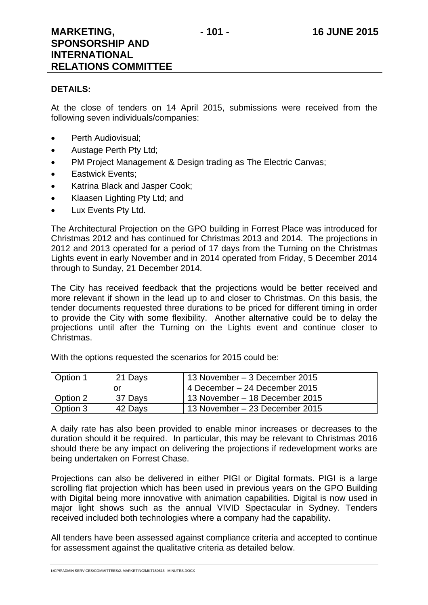## **DETAILS:**

At the close of tenders on 14 April 2015, submissions were received from the following seven individuals/companies:

- Perth Audiovisual:
- Austage Perth Pty Ltd;
- PM Project Management & Design trading as The Electric Canvas:
- Eastwick Events;
- Katrina Black and Jasper Cook;
- Klaasen Lighting Pty Ltd; and
- Lux Events Ptv Ltd.

The Architectural Projection on the GPO building in Forrest Place was introduced for Christmas 2012 and has continued for Christmas 2013 and 2014. The projections in 2012 and 2013 operated for a period of 17 days from the Turning on the Christmas Lights event in early November and in 2014 operated from Friday, 5 December 2014 through to Sunday, 21 December 2014.

The City has received feedback that the projections would be better received and more relevant if shown in the lead up to and closer to Christmas. On this basis, the tender documents requested three durations to be priced for different timing in order to provide the City with some flexibility. Another alternative could be to delay the projections until after the Turning on the Lights event and continue closer to Christmas.

With the options requested the scenarios for 2015 could be:

| Option 1 | 21 Days | 13 November – 3 December 2015  |  |  |
|----------|---------|--------------------------------|--|--|
|          |         | 4 December – 24 December 2015  |  |  |
| Option 2 | 37 Days | 13 November – 18 December 2015 |  |  |
| Option 3 | 42 Days | 13 November – 23 December 2015 |  |  |

A daily rate has also been provided to enable minor increases or decreases to the duration should it be required. In particular, this may be relevant to Christmas 2016 should there be any impact on delivering the projections if redevelopment works are being undertaken on Forrest Chase.

Projections can also be delivered in either PIGI or Digital formats. PIGI is a large scrolling flat projection which has been used in previous years on the GPO Building with Digital being more innovative with animation capabilities. Digital is now used in major light shows such as the annual VIVID Spectacular in Sydney. Tenders received included both technologies where a company had the capability.

All tenders have been assessed against compliance criteria and accepted to continue for assessment against the qualitative criteria as detailed below.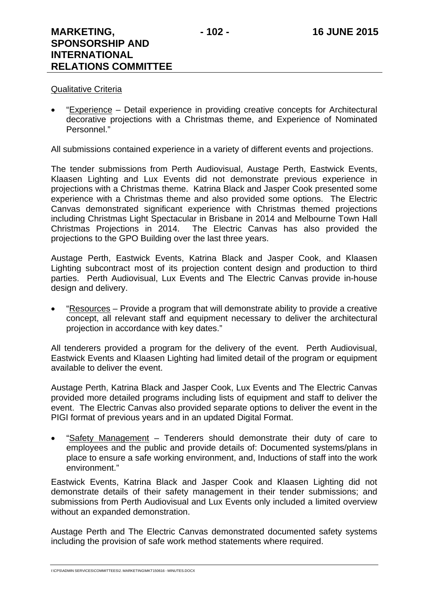## Qualitative Criteria

 "Experience – Detail experience in providing creative concepts for Architectural decorative projections with a Christmas theme, and Experience of Nominated Personnel."

All submissions contained experience in a variety of different events and projections.

The tender submissions from Perth Audiovisual, Austage Perth, Eastwick Events, Klaasen Lighting and Lux Events did not demonstrate previous experience in projections with a Christmas theme. Katrina Black and Jasper Cook presented some experience with a Christmas theme and also provided some options. The Electric Canvas demonstrated significant experience with Christmas themed projections including Christmas Light Spectacular in Brisbane in 2014 and Melbourne Town Hall Christmas Projections in 2014. The Electric Canvas has also provided the projections to the GPO Building over the last three years.

Austage Perth, Eastwick Events, Katrina Black and Jasper Cook, and Klaasen Lighting subcontract most of its projection content design and production to third parties. Perth Audiovisual, Lux Events and The Electric Canvas provide in-house design and delivery.

 "Resources – Provide a program that will demonstrate ability to provide a creative concept, all relevant staff and equipment necessary to deliver the architectural projection in accordance with key dates."

All tenderers provided a program for the delivery of the event. Perth Audiovisual, Eastwick Events and Klaasen Lighting had limited detail of the program or equipment available to deliver the event.

Austage Perth, Katrina Black and Jasper Cook, Lux Events and The Electric Canvas provided more detailed programs including lists of equipment and staff to deliver the event. The Electric Canvas also provided separate options to deliver the event in the PIGI format of previous years and in an updated Digital Format.

 "Safety Management – Tenderers should demonstrate their duty of care to employees and the public and provide details of: Documented systems/plans in place to ensure a safe working environment, and, Inductions of staff into the work environment."

Eastwick Events, Katrina Black and Jasper Cook and Klaasen Lighting did not demonstrate details of their safety management in their tender submissions; and submissions from Perth Audiovisual and Lux Events only included a limited overview without an expanded demonstration.

Austage Perth and The Electric Canvas demonstrated documented safety systems including the provision of safe work method statements where required.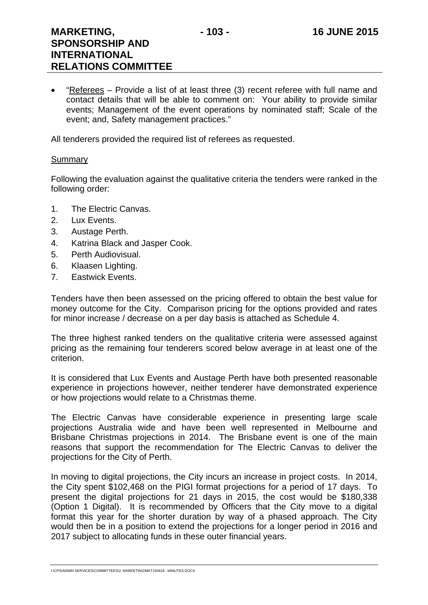**RELATIONS COMMITTEE** 

 "Referees – Provide a list of at least three (3) recent referee with full name and contact details that will be able to comment on: Your ability to provide similar events; Management of the event operations by nominated staff; Scale of the event; and, Safety management practices."

All tenderers provided the required list of referees as requested.

#### Summary

Following the evaluation against the qualitative criteria the tenders were ranked in the following order:

- 1. The Electric Canvas.
- 2. Lux Events.
- 3. Austage Perth.
- 4. Katrina Black and Jasper Cook.
- 5. Perth Audiovisual.
- 6. Klaasen Lighting.
- 7. Eastwick Events.

Tenders have then been assessed on the pricing offered to obtain the best value for money outcome for the City. Comparison pricing for the options provided and rates for minor increase / decrease on a per day basis is attached as Schedule 4.

The three highest ranked tenders on the qualitative criteria were assessed against pricing as the remaining four tenderers scored below average in at least one of the criterion.

It is considered that Lux Events and Austage Perth have both presented reasonable experience in projections however, neither tenderer have demonstrated experience or how projections would relate to a Christmas theme.

The Electric Canvas have considerable experience in presenting large scale projections Australia wide and have been well represented in Melbourne and Brisbane Christmas projections in 2014. The Brisbane event is one of the main reasons that support the recommendation for The Electric Canvas to deliver the projections for the City of Perth.

In moving to digital projections, the City incurs an increase in project costs. In 2014, the City spent \$102,468 on the PIGI format projections for a period of 17 days. To present the digital projections for 21 days in 2015, the cost would be \$180,338 (Option 1 Digital). It is recommended by Officers that the City move to a digital format this year for the shorter duration by way of a phased approach. The City would then be in a position to extend the projections for a longer period in 2016 and 2017 subject to allocating funds in these outer financial years.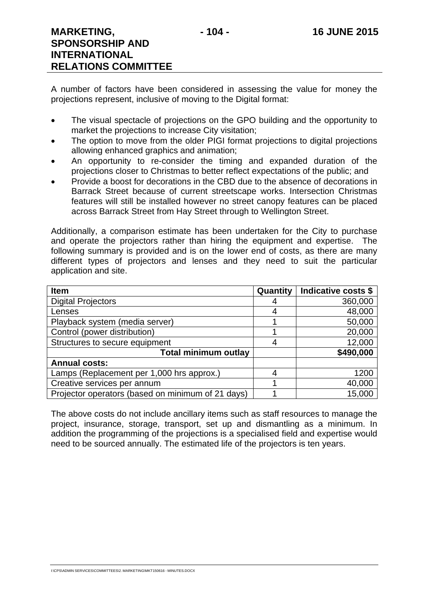A number of factors have been considered in assessing the value for money the projections represent, inclusive of moving to the Digital format:

- The visual spectacle of projections on the GPO building and the opportunity to market the projections to increase City visitation;
- The option to move from the older PIGI format projections to digital projections allowing enhanced graphics and animation;
- An opportunity to re-consider the timing and expanded duration of the projections closer to Christmas to better reflect expectations of the public; and
- Provide a boost for decorations in the CBD due to the absence of decorations in Barrack Street because of current streetscape works. Intersection Christmas features will still be installed however no street canopy features can be placed across Barrack Street from Hay Street through to Wellington Street.

Additionally, a comparison estimate has been undertaken for the City to purchase and operate the projectors rather than hiring the equipment and expertise. The following summary is provided and is on the lower end of costs, as there are many different types of projectors and lenses and they need to suit the particular application and site.

| <b>Item</b>                                       | Quantity | Indicative costs \$ |
|---------------------------------------------------|----------|---------------------|
| <b>Digital Projectors</b>                         |          | 360,000             |
| Lenses                                            |          | 48,000              |
| Playback system (media server)                    |          | 50,000              |
| Control (power distribution)                      |          | 20,000              |
| Structures to secure equipment                    |          | 12,000              |
| <b>Total minimum outlay</b>                       |          | \$490,000           |
| <b>Annual costs:</b>                              |          |                     |
| Lamps (Replacement per 1,000 hrs approx.)         |          | 1200                |
| Creative services per annum                       |          | 40,000              |
| Projector operators (based on minimum of 21 days) |          | 15,000              |

The above costs do not include ancillary items such as staff resources to manage the project, insurance, storage, transport, set up and dismantling as a minimum. In addition the programming of the projections is a specialised field and expertise would need to be sourced annually. The estimated life of the projectors is ten years.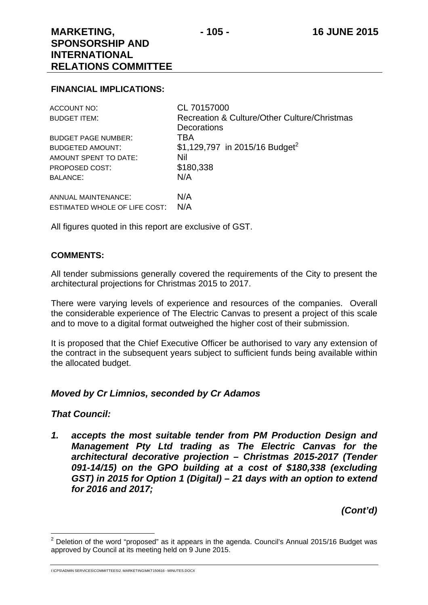#### **FINANCIAL IMPLICATIONS:**

| <b>ACCOUNT NO:</b>            | CL 70157000                                  |
|-------------------------------|----------------------------------------------|
| <b>BUDGET ITEM:</b>           | Recreation & Culture/Other Culture/Christmas |
|                               | <b>Decorations</b>                           |
| <b>BUDGET PAGE NUMBER:</b>    | TBA                                          |
| <b>BUDGETED AMOUNT:</b>       | \$1,129,797 in 2015/16 Budget <sup>2</sup>   |
| AMOUNT SPENT TO DATE:         | Nil                                          |
| <b>PROPOSED COST:</b>         | \$180,338                                    |
| <b>BALANCE:</b>               | N/A                                          |
| ANNUAL MAINTENANCE:           | N/A                                          |
| ESTIMATED WHOLE OF LIFE COST: | N/A                                          |

All figures quoted in this report are exclusive of GST.

#### **COMMENTS:**

All tender submissions generally covered the requirements of the City to present the architectural projections for Christmas 2015 to 2017.

There were varying levels of experience and resources of the companies. Overall the considerable experience of The Electric Canvas to present a project of this scale and to move to a digital format outweighed the higher cost of their submission.

It is proposed that the Chief Executive Officer be authorised to vary any extension of the contract in the subsequent years subject to sufficient funds being available within the allocated budget.

#### *Moved by Cr Limnios, seconded by Cr Adamos*

#### *That Council:*

l

*1. accepts the most suitable tender from PM Production Design and Management Pty Ltd trading as The Electric Canvas for the architectural decorative projection – Christmas 2015-2017 (Tender 091-14/15) on the GPO building at a cost of \$180,338 (excluding GST) in 2015 for Option 1 (Digital) – 21 days with an option to extend for 2016 and 2017;* 

*(Cont'd)* 

I:\CPS\ADMIN SERVICES\COMMITTEES\2. MARKETING\MKT150616 - MINUTES.DOCX

 $2$  Deletion of the word "proposed" as it appears in the agenda. Council's Annual 2015/16 Budget was approved by Council at its meeting held on 9 June 2015.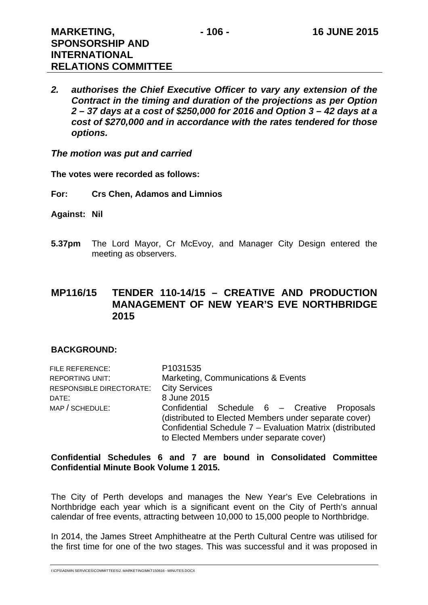*2. authorises the Chief Executive Officer to vary any extension of the Contract in the timing and duration of the projections as per Option 2 – 37 days at a cost of \$250,000 for 2016 and Option 3 – 42 days at a cost of \$270,000 and in accordance with the rates tendered for those options.* 

*The motion was put and carried* 

**The votes were recorded as follows:** 

- **For: Crs Chen, Adamos and Limnios**
- **Against: Nil**
- **5.37pm** The Lord Mayor, Cr McEvoy, and Manager City Design entered the meeting as observers.

#### **MP116/15 TENDER 110-14/15 – CREATIVE AND PRODUCTION MANAGEMENT OF NEW YEAR'S EVE NORTHBRIDGE 2015**

#### **BACKGROUND:**

| FILE REFERENCE:          | P1031535                                                 |
|--------------------------|----------------------------------------------------------|
| <b>REPORTING UNIT:</b>   | Marketing, Communications & Events                       |
| RESPONSIBLE DIRECTORATE: | <b>City Services</b>                                     |
| DATE:                    | 8 June 2015                                              |
| MAP / SCHEDULE:          | Confidential Schedule 6 - Creative Proposals             |
|                          | (distributed to Elected Members under separate cover)    |
|                          | Confidential Schedule 7 - Evaluation Matrix (distributed |
|                          | to Elected Members under separate cover)                 |

#### **Confidential Schedules 6 and 7 are bound in Consolidated Committee Confidential Minute Book Volume 1 2015.**

The City of Perth develops and manages the New Year's Eve Celebrations in Northbridge each year which is a significant event on the City of Perth's annual calendar of free events, attracting between 10,000 to 15,000 people to Northbridge.

In 2014, the James Street Amphitheatre at the Perth Cultural Centre was utilised for the first time for one of the two stages. This was successful and it was proposed in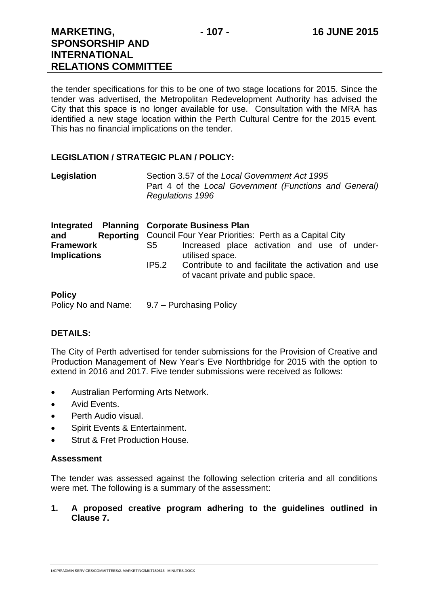the tender specifications for this to be one of two stage locations for 2015. Since the tender was advertised, the Metropolitan Redevelopment Authority has advised the City that this space is no longer available for use. Consultation with the MRA has identified a new stage location within the Perth Cultural Centre for the 2015 event. This has no financial implications on the tender.

#### **LEGISLATION / STRATEGIC PLAN / POLICY:**

| Legislation | Section 3.57 of the Local Government Act 1995          |
|-------------|--------------------------------------------------------|
|             | Part 4 of the Local Government (Functions and General) |
|             | <b>Regulations 1996</b>                                |

| Integrated<br>and<br><b>Framework</b><br><b>Implications</b> | <b>Planning Corporate Business Plan</b><br><b>Reporting</b> Council Four Year Priorities: Perth as a Capital City<br>Increased place activation and use of under-<br>S5<br>utilised space.<br>Contribute to and facilitate the activation and use<br>IP5.2<br>of vacant private and public space. |
|--------------------------------------------------------------|---------------------------------------------------------------------------------------------------------------------------------------------------------------------------------------------------------------------------------------------------------------------------------------------------|
| <b>Policy</b><br>Policy No and Name:                         | 9.7 – Purchasing Policy                                                                                                                                                                                                                                                                           |

#### **DETAILS:**

The City of Perth advertised for tender submissions for the Provision of Creative and Production Management of New Year's Eve Northbridge for 2015 with the option to extend in 2016 and 2017. Five tender submissions were received as follows:

- Australian Performing Arts Network.
- Avid Events.
- Perth Audio visual.
- Spirit Events & Entertainment.
- Strut & Fret Production House.

#### **Assessment**

The tender was assessed against the following selection criteria and all conditions were met. The following is a summary of the assessment:

**1. A proposed creative program adhering to the guidelines outlined in Clause 7.**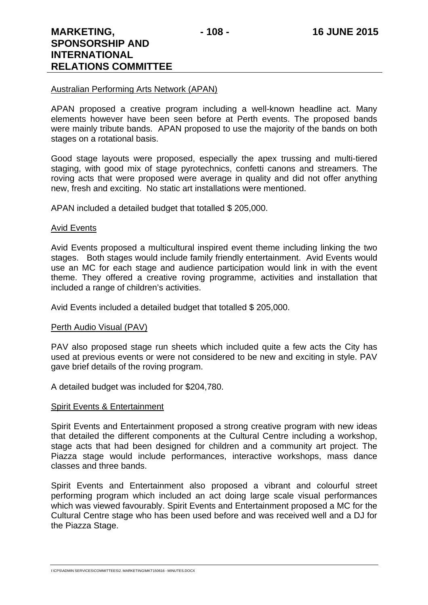#### Australian Performing Arts Network (APAN)

APAN proposed a creative program including a well-known headline act. Many elements however have been seen before at Perth events. The proposed bands were mainly tribute bands. APAN proposed to use the majority of the bands on both stages on a rotational basis.

Good stage layouts were proposed, especially the apex trussing and multi-tiered staging, with good mix of stage pyrotechnics, confetti canons and streamers. The roving acts that were proposed were average in quality and did not offer anything new, fresh and exciting. No static art installations were mentioned.

APAN included a detailed budget that totalled \$ 205,000.

#### Avid Events

Avid Events proposed a multicultural inspired event theme including linking the two stages. Both stages would include family friendly entertainment. Avid Events would use an MC for each stage and audience participation would link in with the event theme. They offered a creative roving programme, activities and installation that included a range of children's activities.

Avid Events included a detailed budget that totalled \$ 205,000.

#### Perth Audio Visual (PAV)

PAV also proposed stage run sheets which included quite a few acts the City has used at previous events or were not considered to be new and exciting in style. PAV gave brief details of the roving program.

A detailed budget was included for \$204,780.

#### Spirit Events & Entertainment

Spirit Events and Entertainment proposed a strong creative program with new ideas that detailed the different components at the Cultural Centre including a workshop, stage acts that had been designed for children and a community art project. The Piazza stage would include performances, interactive workshops, mass dance classes and three bands.

Spirit Events and Entertainment also proposed a vibrant and colourful street performing program which included an act doing large scale visual performances which was viewed favourably. Spirit Events and Entertainment proposed a MC for the Cultural Centre stage who has been used before and was received well and a DJ for the Piazza Stage.

I:\CPS\ADMIN SERVICES\COMMITTEES\2. MARKETING\MKT150616 - MINUTES.DOCX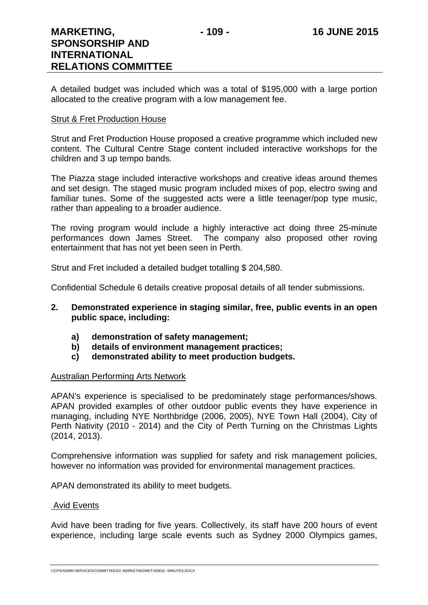A detailed budget was included which was a total of \$195,000 with a large portion allocated to the creative program with a low management fee.

#### Strut & Fret Production House

Strut and Fret Production House proposed a creative programme which included new content. The Cultural Centre Stage content included interactive workshops for the children and 3 up tempo bands.

The Piazza stage included interactive workshops and creative ideas around themes and set design. The staged music program included mixes of pop, electro swing and familiar tunes. Some of the suggested acts were a little teenager/pop type music, rather than appealing to a broader audience.

The roving program would include a highly interactive act doing three 25-minute performances down James Street. The company also proposed other roving entertainment that has not yet been seen in Perth.

Strut and Fret included a detailed budget totalling \$ 204,580.

Confidential Schedule 6 details creative proposal details of all tender submissions.

- **2. Demonstrated experience in staging similar, free, public events in an open public space, including:** 
	- **a) demonstration of safety management;**
	- **b) details of environment management practices;**
	- **c) demonstrated ability to meet production budgets.**

#### Australian Performing Arts Network

APAN's experience is specialised to be predominately stage performances/shows. APAN provided examples of other outdoor public events they have experience in managing, including NYE Northbridge (2006, 2005), NYE Town Hall (2004), City of Perth Nativity (2010 - 2014) and the City of Perth Turning on the Christmas Lights (2014, 2013).

Comprehensive information was supplied for safety and risk management policies, however no information was provided for environmental management practices.

APAN demonstrated its ability to meet budgets.

#### Avid Events

Avid have been trading for five years. Collectively, its staff have 200 hours of event experience, including large scale events such as Sydney 2000 Olympics games,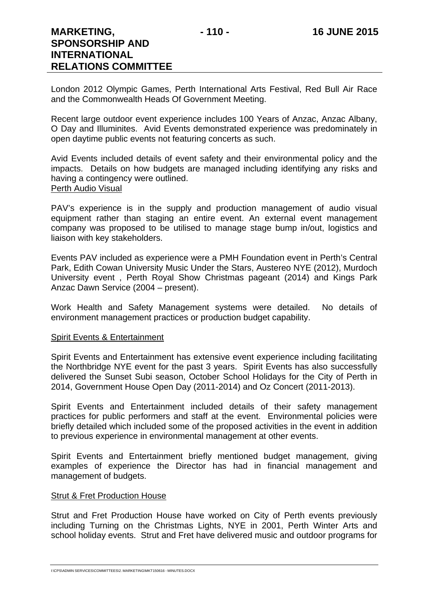London 2012 Olympic Games, Perth International Arts Festival, Red Bull Air Race and the Commonwealth Heads Of Government Meeting.

Recent large outdoor event experience includes 100 Years of Anzac, Anzac Albany, O Day and Illuminites. Avid Events demonstrated experience was predominately in open daytime public events not featuring concerts as such.

Avid Events included details of event safety and their environmental policy and the impacts. Details on how budgets are managed including identifying any risks and having a contingency were outlined. Perth Audio Visual

PAV's experience is in the supply and production management of audio visual equipment rather than staging an entire event. An external event management company was proposed to be utilised to manage stage bump in/out, logistics and liaison with key stakeholders.

Events PAV included as experience were a PMH Foundation event in Perth's Central Park, Edith Cowan University Music Under the Stars, Austereo NYE (2012), Murdoch University event , Perth Royal Show Christmas pageant (2014) and Kings Park Anzac Dawn Service (2004 – present).

Work Health and Safety Management systems were detailed. No details of environment management practices or production budget capability.

#### Spirit Events & Entertainment

Spirit Events and Entertainment has extensive event experience including facilitating the Northbridge NYE event for the past 3 years. Spirit Events has also successfully delivered the Sunset Subi season, October School Holidays for the City of Perth in 2014, Government House Open Day (2011-2014) and Oz Concert (2011-2013).

Spirit Events and Entertainment included details of their safety management practices for public performers and staff at the event. Environmental policies were briefly detailed which included some of the proposed activities in the event in addition to previous experience in environmental management at other events.

Spirit Events and Entertainment briefly mentioned budget management, giving examples of experience the Director has had in financial management and management of budgets.

#### **Strut & Fret Production House**

Strut and Fret Production House have worked on City of Perth events previously including Turning on the Christmas Lights, NYE in 2001, Perth Winter Arts and school holiday events. Strut and Fret have delivered music and outdoor programs for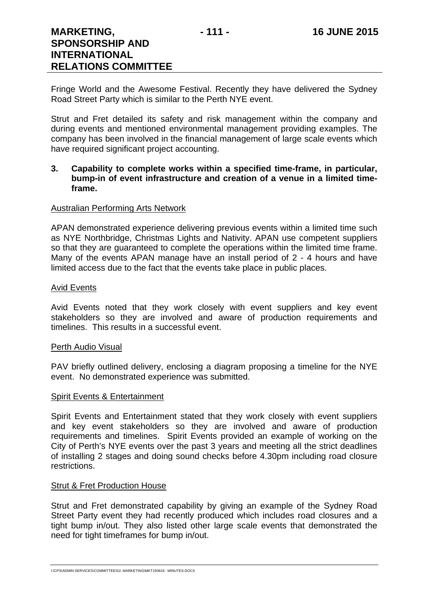Fringe World and the Awesome Festival. Recently they have delivered the Sydney Road Street Party which is similar to the Perth NYE event.

Strut and Fret detailed its safety and risk management within the company and during events and mentioned environmental management providing examples. The company has been involved in the financial management of large scale events which have required significant project accounting.

#### **3. Capability to complete works within a specified time-frame, in particular, bump-in of event infrastructure and creation of a venue in a limited timeframe.**

#### Australian Performing Arts Network

APAN demonstrated experience delivering previous events within a limited time such as NYE Northbridge, Christmas Lights and Nativity. APAN use competent suppliers so that they are guaranteed to complete the operations within the limited time frame. Many of the events APAN manage have an install period of 2 - 4 hours and have limited access due to the fact that the events take place in public places.

#### Avid Events

Avid Events noted that they work closely with event suppliers and key event stakeholders so they are involved and aware of production requirements and timelines. This results in a successful event.

#### Perth Audio Visual

PAV briefly outlined delivery, enclosing a diagram proposing a timeline for the NYE event. No demonstrated experience was submitted.

#### Spirit Events & Entertainment

Spirit Events and Entertainment stated that they work closely with event suppliers and key event stakeholders so they are involved and aware of production requirements and timelines. Spirit Events provided an example of working on the City of Perth's NYE events over the past 3 years and meeting all the strict deadlines of installing 2 stages and doing sound checks before 4.30pm including road closure restrictions.

#### **Strut & Fret Production House**

Strut and Fret demonstrated capability by giving an example of the Sydney Road Street Party event they had recently produced which includes road closures and a tight bump in/out. They also listed other large scale events that demonstrated the need for tight timeframes for bump in/out.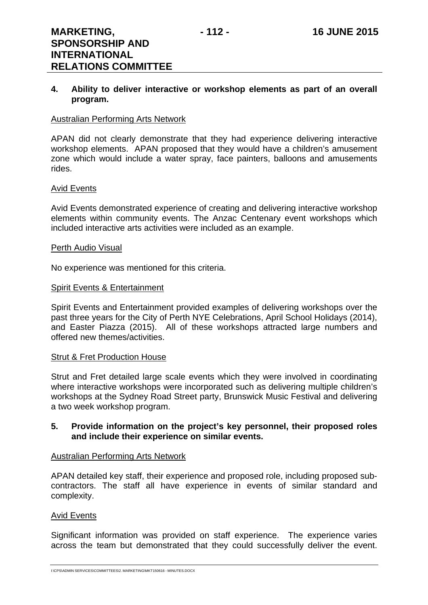#### **4. Ability to deliver interactive or workshop elements as part of an overall program.**

#### Australian Performing Arts Network

APAN did not clearly demonstrate that they had experience delivering interactive workshop elements. APAN proposed that they would have a children's amusement zone which would include a water spray, face painters, balloons and amusements rides.

#### Avid Events

Avid Events demonstrated experience of creating and delivering interactive workshop elements within community events. The Anzac Centenary event workshops which included interactive arts activities were included as an example.

#### Perth Audio Visual

No experience was mentioned for this criteria.

#### Spirit Events & Entertainment

Spirit Events and Entertainment provided examples of delivering workshops over the past three years for the City of Perth NYE Celebrations, April School Holidays (2014), and Easter Piazza (2015). All of these workshops attracted large numbers and offered new themes/activities.

#### **Strut & Fret Production House**

Strut and Fret detailed large scale events which they were involved in coordinating where interactive workshops were incorporated such as delivering multiple children's workshops at the Sydney Road Street party, Brunswick Music Festival and delivering a two week workshop program.

#### **5. Provide information on the project's key personnel, their proposed roles and include their experience on similar events.**

#### Australian Performing Arts Network

APAN detailed key staff, their experience and proposed role, including proposed subcontractors. The staff all have experience in events of similar standard and complexity.

#### Avid Events

Significant information was provided on staff experience. The experience varies across the team but demonstrated that they could successfully deliver the event.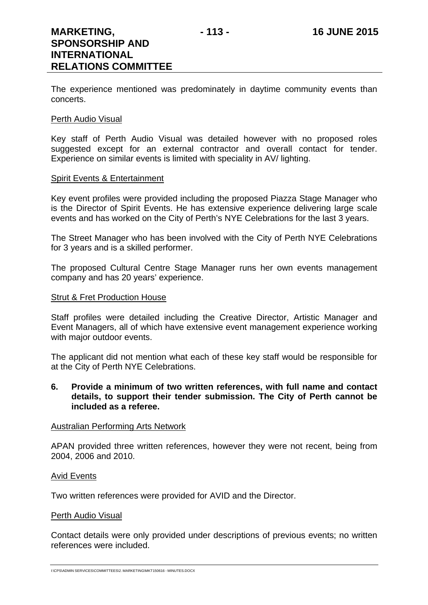The experience mentioned was predominately in daytime community events than concerts.

#### Perth Audio Visual

Key staff of Perth Audio Visual was detailed however with no proposed roles suggested except for an external contractor and overall contact for tender. Experience on similar events is limited with speciality in AV/ lighting.

#### Spirit Events & Entertainment

Key event profiles were provided including the proposed Piazza Stage Manager who is the Director of Spirit Events. He has extensive experience delivering large scale events and has worked on the City of Perth's NYE Celebrations for the last 3 years.

The Street Manager who has been involved with the City of Perth NYE Celebrations for 3 years and is a skilled performer.

The proposed Cultural Centre Stage Manager runs her own events management company and has 20 years' experience.

#### Strut & Fret Production House

Staff profiles were detailed including the Creative Director, Artistic Manager and Event Managers, all of which have extensive event management experience working with major outdoor events.

The applicant did not mention what each of these key staff would be responsible for at the City of Perth NYE Celebrations.

#### **6. Provide a minimum of two written references, with full name and contact details, to support their tender submission. The City of Perth cannot be included as a referee.**

#### Australian Performing Arts Network

APAN provided three written references, however they were not recent, being from 2004, 2006 and 2010.

#### Avid Events

Two written references were provided for AVID and the Director.

#### Perth Audio Visual

Contact details were only provided under descriptions of previous events; no written references were included.

I:\CPS\ADMIN SERVICES\COMMITTEES\2. MARKETING\MKT150616 - MINUTES.DOCX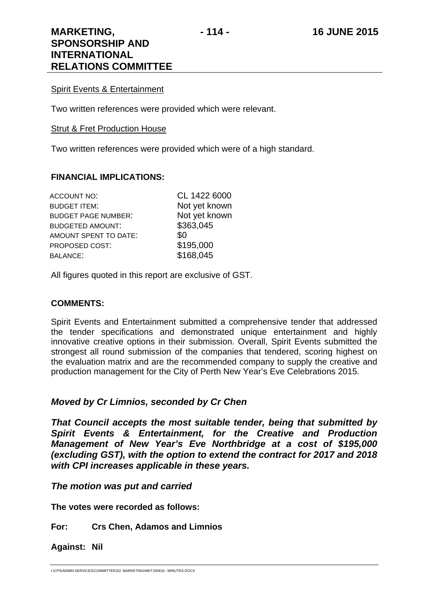#### Spirit Events & Entertainment

Two written references were provided which were relevant.

#### Strut & Fret Production House

Two written references were provided which were of a high standard.

#### **FINANCIAL IMPLICATIONS:**

| CL 1422 6000  |
|---------------|
| Not yet known |
| Not yet known |
| \$363,045     |
| \$0           |
| \$195,000     |
| \$168,045     |
|               |

All figures quoted in this report are exclusive of GST.

#### **COMMENTS:**

Spirit Events and Entertainment submitted a comprehensive tender that addressed the tender specifications and demonstrated unique entertainment and highly innovative creative options in their submission. Overall, Spirit Events submitted the strongest all round submission of the companies that tendered, scoring highest on the evaluation matrix and are the recommended company to supply the creative and production management for the City of Perth New Year's Eve Celebrations 2015.

#### *Moved by Cr Limnios, seconded by Cr Chen*

*That Council accepts the most suitable tender, being that submitted by Spirit Events & Entertainment, for the Creative and Production Management of New Year's Eve Northbridge at a cost of \$195,000 (excluding GST), with the option to extend the contract for 2017 and 2018 with CPI increases applicable in these years.* 

#### *The motion was put and carried*

**The votes were recorded as follows:** 

#### **For: Crs Chen, Adamos and Limnios**

**Against: Nil** 

I:\CPS\ADMIN SERVICES\COMMITTEES\2. MARKETING\MKT150616 - MINUTES.DOCX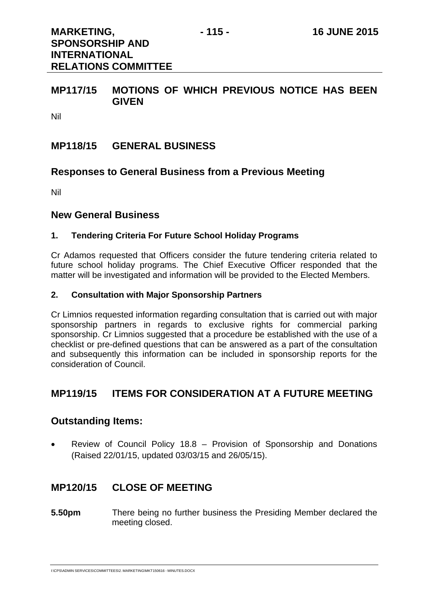**RELATIONS COMMITTEE** 

#### **MP117/15 MOTIONS OF WHICH PREVIOUS NOTICE HAS BEEN GIVEN**

Nil

#### **MP118/15 GENERAL BUSINESS**

#### **Responses to General Business from a Previous Meeting**

Nil

#### **New General Business**

#### **1. Tendering Criteria For Future School Holiday Programs**

Cr Adamos requested that Officers consider the future tendering criteria related to future school holiday programs. The Chief Executive Officer responded that the matter will be investigated and information will be provided to the Elected Members.

#### **2. Consultation with Major Sponsorship Partners**

Cr Limnios requested information regarding consultation that is carried out with major sponsorship partners in regards to exclusive rights for commercial parking sponsorship. Cr Limnios suggested that a procedure be established with the use of a checklist or pre-defined questions that can be answered as a part of the consultation and subsequently this information can be included in sponsorship reports for the consideration of Council.

### **MP119/15 ITEMS FOR CONSIDERATION AT A FUTURE MEETING**

#### **Outstanding Items:**

 Review of Council Policy 18.8 – Provision of Sponsorship and Donations (Raised 22/01/15, updated 03/03/15 and 26/05/15).

#### **MP120/15 CLOSE OF MEETING**

**5.50pm** There being no further business the Presiding Member declared the meeting closed.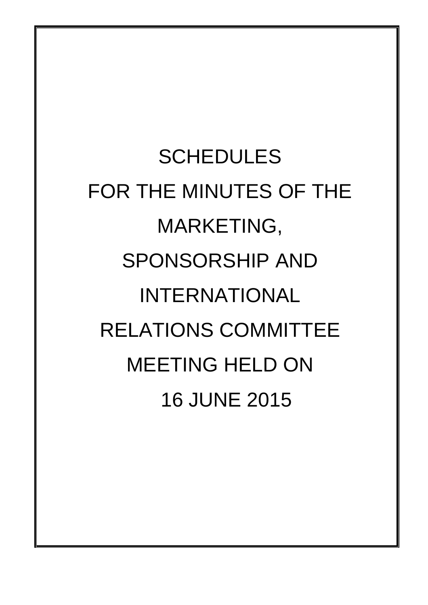**SCHEDULES** FOR THE MINUTES OF THE MARKETING, SPONSORSHIP AND INTERNATIONAL RELATIONS COMMITTEE MEETING HELD ON 16 JUNE 2015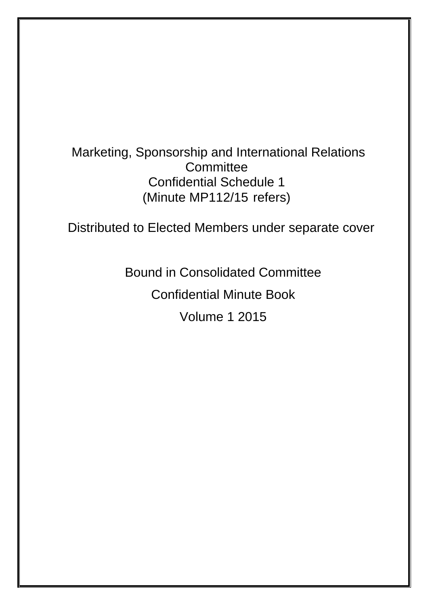# Marketing, Sponsorship and International Relations **Committee** Confidential Schedule 1 (Minute MP112/15 refers)

Distributed to Elected Members under separate cover

Bound in Consolidated Committee

Confidential Minute Book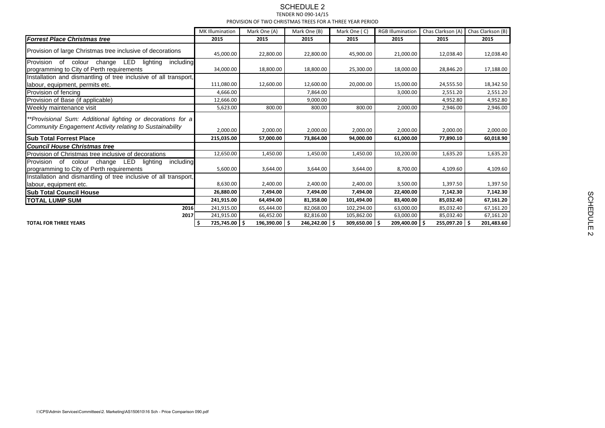| MK Illumination<br>Chas Clarkson (A) Chas Clarkson (B)<br>Mark One (A)<br>Mark One (B)<br>Mark One (C)<br><b>RGB Illumination</b><br>2015<br>2015<br>2015<br>2015<br><b>Forrest Place Christmas tree</b><br>2015<br>2015<br>2015<br>Provision of large Christmas tree inclusive of decorations<br>45,000.00<br>22,800.00<br>22,800.00<br>45,900.00<br>21,000.00<br>12,038.40<br>Provision of colour change LED<br>lighting<br>including<br>34,000.00<br>18,800.00<br>18,800.00<br>25,300.00<br>18,000.00<br>28,846.20<br>17,188.00<br>programming to City of Perth requirements<br>Installation and dismantling of tree inclusive of all transport,<br>12,600.00<br>111,080.00<br>12,600.00<br>20,000.00<br>15,000.00<br>24,555.50<br>18,342.50<br>abour, equipment, permits etc.<br>4,666.00<br>7,864.00<br>3,000.00<br>2,551.20<br>2,551.20<br>Provision of fencing<br>Provision of Base (if applicable)<br>12,666.00<br>9,000.00<br>4,952.80<br>4,952.80<br>800.00<br>5,623.00<br>800.00<br>800.00<br>2,000.00<br>2,946.00<br>2,946.00<br>Weekly maintenance visit<br>**Provisional Sum: Additional lighting or decorations for a<br>Community Engagement Activity relating to Sustainability<br>2,000.00<br>2,000.00<br>2,000.00<br>2,000.00<br>2,000.00<br>2,000.00<br><b>Sub Total Forrest Place</b><br>215,035.00<br>94,000.00<br>61,000.00<br>60,018.90<br>57,000.00<br>73,864.00<br>77,890.10<br><b>Council House Christmas tree</b><br>12,650.00<br>1,450.00<br>10,200.00<br>1,450.00<br>1,450.00<br>1,635.20<br>1,635.20<br>Provision of Christmas tree inclusive of decorations<br>Provision of colour change LED<br>lighting<br>including<br>5,600.00<br>programming to City of Perth requirements<br>3,644.00<br>3,644.00<br>3,644.00<br>8,700.00<br>4,109.60<br>Installation and dismantling of tree inclusive of all transport,<br>8,630.00<br>2,400.00<br>2,400.00<br>2,400.00<br>3,500.00<br>1,397.50<br>labour, equipment etc.<br><b>Sub Total Council House</b><br>26,880.00<br>7,494.00<br>7,494.00<br>7,494.00<br>22,400.00<br>7,142.30<br>7,142.30<br><b>TOTAL LUMP SUM</b><br>241,915.00<br>81,358.00<br>101,494.00<br>83,400.00<br>85,032.40<br>67,161.20<br>64,494.00<br>2016<br>241,915.00<br>82,068.00<br>102,294.00<br>63,000.00<br>65,444.00<br>85,032.40<br>67,161.20<br>241,915.00<br>105,862.00<br>63,000.00<br>85,032.40<br>2017<br>66,452.00<br>82,816.00<br>67,161.20<br>725,745.00<br>246,242.00<br>309,650.00<br>209,400.00<br>255,097.20 \$<br>196,390.00<br>201,483.60<br><b>TOTAL FOR THREE YEARS</b> |                                                                                          |                                                          | <b>SCHEDULE 2</b><br>TENDER NO 090-14/15 |  |  |  |           |  |
|------------------------------------------------------------------------------------------------------------------------------------------------------------------------------------------------------------------------------------------------------------------------------------------------------------------------------------------------------------------------------------------------------------------------------------------------------------------------------------------------------------------------------------------------------------------------------------------------------------------------------------------------------------------------------------------------------------------------------------------------------------------------------------------------------------------------------------------------------------------------------------------------------------------------------------------------------------------------------------------------------------------------------------------------------------------------------------------------------------------------------------------------------------------------------------------------------------------------------------------------------------------------------------------------------------------------------------------------------------------------------------------------------------------------------------------------------------------------------------------------------------------------------------------------------------------------------------------------------------------------------------------------------------------------------------------------------------------------------------------------------------------------------------------------------------------------------------------------------------------------------------------------------------------------------------------------------------------------------------------------------------------------------------------------------------------------------------------------------------------------------------------------------------------------------------------------------------------------------------------------------------------------------------------------------------------------------------------------------------------------------------------------------------------------------------------------------------------------------------------------------------------------------------------------|------------------------------------------------------------------------------------------|----------------------------------------------------------|------------------------------------------|--|--|--|-----------|--|
|                                                                                                                                                                                                                                                                                                                                                                                                                                                                                                                                                                                                                                                                                                                                                                                                                                                                                                                                                                                                                                                                                                                                                                                                                                                                                                                                                                                                                                                                                                                                                                                                                                                                                                                                                                                                                                                                                                                                                                                                                                                                                                                                                                                                                                                                                                                                                                                                                                                                                                                                                |                                                                                          | PROVISION OF TWO CHRISTMAS TREES FOR A THREE YEAR PERIOD |                                          |  |  |  |           |  |
|                                                                                                                                                                                                                                                                                                                                                                                                                                                                                                                                                                                                                                                                                                                                                                                                                                                                                                                                                                                                                                                                                                                                                                                                                                                                                                                                                                                                                                                                                                                                                                                                                                                                                                                                                                                                                                                                                                                                                                                                                                                                                                                                                                                                                                                                                                                                                                                                                                                                                                                                                |                                                                                          |                                                          |                                          |  |  |  |           |  |
|                                                                                                                                                                                                                                                                                                                                                                                                                                                                                                                                                                                                                                                                                                                                                                                                                                                                                                                                                                                                                                                                                                                                                                                                                                                                                                                                                                                                                                                                                                                                                                                                                                                                                                                                                                                                                                                                                                                                                                                                                                                                                                                                                                                                                                                                                                                                                                                                                                                                                                                                                |                                                                                          |                                                          |                                          |  |  |  |           |  |
|                                                                                                                                                                                                                                                                                                                                                                                                                                                                                                                                                                                                                                                                                                                                                                                                                                                                                                                                                                                                                                                                                                                                                                                                                                                                                                                                                                                                                                                                                                                                                                                                                                                                                                                                                                                                                                                                                                                                                                                                                                                                                                                                                                                                                                                                                                                                                                                                                                                                                                                                                |                                                                                          |                                                          |                                          |  |  |  | 12,038.40 |  |
|                                                                                                                                                                                                                                                                                                                                                                                                                                                                                                                                                                                                                                                                                                                                                                                                                                                                                                                                                                                                                                                                                                                                                                                                                                                                                                                                                                                                                                                                                                                                                                                                                                                                                                                                                                                                                                                                                                                                                                                                                                                                                                                                                                                                                                                                                                                                                                                                                                                                                                                                                |                                                                                          |                                                          |                                          |  |  |  |           |  |
|                                                                                                                                                                                                                                                                                                                                                                                                                                                                                                                                                                                                                                                                                                                                                                                                                                                                                                                                                                                                                                                                                                                                                                                                                                                                                                                                                                                                                                                                                                                                                                                                                                                                                                                                                                                                                                                                                                                                                                                                                                                                                                                                                                                                                                                                                                                                                                                                                                                                                                                                                |                                                                                          |                                                          |                                          |  |  |  |           |  |
|                                                                                                                                                                                                                                                                                                                                                                                                                                                                                                                                                                                                                                                                                                                                                                                                                                                                                                                                                                                                                                                                                                                                                                                                                                                                                                                                                                                                                                                                                                                                                                                                                                                                                                                                                                                                                                                                                                                                                                                                                                                                                                                                                                                                                                                                                                                                                                                                                                                                                                                                                |                                                                                          |                                                          |                                          |  |  |  |           |  |
|                                                                                                                                                                                                                                                                                                                                                                                                                                                                                                                                                                                                                                                                                                                                                                                                                                                                                                                                                                                                                                                                                                                                                                                                                                                                                                                                                                                                                                                                                                                                                                                                                                                                                                                                                                                                                                                                                                                                                                                                                                                                                                                                                                                                                                                                                                                                                                                                                                                                                                                                                |                                                                                          |                                                          |                                          |  |  |  |           |  |
|                                                                                                                                                                                                                                                                                                                                                                                                                                                                                                                                                                                                                                                                                                                                                                                                                                                                                                                                                                                                                                                                                                                                                                                                                                                                                                                                                                                                                                                                                                                                                                                                                                                                                                                                                                                                                                                                                                                                                                                                                                                                                                                                                                                                                                                                                                                                                                                                                                                                                                                                                |                                                                                          |                                                          |                                          |  |  |  |           |  |
|                                                                                                                                                                                                                                                                                                                                                                                                                                                                                                                                                                                                                                                                                                                                                                                                                                                                                                                                                                                                                                                                                                                                                                                                                                                                                                                                                                                                                                                                                                                                                                                                                                                                                                                                                                                                                                                                                                                                                                                                                                                                                                                                                                                                                                                                                                                                                                                                                                                                                                                                                |                                                                                          |                                                          |                                          |  |  |  |           |  |
|                                                                                                                                                                                                                                                                                                                                                                                                                                                                                                                                                                                                                                                                                                                                                                                                                                                                                                                                                                                                                                                                                                                                                                                                                                                                                                                                                                                                                                                                                                                                                                                                                                                                                                                                                                                                                                                                                                                                                                                                                                                                                                                                                                                                                                                                                                                                                                                                                                                                                                                                                |                                                                                          |                                                          |                                          |  |  |  | 2,000.00  |  |
|                                                                                                                                                                                                                                                                                                                                                                                                                                                                                                                                                                                                                                                                                                                                                                                                                                                                                                                                                                                                                                                                                                                                                                                                                                                                                                                                                                                                                                                                                                                                                                                                                                                                                                                                                                                                                                                                                                                                                                                                                                                                                                                                                                                                                                                                                                                                                                                                                                                                                                                                                |                                                                                          |                                                          |                                          |  |  |  |           |  |
|                                                                                                                                                                                                                                                                                                                                                                                                                                                                                                                                                                                                                                                                                                                                                                                                                                                                                                                                                                                                                                                                                                                                                                                                                                                                                                                                                                                                                                                                                                                                                                                                                                                                                                                                                                                                                                                                                                                                                                                                                                                                                                                                                                                                                                                                                                                                                                                                                                                                                                                                                |                                                                                          |                                                          |                                          |  |  |  |           |  |
|                                                                                                                                                                                                                                                                                                                                                                                                                                                                                                                                                                                                                                                                                                                                                                                                                                                                                                                                                                                                                                                                                                                                                                                                                                                                                                                                                                                                                                                                                                                                                                                                                                                                                                                                                                                                                                                                                                                                                                                                                                                                                                                                                                                                                                                                                                                                                                                                                                                                                                                                                |                                                                                          |                                                          |                                          |  |  |  |           |  |
|                                                                                                                                                                                                                                                                                                                                                                                                                                                                                                                                                                                                                                                                                                                                                                                                                                                                                                                                                                                                                                                                                                                                                                                                                                                                                                                                                                                                                                                                                                                                                                                                                                                                                                                                                                                                                                                                                                                                                                                                                                                                                                                                                                                                                                                                                                                                                                                                                                                                                                                                                |                                                                                          |                                                          |                                          |  |  |  |           |  |
|                                                                                                                                                                                                                                                                                                                                                                                                                                                                                                                                                                                                                                                                                                                                                                                                                                                                                                                                                                                                                                                                                                                                                                                                                                                                                                                                                                                                                                                                                                                                                                                                                                                                                                                                                                                                                                                                                                                                                                                                                                                                                                                                                                                                                                                                                                                                                                                                                                                                                                                                                |                                                                                          |                                                          |                                          |  |  |  | 4,109.60  |  |
|                                                                                                                                                                                                                                                                                                                                                                                                                                                                                                                                                                                                                                                                                                                                                                                                                                                                                                                                                                                                                                                                                                                                                                                                                                                                                                                                                                                                                                                                                                                                                                                                                                                                                                                                                                                                                                                                                                                                                                                                                                                                                                                                                                                                                                                                                                                                                                                                                                                                                                                                                |                                                                                          |                                                          |                                          |  |  |  |           |  |
|                                                                                                                                                                                                                                                                                                                                                                                                                                                                                                                                                                                                                                                                                                                                                                                                                                                                                                                                                                                                                                                                                                                                                                                                                                                                                                                                                                                                                                                                                                                                                                                                                                                                                                                                                                                                                                                                                                                                                                                                                                                                                                                                                                                                                                                                                                                                                                                                                                                                                                                                                |                                                                                          |                                                          |                                          |  |  |  | 1,397.50  |  |
|                                                                                                                                                                                                                                                                                                                                                                                                                                                                                                                                                                                                                                                                                                                                                                                                                                                                                                                                                                                                                                                                                                                                                                                                                                                                                                                                                                                                                                                                                                                                                                                                                                                                                                                                                                                                                                                                                                                                                                                                                                                                                                                                                                                                                                                                                                                                                                                                                                                                                                                                                |                                                                                          |                                                          |                                          |  |  |  |           |  |
|                                                                                                                                                                                                                                                                                                                                                                                                                                                                                                                                                                                                                                                                                                                                                                                                                                                                                                                                                                                                                                                                                                                                                                                                                                                                                                                                                                                                                                                                                                                                                                                                                                                                                                                                                                                                                                                                                                                                                                                                                                                                                                                                                                                                                                                                                                                                                                                                                                                                                                                                                |                                                                                          |                                                          |                                          |  |  |  |           |  |
|                                                                                                                                                                                                                                                                                                                                                                                                                                                                                                                                                                                                                                                                                                                                                                                                                                                                                                                                                                                                                                                                                                                                                                                                                                                                                                                                                                                                                                                                                                                                                                                                                                                                                                                                                                                                                                                                                                                                                                                                                                                                                                                                                                                                                                                                                                                                                                                                                                                                                                                                                |                                                                                          |                                                          |                                          |  |  |  |           |  |
|                                                                                                                                                                                                                                                                                                                                                                                                                                                                                                                                                                                                                                                                                                                                                                                                                                                                                                                                                                                                                                                                                                                                                                                                                                                                                                                                                                                                                                                                                                                                                                                                                                                                                                                                                                                                                                                                                                                                                                                                                                                                                                                                                                                                                                                                                                                                                                                                                                                                                                                                                |                                                                                          |                                                          |                                          |  |  |  |           |  |
|                                                                                                                                                                                                                                                                                                                                                                                                                                                                                                                                                                                                                                                                                                                                                                                                                                                                                                                                                                                                                                                                                                                                                                                                                                                                                                                                                                                                                                                                                                                                                                                                                                                                                                                                                                                                                                                                                                                                                                                                                                                                                                                                                                                                                                                                                                                                                                                                                                                                                                                                                |                                                                                          |                                                          |                                          |  |  |  |           |  |
|                                                                                                                                                                                                                                                                                                                                                                                                                                                                                                                                                                                                                                                                                                                                                                                                                                                                                                                                                                                                                                                                                                                                                                                                                                                                                                                                                                                                                                                                                                                                                                                                                                                                                                                                                                                                                                                                                                                                                                                                                                                                                                                                                                                                                                                                                                                                                                                                                                                                                                                                                |                                                                                          |                                                          |                                          |  |  |  |           |  |
|                                                                                                                                                                                                                                                                                                                                                                                                                                                                                                                                                                                                                                                                                                                                                                                                                                                                                                                                                                                                                                                                                                                                                                                                                                                                                                                                                                                                                                                                                                                                                                                                                                                                                                                                                                                                                                                                                                                                                                                                                                                                                                                                                                                                                                                                                                                                                                                                                                                                                                                                                | I:\CPS\Admin Services\Committees\2. Marketing\AS150610\16 Sch - Price Comparison 090.pdf |                                                          |                                          |  |  |  |           |  |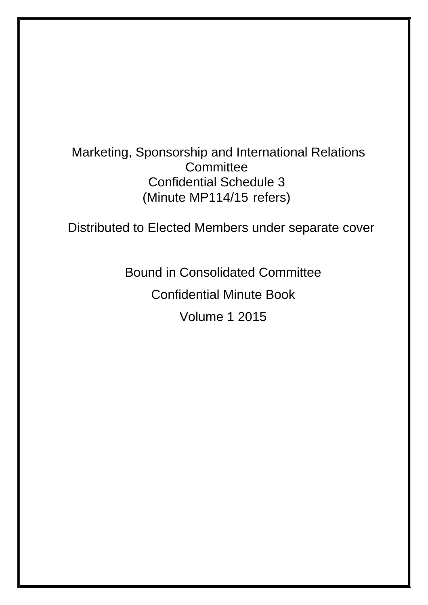# Marketing, Sponsorship and International Relations **Committee** Confidential Schedule 3 (Minute MP114/15 refers)

Distributed to Elected Members under separate cover

Bound in Consolidated Committee

Confidential Minute Book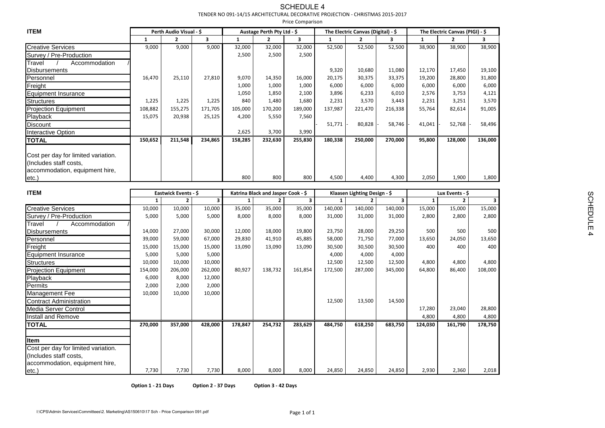# TENDER NO 091-14/15 ARCHITECTURAL DECORATIVE PROJECTION - CHRISTMAS 2015-2017

|                                                                                                 |                    |                         | TENDER NO 091-14/15 ARCHITECTURAL DECORATIVE PROJECTION - CHRISTMAS 2015-2017 |                  |                                    | Price Comparison |                  |                                    |                  |               |                                  |         |  |
|-------------------------------------------------------------------------------------------------|--------------------|-------------------------|-------------------------------------------------------------------------------|------------------|------------------------------------|------------------|------------------|------------------------------------|------------------|---------------|----------------------------------|---------|--|
| <b>ITEM</b>                                                                                     |                    | Perth Audio Visual - \$ |                                                                               |                  | Austage Perth Pty Ltd - \$         |                  |                  | The Electric Canvas (Digital) - \$ |                  |               | The Electric Canvas (PIGI) - \$  |         |  |
|                                                                                                 | -1                 | $2^{\circ}$             | $\mathbf{3}$                                                                  |                  | $\mathbf{2}$                       | $\mathbf{3}$     | 1                | $\mathbf{2}$                       | 3                | 1             | $\mathbf{2}$                     | 3       |  |
| <b>Creative Services</b>                                                                        | 9,000              | 9,000                   | 9,000                                                                         | 32,000           | 32,000                             | 32,000           | 52,500           | 52,500                             | 52,500           | 38,900        | 38,900                           | 38,900  |  |
| Survey / Pre-Production                                                                         |                    |                         |                                                                               | 2,500            | 2,500                              | 2,500            |                  |                                    |                  |               |                                  |         |  |
| Accommodation<br>Travel<br><b>Disbursements</b>                                                 |                    |                         |                                                                               |                  |                                    |                  | 9,320            | 10,680                             | 11,080           | 12,170        | 17,450                           | 19,100  |  |
| Personnel                                                                                       | 16,470             | 25,110                  | 27,810                                                                        | 9,070            | 14,350                             | 16,000           | 20,175           | 30,375                             | 33,375           | 19,200        | 28,800                           | 31,800  |  |
| Freight                                                                                         |                    |                         |                                                                               | 1,000            | 1,000                              | 1,000            | 6,000            | 6,000                              | 6,000            | 6,000         | 6,000                            | 6,000   |  |
| <b>Equipment Insurance</b>                                                                      |                    |                         |                                                                               | 1,050            | 1,850                              | 2,100            | 3,896            | 6,233                              | 6,010            | 2,576         | 3,753                            | 4,121   |  |
| <b>Structures</b>                                                                               | 1,225              | 1,225                   | 1,225                                                                         | 840              | 1,480                              | 1,680            | 2,231            | 3,570                              | 3,443            | 2,231         | 3,251                            | 3,570   |  |
| <b>Projection Equipment</b>                                                                     | 108,882            | 155,275                 | 171,705                                                                       | 105,000          | 170,200                            | 189,000          | 137,987          | 221,470                            | 216,338          | 55,764        | 82,614                           | 91,005  |  |
| Playback                                                                                        | 15,075             | 20,938                  | 25,125                                                                        | 4,200            | 5,550                              | 7,560            |                  |                                    |                  |               |                                  |         |  |
| <b>Discount</b>                                                                                 |                    |                         |                                                                               |                  |                                    |                  | 51,771           | 80,828                             | 58,746           | 41,041        | 52,768                           | 58,496  |  |
| <b>Interactive Option</b>                                                                       |                    |                         |                                                                               | 2,625            | 3,700                              | 3,990            |                  |                                    |                  |               |                                  |         |  |
| <b>TOTAL</b>                                                                                    | 150,652            | 211,548                 | 234,865                                                                       | 158,285          | 232,630                            | 255,830          | 180,338          | 250,000                            | 270,000          | 95,800        | 128,000                          | 136,000 |  |
| Cost per day for limited variation.<br>(Includes staff costs,<br>accommodation, equipment hire, |                    |                         |                                                                               |                  |                                    |                  |                  |                                    |                  |               |                                  |         |  |
| etc.                                                                                            |                    |                         |                                                                               | 800              | 800                                | 800              | 4,500            | 4,400                              | 4,300            | 2,050         | 1,900                            | 1,800   |  |
|                                                                                                 |                    |                         |                                                                               |                  |                                    |                  |                  |                                    |                  |               |                                  |         |  |
| <b>ITEM</b>                                                                                     |                    | Eastwick Events - \$    |                                                                               |                  | Katrina Black and Jasper Cook - \$ |                  |                  | Klaasen Lighting Design - \$       | 3                |               | Lux Events - \$<br>$\mathcal{P}$ |         |  |
|                                                                                                 |                    | $\mathbf{2}$            | 10,000                                                                        |                  | $\overline{2}$<br>35,000           | 3<br>35,000      |                  |                                    | 140,000          | -1            |                                  | 15,000  |  |
| <b>Creative Services</b>                                                                        | 10,000             | 10,000                  |                                                                               | 35,000           |                                    |                  | 140,000          | 140,000                            |                  | 15,000        | 15,000                           |         |  |
| Survey / Pre-Production                                                                         | 5,000              | 5,000                   | 5,000                                                                         | 8,000            | 8,000                              | 8,000            | 31,000           | 31,000                             | 31,000           | 2,800         | 2,800                            | 2,800   |  |
| Accommodation<br>Travel                                                                         |                    |                         |                                                                               |                  |                                    |                  |                  |                                    |                  |               |                                  | 500     |  |
| <b>Disbursements</b>                                                                            | 14,000<br>39,000   | 27,000<br>59,000        | 30,000<br>67,000                                                              | 12,000<br>29,830 | 18,000<br>41,910                   | 19,800<br>45,885 | 23,750<br>58,000 | 28,000<br>71,750                   | 29,250<br>77,000 | 500<br>13,650 | 500<br>24,050                    | 13,650  |  |
| Personnel                                                                                       | 15,000             | 15,000                  | 15,000                                                                        | 13,090           | 13,090                             | 13,090           | 30,500           | 30,500                             | 30,500           | 400           | 400                              | 400     |  |
| Freight                                                                                         | 5,000              | 5,000                   | 5,000                                                                         |                  |                                    |                  | 4,000            | 4,000                              | 4,000            |               |                                  |         |  |
| Equipment Insurance<br><b>Structures</b>                                                        | 10,000             | 10,000                  | 10,000                                                                        |                  |                                    |                  | 12,500           | 12,500                             | 12,500           | 4,800         | 4,800                            | 4,800   |  |
| <b>Projection Equipment</b>                                                                     | 154,000            | 206,000                 | 262,000                                                                       | 80,927           | 138,732                            | 161,854          | 172,500          | 287,000                            | 345,000          | 64,800        | 86,400                           | 108,000 |  |
| Playback                                                                                        | 6,000              | 8,000                   | 12,000                                                                        |                  |                                    |                  |                  |                                    |                  |               |                                  |         |  |
| Permits                                                                                         | 2,000              | 2,000                   | 2,000                                                                         |                  |                                    |                  |                  |                                    |                  |               |                                  |         |  |
| <b>Management Fee</b>                                                                           | 10,000             | 10,000                  | 10,000                                                                        |                  |                                    |                  |                  |                                    |                  |               |                                  |         |  |
| <b>Contract Administration</b>                                                                  |                    |                         |                                                                               |                  |                                    |                  | 12,500           | 13,500                             | 14,500           |               |                                  |         |  |
| Media Server Control                                                                            |                    |                         |                                                                               |                  |                                    |                  |                  |                                    |                  | 17,280        | 23,040                           | 28,800  |  |
| Install and Remove                                                                              |                    |                         |                                                                               |                  |                                    |                  |                  |                                    |                  | 4,800         | 4,800                            | 4,800   |  |
| <b>TOTAL</b>                                                                                    | 270,000            | 357,000                 | 428,000                                                                       | 178,847          | 254,732                            | 283,629          | 484,750          | 618,250                            | 683,750          | 124,030       | 161,790                          | 178,750 |  |
|                                                                                                 |                    |                         |                                                                               |                  |                                    |                  |                  |                                    |                  |               |                                  |         |  |
| Item                                                                                            |                    |                         |                                                                               |                  |                                    |                  |                  |                                    |                  |               |                                  |         |  |
| Cost per day for limited variation.<br>(Includes staff costs,                                   |                    |                         |                                                                               |                  |                                    |                  |                  |                                    |                  |               |                                  |         |  |
| accommodation, equipment hire,                                                                  |                    |                         |                                                                               |                  |                                    |                  |                  |                                    |                  |               |                                  |         |  |
| $etc.$ )                                                                                        | 7,730              | 7,730                   | 7,730                                                                         | 8,000            | 8,000                              | 8,000            | 24,850           | 24,850                             | 24,850           | 2,930         | 2,360                            | 2,018   |  |
|                                                                                                 | Option 1 - 21 Days |                         | Option 2 - 37 Days                                                            |                  | Option 3 - 42 Days                 |                  |                  |                                    |                  |               |                                  |         |  |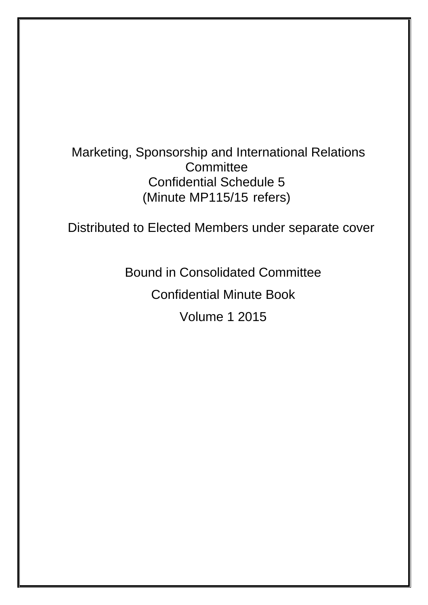# Marketing, Sponsorship and International Relations **Committee** Confidential Schedule 5 (Minute MP115/15 refers)

Distributed to Elected Members under separate cover

Bound in Consolidated Committee

Confidential Minute Book